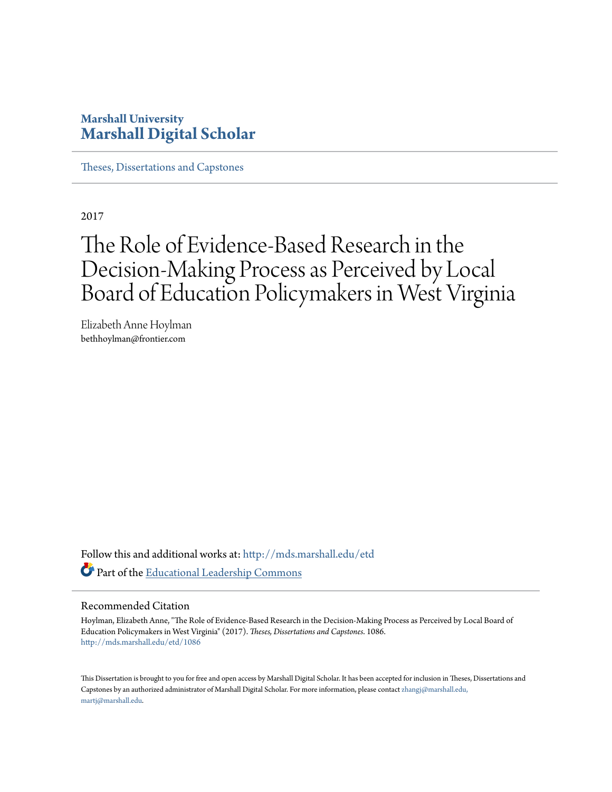# **Marshall University [Marshall Digital Scholar](http://mds.marshall.edu?utm_source=mds.marshall.edu%2Fetd%2F1086&utm_medium=PDF&utm_campaign=PDFCoverPages)**

[Theses, Dissertations and Capstones](http://mds.marshall.edu/etd?utm_source=mds.marshall.edu%2Fetd%2F1086&utm_medium=PDF&utm_campaign=PDFCoverPages)

2017

# The Role of Evidence-Based Research in the Decision-Making Process as Perceived by Local Board of Education Policymakers in West Virginia

Elizabeth Anne Hoylman bethhoylman@frontier.com

Follow this and additional works at: [http://mds.marshall.edu/etd](http://mds.marshall.edu/etd?utm_source=mds.marshall.edu%2Fetd%2F1086&utm_medium=PDF&utm_campaign=PDFCoverPages) Part of the [Educational Leadership Commons](http://network.bepress.com/hgg/discipline/1230?utm_source=mds.marshall.edu%2Fetd%2F1086&utm_medium=PDF&utm_campaign=PDFCoverPages)

#### Recommended Citation

Hoylman, Elizabeth Anne, "The Role of Evidence-Based Research in the Decision-Making Process as Perceived by Local Board of Education Policymakers in West Virginia" (2017). *Theses, Dissertations and Capstones*. 1086. [http://mds.marshall.edu/etd/1086](http://mds.marshall.edu/etd/1086?utm_source=mds.marshall.edu%2Fetd%2F1086&utm_medium=PDF&utm_campaign=PDFCoverPages)

This Dissertation is brought to you for free and open access by Marshall Digital Scholar. It has been accepted for inclusion in Theses, Dissertations and Capstones by an authorized administrator of Marshall Digital Scholar. For more information, please contact [zhangj@marshall.edu,](mailto:zhangj@marshall.edu,%20martj@marshall.edu) [martj@marshall.edu](mailto:zhangj@marshall.edu,%20martj@marshall.edu).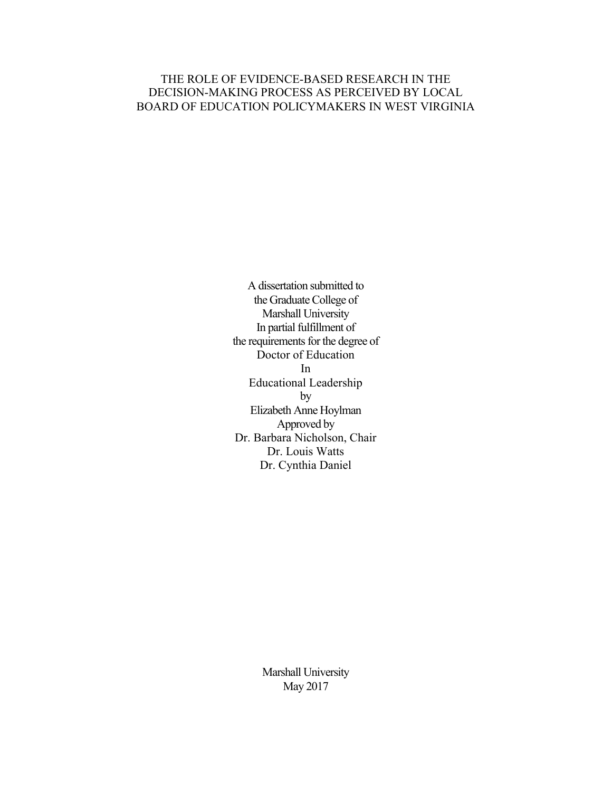## THE ROLE OF EVIDENCE-BASED RESEARCH IN THE DECISION-MAKING PROCESS AS PERCEIVED BY LOCAL BOARD OF EDUCATION POLICYMAKERS IN WEST VIRGINIA

A dissertation submitted to the Graduate College of Marshall University In partial fulfillment of the requirements for the degree of Doctor of Education In Educational Leadership by Elizabeth Anne Hoylman Approved by Dr. Barbara Nicholson, Chair Dr. Louis Watts Dr. Cynthia Daniel

> Marshall University May 2017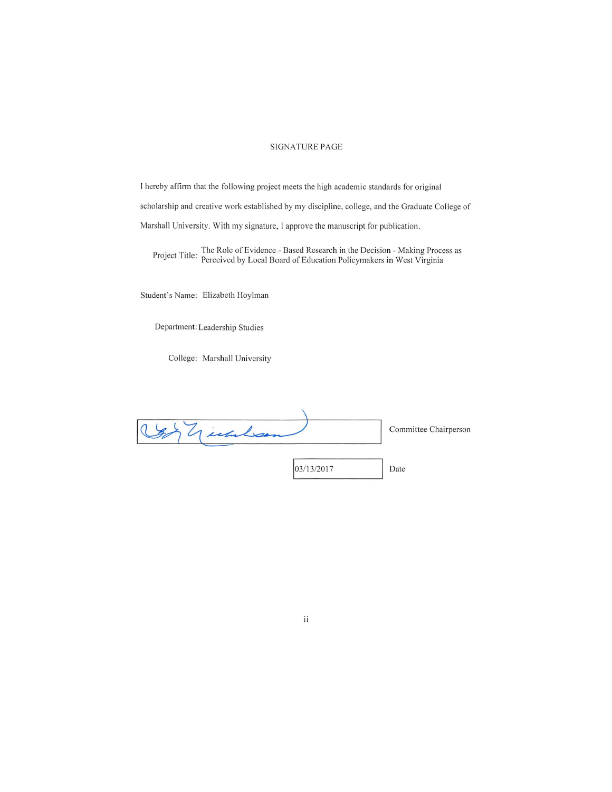#### **SIGNATURE PAGE**

I hereby affirm that the following project meets the high academic standards for original scholarship and creative work established by my discipline, college, and the Graduate College of Marshall University. With my signature, I approve the manuscript for publication.

Project Title: The Role of Evidence - Based Research in the Decision - Making Process as<br>Project Title: Perceived by Local Board of Education Policymakers in West Virginia

Student's Name: Elizabeth Hoylman

Department: Leadership Studies

College: Marshall University

| Technican |            | Committee Chairperson |
|-----------|------------|-----------------------|
|           |            |                       |
|           | 03/13/2017 | Date                  |

#### $\rm ii$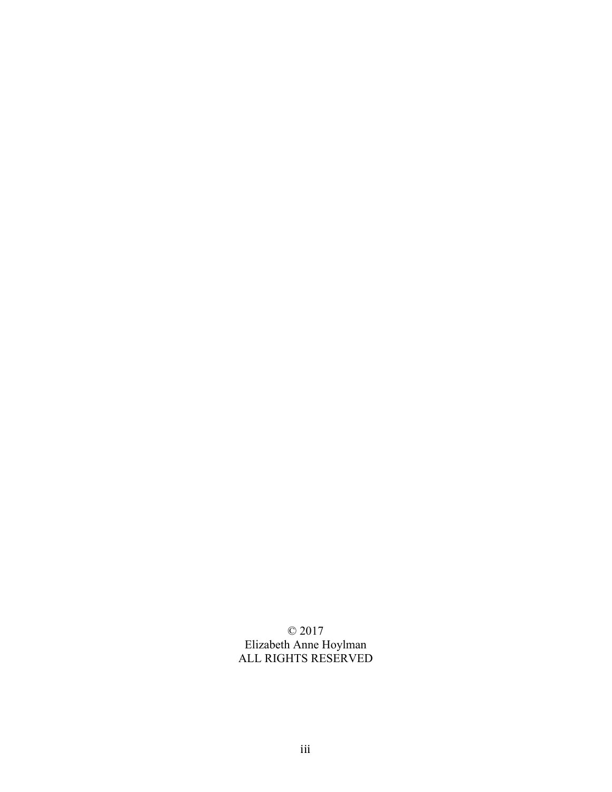© 2017 Elizabeth Anne Hoylman ALL RIGHTS RESERVED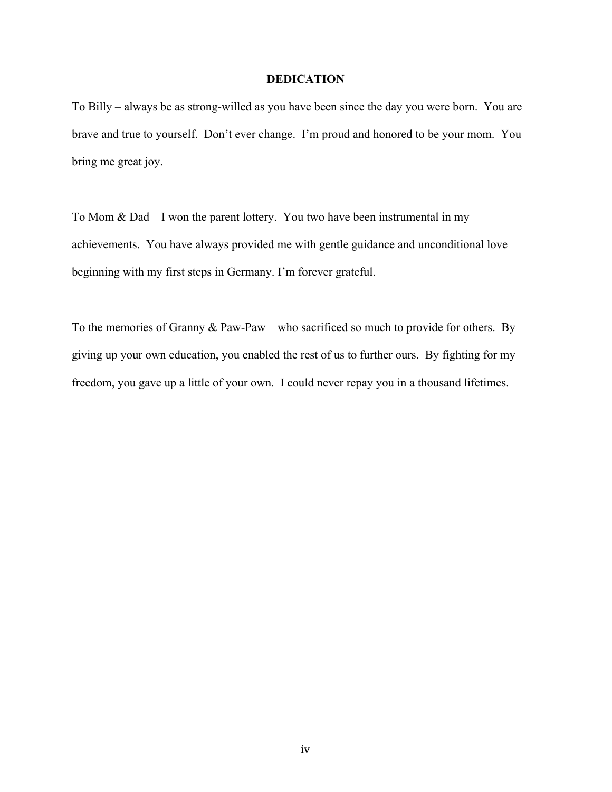## **DEDICATION**

To Billy – always be as strong-willed as you have been since the day you were born. You are brave and true to yourself. Don't ever change. I'm proud and honored to be your mom. You bring me great joy.

To Mom & Dad – I won the parent lottery. You two have been instrumental in my achievements. You have always provided me with gentle guidance and unconditional love beginning with my first steps in Germany. I'm forever grateful.

To the memories of Granny & Paw-Paw – who sacrificed so much to provide for others. By giving up your own education, you enabled the rest of us to further ours. By fighting for my freedom, you gave up a little of your own. I could never repay you in a thousand lifetimes.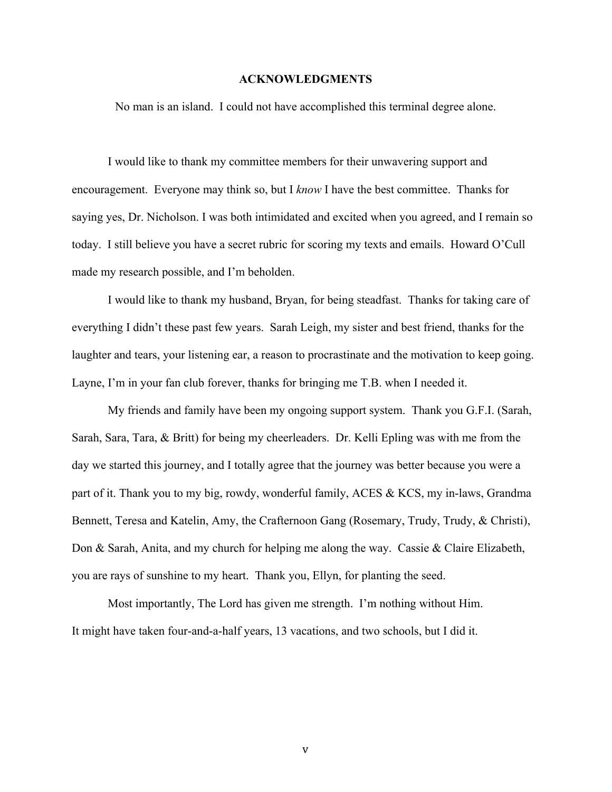#### **ACKNOWLEDGMENTS**

No man is an island. I could not have accomplished this terminal degree alone.

I would like to thank my committee members for their unwavering support and encouragement. Everyone may think so, but I *know* I have the best committee. Thanks for saying yes, Dr. Nicholson. I was both intimidated and excited when you agreed, and I remain so today. I still believe you have a secret rubric for scoring my texts and emails. Howard O'Cull made my research possible, and I'm beholden.

I would like to thank my husband, Bryan, for being steadfast. Thanks for taking care of everything I didn't these past few years. Sarah Leigh, my sister and best friend, thanks for the laughter and tears, your listening ear, a reason to procrastinate and the motivation to keep going. Layne, I'm in your fan club forever, thanks for bringing me T.B. when I needed it.

My friends and family have been my ongoing support system. Thank you G.F.I. (Sarah, Sarah, Sara, Tara, & Britt) for being my cheerleaders. Dr. Kelli Epling was with me from the day we started this journey, and I totally agree that the journey was better because you were a part of it. Thank you to my big, rowdy, wonderful family, ACES & KCS, my in-laws, Grandma Bennett, Teresa and Katelin, Amy, the Crafternoon Gang (Rosemary, Trudy, Trudy, & Christi), Don & Sarah, Anita, and my church for helping me along the way. Cassie & Claire Elizabeth, you are rays of sunshine to my heart. Thank you, Ellyn, for planting the seed.

Most importantly, The Lord has given me strength. I'm nothing without Him. It might have taken four-and-a-half years, 13 vacations, and two schools, but I did it.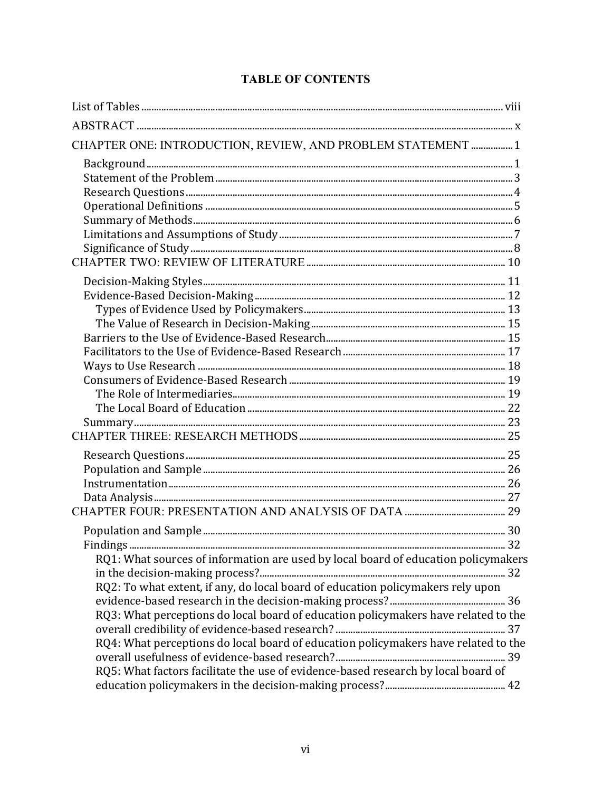| CHAPTER ONE: INTRODUCTION, REVIEW, AND PROBLEM STATEMENT  1                        |  |
|------------------------------------------------------------------------------------|--|
|                                                                                    |  |
|                                                                                    |  |
|                                                                                    |  |
|                                                                                    |  |
|                                                                                    |  |
|                                                                                    |  |
|                                                                                    |  |
|                                                                                    |  |
|                                                                                    |  |
|                                                                                    |  |
|                                                                                    |  |
|                                                                                    |  |
|                                                                                    |  |
|                                                                                    |  |
|                                                                                    |  |
|                                                                                    |  |
|                                                                                    |  |
|                                                                                    |  |
|                                                                                    |  |
|                                                                                    |  |
|                                                                                    |  |
|                                                                                    |  |
|                                                                                    |  |
|                                                                                    |  |
|                                                                                    |  |
|                                                                                    |  |
|                                                                                    |  |
| RQ1: What sources of information are used by local board of education policymakers |  |
| RQ2: To what extent, if any, do local board of education policymakers rely upon    |  |
|                                                                                    |  |
| RQ3: What perceptions do local board of education policymakers have related to the |  |
|                                                                                    |  |
| RQ4: What perceptions do local board of education policymakers have related to the |  |
|                                                                                    |  |
| RQ5: What factors facilitate the use of evidence-based research by local board of  |  |
|                                                                                    |  |

# **TABLE OF CONTENTS**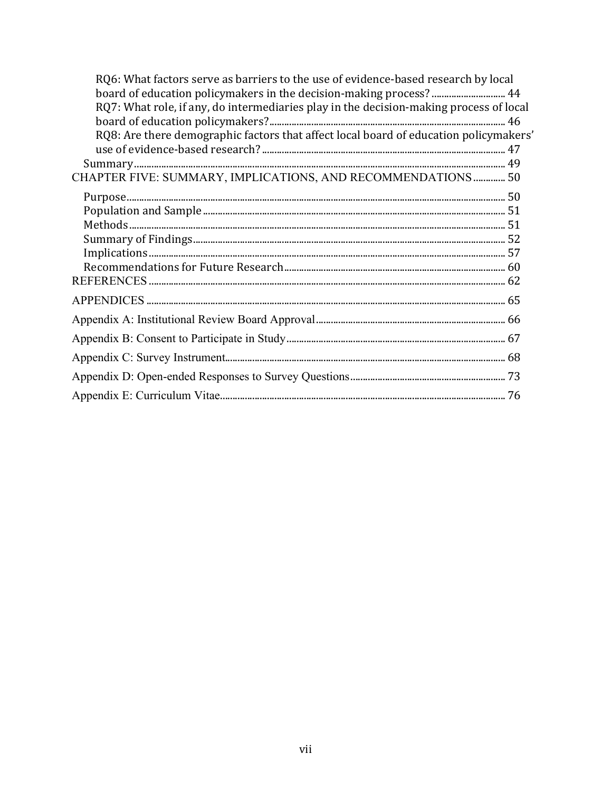| RQ6: What factors serve as barriers to the use of evidence-based research by local<br>board of education policymakers in the decision-making process?  44 |
|-----------------------------------------------------------------------------------------------------------------------------------------------------------|
| RQ7: What role, if any, do intermediaries play in the decision-making process of local                                                                    |
|                                                                                                                                                           |
| RQ8: Are there demographic factors that affect local board of education policymakers'                                                                     |
|                                                                                                                                                           |
|                                                                                                                                                           |
| CHAPTER FIVE: SUMMARY, IMPLICATIONS, AND RECOMMENDATIONS  50                                                                                              |
|                                                                                                                                                           |
|                                                                                                                                                           |
|                                                                                                                                                           |
|                                                                                                                                                           |
|                                                                                                                                                           |
|                                                                                                                                                           |
|                                                                                                                                                           |
|                                                                                                                                                           |
|                                                                                                                                                           |
|                                                                                                                                                           |
|                                                                                                                                                           |
|                                                                                                                                                           |
|                                                                                                                                                           |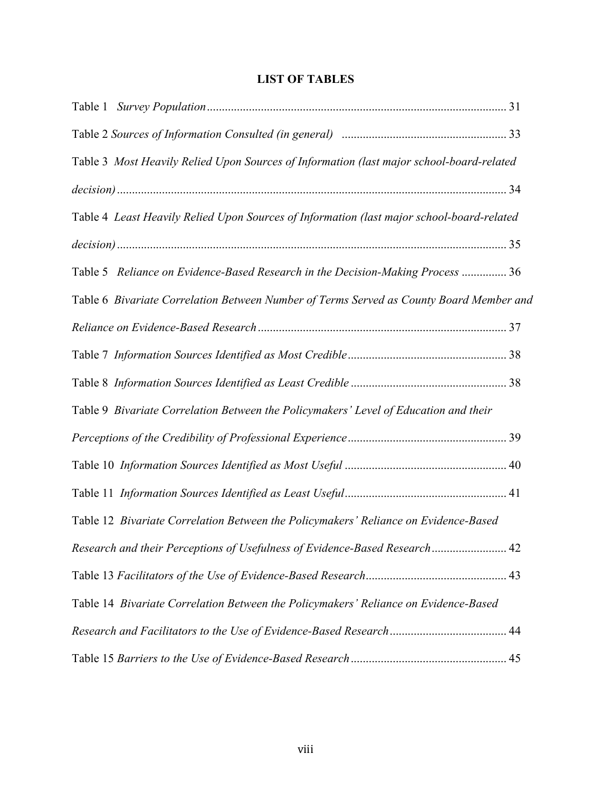# **LIST OF TABLES**

| Table 3 Most Heavily Relied Upon Sources of Information (last major school-board-related  |      |
|-------------------------------------------------------------------------------------------|------|
|                                                                                           |      |
| Table 4 Least Heavily Relied Upon Sources of Information (last major school-board-related |      |
|                                                                                           |      |
| Table 5 Reliance on Evidence-Based Research in the Decision-Making Process  36            |      |
| Table 6 Bivariate Correlation Between Number of Terms Served as County Board Member and   |      |
|                                                                                           |      |
|                                                                                           |      |
|                                                                                           |      |
| Table 9 Bivariate Correlation Between the Policymakers' Level of Education and their      |      |
|                                                                                           |      |
|                                                                                           |      |
|                                                                                           |      |
| Table 12 Bivariate Correlation Between the Policymakers' Reliance on Evidence-Based       |      |
| Research and their Perceptions of Usefulness of Evidence-Based Research                   | . 42 |
|                                                                                           |      |
| Table 14 Bivariate Correlation Between the Policymakers' Reliance on Evidence-Based       |      |
|                                                                                           |      |
|                                                                                           |      |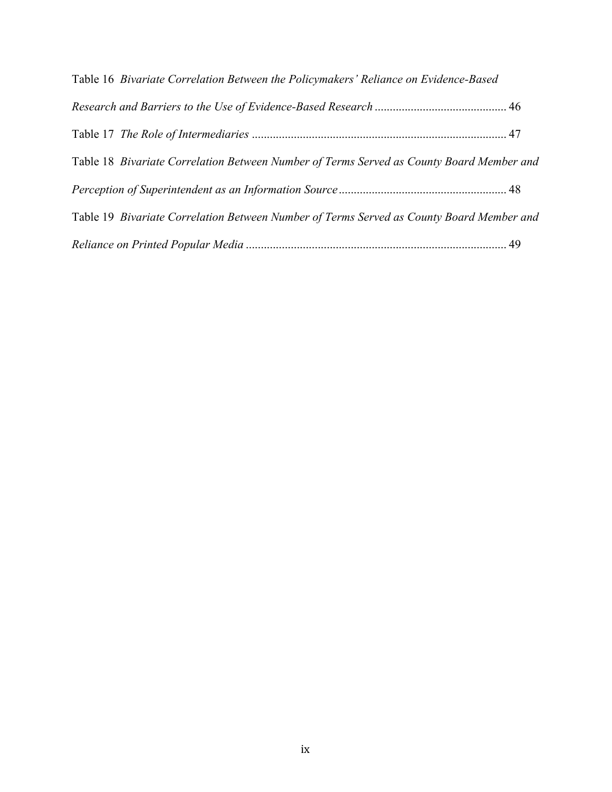| Table 16 Bivariate Correlation Between the Policymakers' Reliance on Evidence-Based      |  |
|------------------------------------------------------------------------------------------|--|
|                                                                                          |  |
|                                                                                          |  |
| Table 18 Bivariate Correlation Between Number of Terms Served as County Board Member and |  |
|                                                                                          |  |
| Table 19 Bivariate Correlation Between Number of Terms Served as County Board Member and |  |
|                                                                                          |  |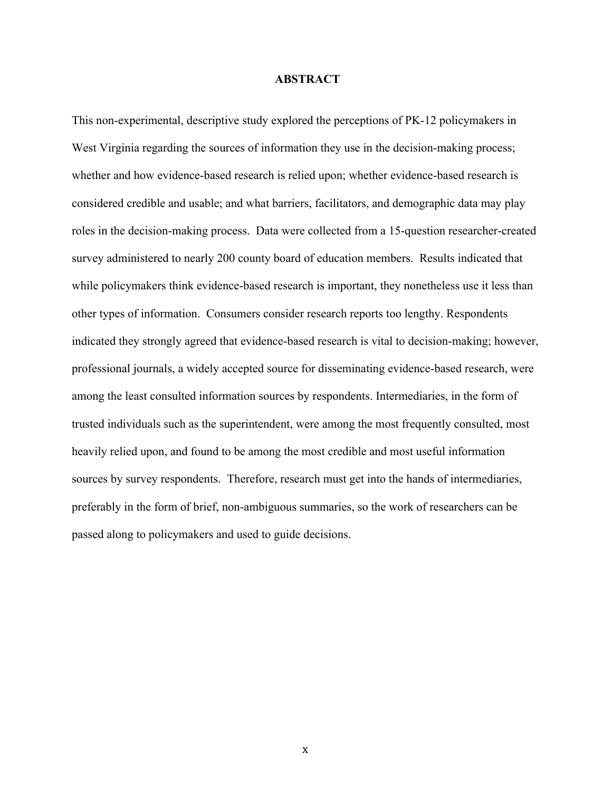#### **ABSTRACT**

This non-experimental, descriptive study explored the perceptions of PK-12 policymakers in West Virginia regarding the sources of information they use in the decision-making process; whether and how evidence-based research is relied upon; whether evidence-based research is considered credible and usable; and what barriers, facilitators, and demographic data may play roles in the decision-making process. Data were collected from a 15-question researcher-created survey administered to nearly 200 county board of education members. Results indicated that while policymakers think evidence-based research is important, they nonetheless use it less than other types of information. Consumers consider research reports too lengthy. Respondents indicated they strongly agreed that evidence-based research is vital to decision-making; however, professional journals, a widely accepted source for disseminating evidence-based research, were among the least consulted information sources by respondents. Intermediaries, in the form of trusted individuals such as the superintendent, were among the most frequently consulted, most heavily relied upon, and found to be among the most credible and most useful information sources by survey respondents. Therefore, research must get into the hands of intermediaries, preferably in the form of brief, non-ambiguous summaries, so the work of researchers can be passed along to policymakers and used to guide decisions.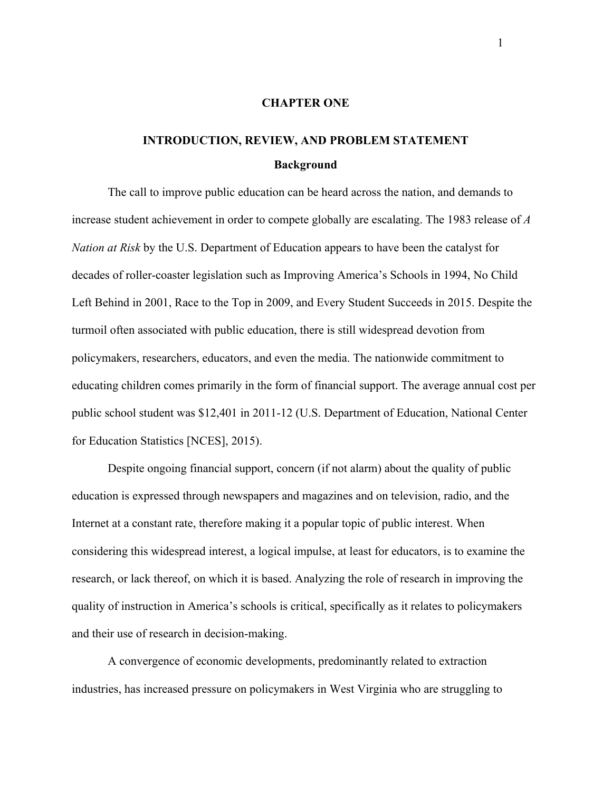#### **CHAPTER ONE**

# **INTRODUCTION, REVIEW, AND PROBLEM STATEMENT Background**

The call to improve public education can be heard across the nation, and demands to increase student achievement in order to compete globally are escalating. The 1983 release of *A Nation at Risk* by the U.S. Department of Education appears to have been the catalyst for decades of roller-coaster legislation such as Improving America's Schools in 1994, No Child Left Behind in 2001, Race to the Top in 2009, and Every Student Succeeds in 2015. Despite the turmoil often associated with public education, there is still widespread devotion from policymakers, researchers, educators, and even the media. The nationwide commitment to educating children comes primarily in the form of financial support. The average annual cost per public school student was \$12,401 in 2011-12 (U.S. Department of Education, National Center for Education Statistics [NCES], 2015).

Despite ongoing financial support, concern (if not alarm) about the quality of public education is expressed through newspapers and magazines and on television, radio, and the Internet at a constant rate, therefore making it a popular topic of public interest. When considering this widespread interest, a logical impulse, at least for educators, is to examine the research, or lack thereof, on which it is based. Analyzing the role of research in improving the quality of instruction in America's schools is critical, specifically as it relates to policymakers and their use of research in decision-making.

A convergence of economic developments, predominantly related to extraction industries, has increased pressure on policymakers in West Virginia who are struggling to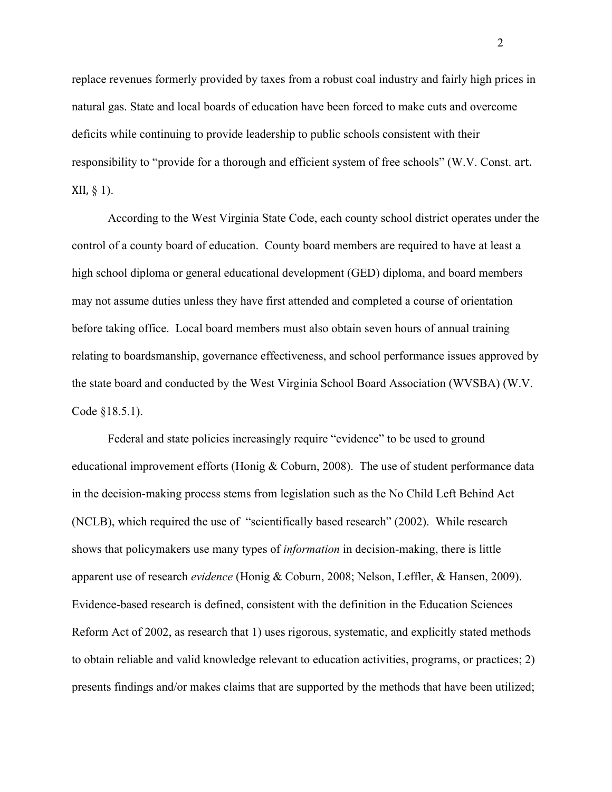replace revenues formerly provided by taxes from a robust coal industry and fairly high prices in natural gas. State and local boards of education have been forced to make cuts and overcome deficits while continuing to provide leadership to public schools consistent with their responsibility to "provide for a thorough and efficient system of free schools" (W.V. Const. art.  $XII, \S 1$ ).

According to the West Virginia State Code, each county school district operates under the control of a county board of education. County board members are required to have at least a high school diploma or general educational development (GED) diploma, and board members may not assume duties unless they have first attended and completed a course of orientation before taking office. Local board members must also obtain seven hours of annual training relating to boardsmanship, governance effectiveness, and school performance issues approved by the state board and conducted by the West Virginia School Board Association (WVSBA) (W.V. Code §18.5.1).

Federal and state policies increasingly require "evidence" to be used to ground educational improvement efforts (Honig & Coburn, 2008). The use of student performance data in the decision-making process stems from legislation such as the No Child Left Behind Act (NCLB), which required the use of "scientifically based research" (2002). While research shows that policymakers use many types of *information* in decision-making, there is little apparent use of research *evidence* (Honig & Coburn, 2008; Nelson, Leffler, & Hansen, 2009). Evidence-based research is defined, consistent with the definition in the Education Sciences Reform Act of 2002, as research that 1) uses rigorous, systematic, and explicitly stated methods to obtain reliable and valid knowledge relevant to education activities, programs, or practices; 2) presents findings and/or makes claims that are supported by the methods that have been utilized;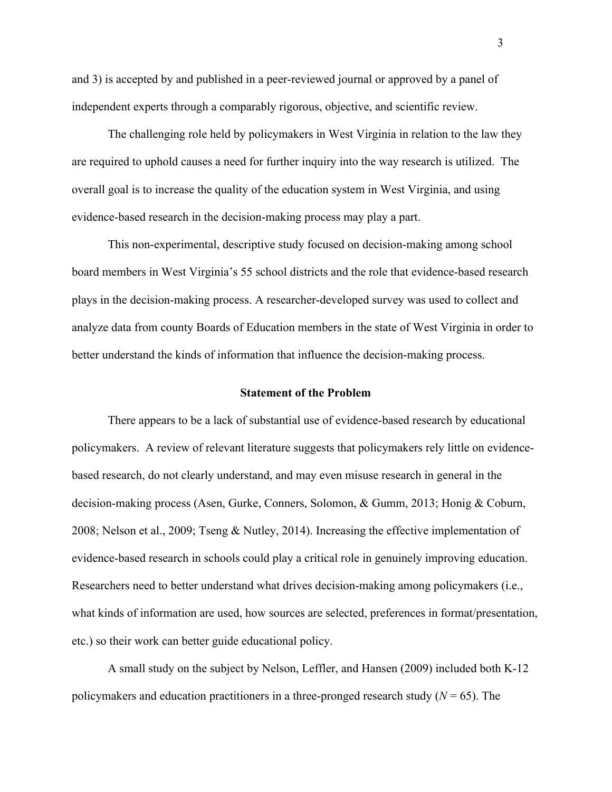and 3) is accepted by and published in a peer-reviewed journal or approved by a panel of independent experts through a comparably rigorous, objective, and scientific review.

The challenging role held by policymakers in West Virginia in relation to the law they are required to uphold causes a need for further inquiry into the way research is utilized. The overall goal is to increase the quality of the education system in West Virginia, and using evidence-based research in the decision-making process may play a part.

This non-experimental, descriptive study focused on decision-making among school board members in West Virginia's 55 school districts and the role that evidence-based research plays in the decision-making process. A researcher-developed survey was used to collect and analyze data from county Boards of Education members in the state of West Virginia in order to better understand the kinds of information that influence the decision-making process.

#### **Statement of the Problem**

There appears to be a lack of substantial use of evidence-based research by educational policymakers. A review of relevant literature suggests that policymakers rely little on evidencebased research, do not clearly understand, and may even misuse research in general in the decision-making process (Asen, Gurke, Conners, Solomon, & Gumm, 2013; Honig & Coburn, 2008; Nelson et al., 2009; Tseng & Nutley, 2014). Increasing the effective implementation of evidence-based research in schools could play a critical role in genuinely improving education. Researchers need to better understand what drives decision-making among policymakers (i.e., what kinds of information are used, how sources are selected, preferences in format/presentation, etc.) so their work can better guide educational policy.

A small study on the subject by Nelson, Leffler, and Hansen (2009) included both K-12 policymakers and education practitioners in a three-pronged research study  $(N = 65)$ . The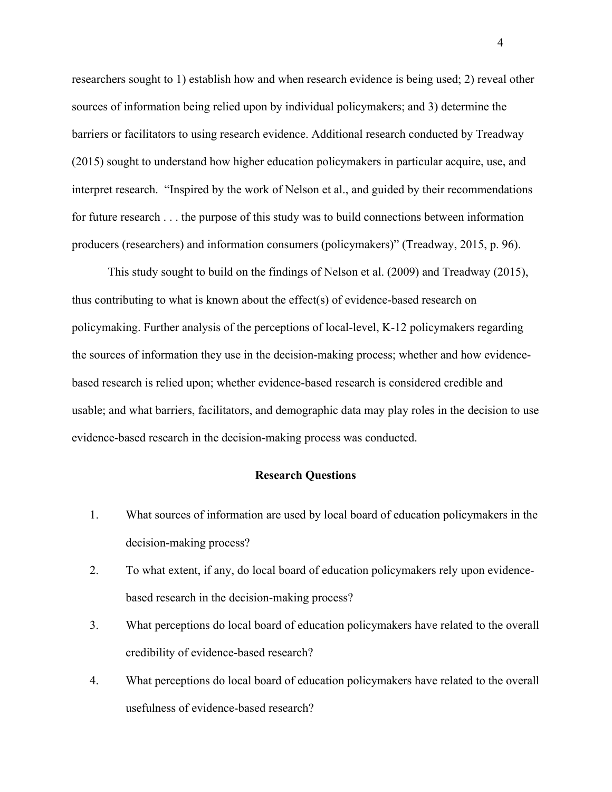researchers sought to 1) establish how and when research evidence is being used; 2) reveal other sources of information being relied upon by individual policymakers; and 3) determine the barriers or facilitators to using research evidence. Additional research conducted by Treadway (2015) sought to understand how higher education policymakers in particular acquire, use, and interpret research. "Inspired by the work of Nelson et al., and guided by their recommendations for future research . . . the purpose of this study was to build connections between information producers (researchers) and information consumers (policymakers)" (Treadway, 2015, p. 96).

This study sought to build on the findings of Nelson et al. (2009) and Treadway (2015), thus contributing to what is known about the effect(s) of evidence-based research on policymaking. Further analysis of the perceptions of local-level, K-12 policymakers regarding the sources of information they use in the decision-making process; whether and how evidencebased research is relied upon; whether evidence-based research is considered credible and usable; and what barriers, facilitators, and demographic data may play roles in the decision to use evidence-based research in the decision-making process was conducted.

#### **Research Questions**

- 1. What sources of information are used by local board of education policymakers in the decision-making process?
- 2. To what extent, if any, do local board of education policymakers rely upon evidencebased research in the decision-making process?
- 3. What perceptions do local board of education policymakers have related to the overall credibility of evidence-based research?
- 4. What perceptions do local board of education policymakers have related to the overall usefulness of evidence-based research?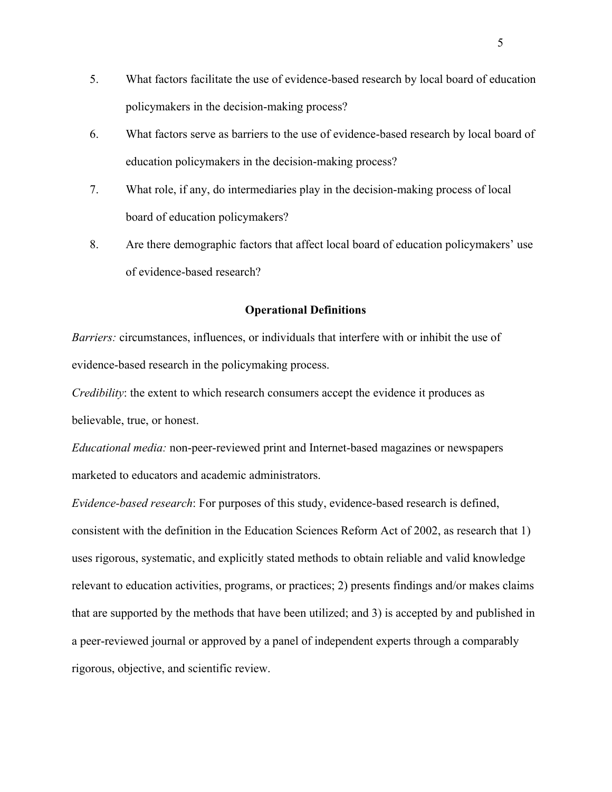- 5. What factors facilitate the use of evidence-based research by local board of education policymakers in the decision-making process?
- 6. What factors serve as barriers to the use of evidence-based research by local board of education policymakers in the decision-making process?
- 7. What role, if any, do intermediaries play in the decision-making process of local board of education policymakers?
- 8. Are there demographic factors that affect local board of education policymakers' use of evidence-based research?

### **Operational Definitions**

*Barriers:* circumstances, influences, or individuals that interfere with or inhibit the use of evidence-based research in the policymaking process.

*Credibility*: the extent to which research consumers accept the evidence it produces as believable, true, or honest.

*Educational media:* non-peer-reviewed print and Internet-based magazines or newspapers marketed to educators and academic administrators.

*Evidence-based research*: For purposes of this study, evidence-based research is defined, consistent with the definition in the Education Sciences Reform Act of 2002, as research that 1) uses rigorous, systematic, and explicitly stated methods to obtain reliable and valid knowledge relevant to education activities, programs, or practices; 2) presents findings and/or makes claims that are supported by the methods that have been utilized; and 3) is accepted by and published in a peer-reviewed journal or approved by a panel of independent experts through a comparably rigorous, objective, and scientific review.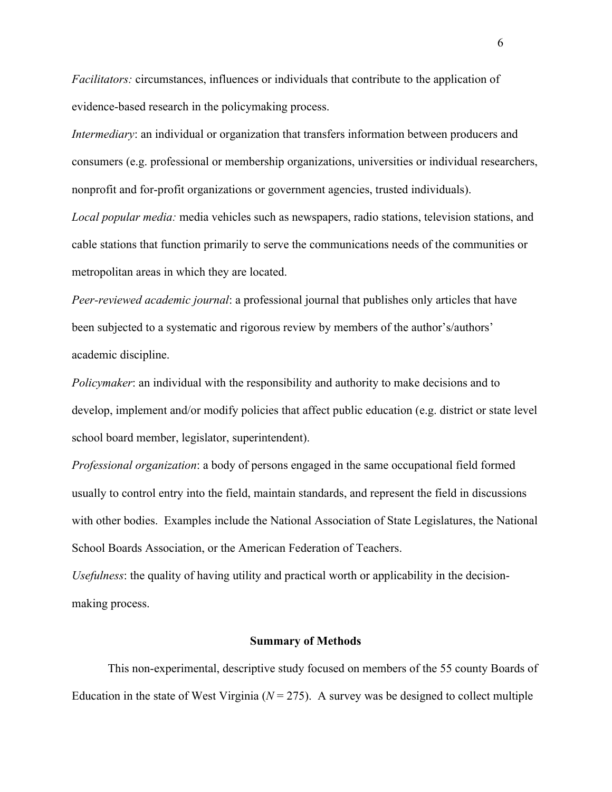*Facilitators:* circumstances, influences or individuals that contribute to the application of evidence-based research in the policymaking process.

*Intermediary*: an individual or organization that transfers information between producers and consumers (e.g. professional or membership organizations, universities or individual researchers, nonprofit and for-profit organizations or government agencies, trusted individuals).

*Local popular media:* media vehicles such as newspapers, radio stations, television stations, and cable stations that function primarily to serve the communications needs of the communities or metropolitan areas in which they are located.

*Peer-reviewed academic journal*: a professional journal that publishes only articles that have been subjected to a systematic and rigorous review by members of the author's/authors' academic discipline.

*Policymaker*: an individual with the responsibility and authority to make decisions and to develop, implement and/or modify policies that affect public education (e.g. district or state level school board member, legislator, superintendent).

*Professional organization*: a body of persons engaged in the same occupational field formed usually to control entry into the field, maintain standards, and represent the field in discussions with other bodies. Examples include the National Association of State Legislatures, the National School Boards Association, or the American Federation of Teachers.

*Usefulness*: the quality of having utility and practical worth or applicability in the decisionmaking process.

#### **Summary of Methods**

This non-experimental, descriptive study focused on members of the 55 county Boards of Education in the state of West Virginia ( $N = 275$ ). A survey was be designed to collect multiple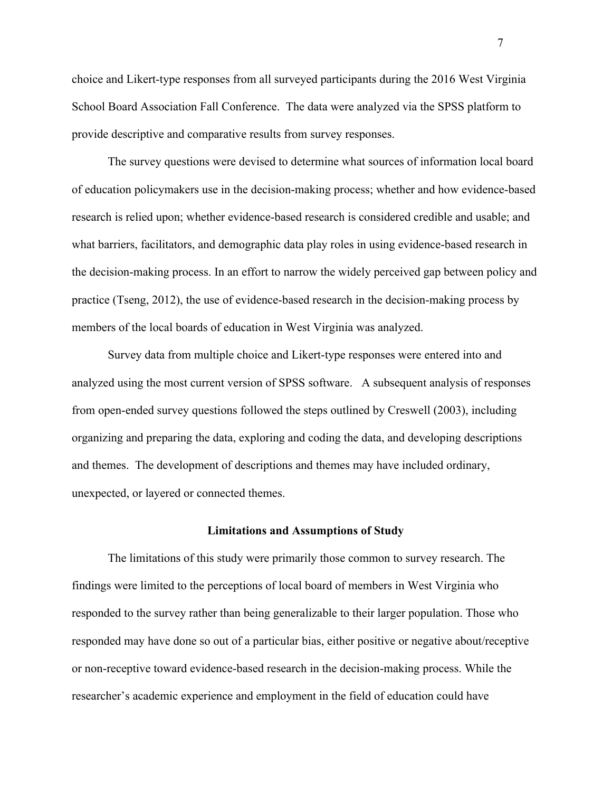choice and Likert-type responses from all surveyed participants during the 2016 West Virginia School Board Association Fall Conference. The data were analyzed via the SPSS platform to provide descriptive and comparative results from survey responses.

The survey questions were devised to determine what sources of information local board of education policymakers use in the decision-making process; whether and how evidence-based research is relied upon; whether evidence-based research is considered credible and usable; and what barriers, facilitators, and demographic data play roles in using evidence-based research in the decision-making process. In an effort to narrow the widely perceived gap between policy and practice (Tseng, 2012), the use of evidence-based research in the decision-making process by members of the local boards of education in West Virginia was analyzed.

Survey data from multiple choice and Likert-type responses were entered into and analyzed using the most current version of SPSS software. A subsequent analysis of responses from open-ended survey questions followed the steps outlined by Creswell (2003), including organizing and preparing the data, exploring and coding the data, and developing descriptions and themes. The development of descriptions and themes may have included ordinary, unexpected, or layered or connected themes.

#### **Limitations and Assumptions of Study**

The limitations of this study were primarily those common to survey research. The findings were limited to the perceptions of local board of members in West Virginia who responded to the survey rather than being generalizable to their larger population. Those who responded may have done so out of a particular bias, either positive or negative about/receptive or non-receptive toward evidence-based research in the decision-making process. While the researcher's academic experience and employment in the field of education could have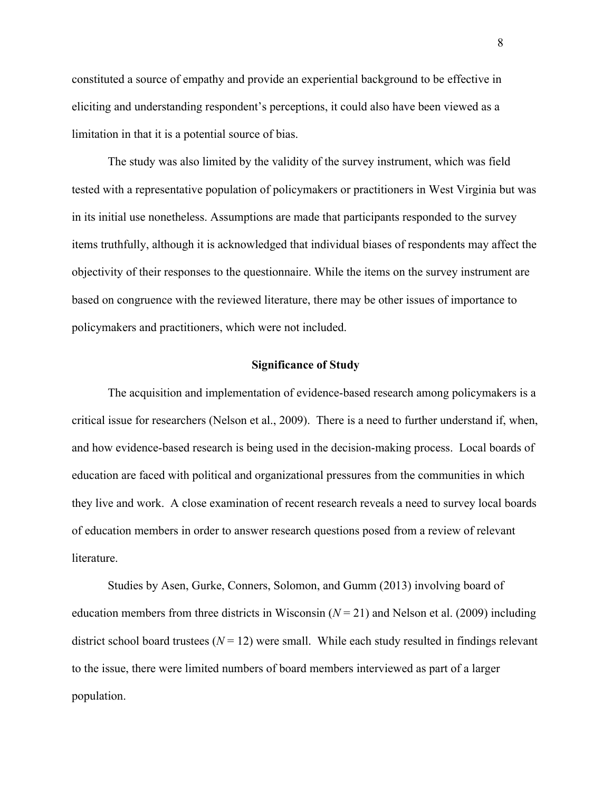constituted a source of empathy and provide an experiential background to be effective in eliciting and understanding respondent's perceptions, it could also have been viewed as a limitation in that it is a potential source of bias.

The study was also limited by the validity of the survey instrument, which was field tested with a representative population of policymakers or practitioners in West Virginia but was in its initial use nonetheless. Assumptions are made that participants responded to the survey items truthfully, although it is acknowledged that individual biases of respondents may affect the objectivity of their responses to the questionnaire. While the items on the survey instrument are based on congruence with the reviewed literature, there may be other issues of importance to policymakers and practitioners, which were not included.

#### **Significance of Study**

The acquisition and implementation of evidence-based research among policymakers is a critical issue for researchers (Nelson et al., 2009). There is a need to further understand if, when, and how evidence-based research is being used in the decision-making process. Local boards of education are faced with political and organizational pressures from the communities in which they live and work. A close examination of recent research reveals a need to survey local boards of education members in order to answer research questions posed from a review of relevant literature.

Studies by Asen, Gurke, Conners, Solomon, and Gumm (2013) involving board of education members from three districts in Wisconsin  $(N = 21)$  and Nelson et al. (2009) including district school board trustees  $(N = 12)$  were small. While each study resulted in findings relevant to the issue, there were limited numbers of board members interviewed as part of a larger population.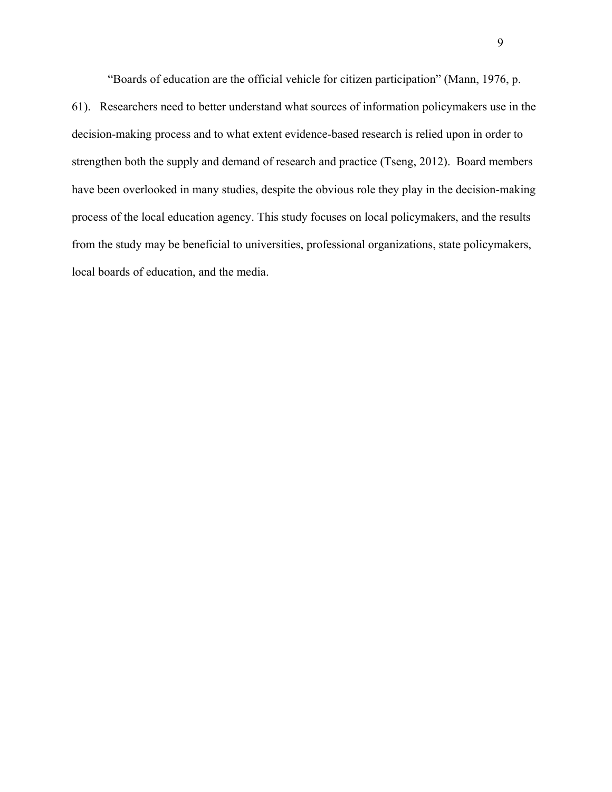"Boards of education are the official vehicle for citizen participation" (Mann, 1976, p.

61). Researchers need to better understand what sources of information policymakers use in the decision-making process and to what extent evidence-based research is relied upon in order to strengthen both the supply and demand of research and practice (Tseng, 2012). Board members have been overlooked in many studies, despite the obvious role they play in the decision-making process of the local education agency. This study focuses on local policymakers, and the results from the study may be beneficial to universities, professional organizations, state policymakers, local boards of education, and the media.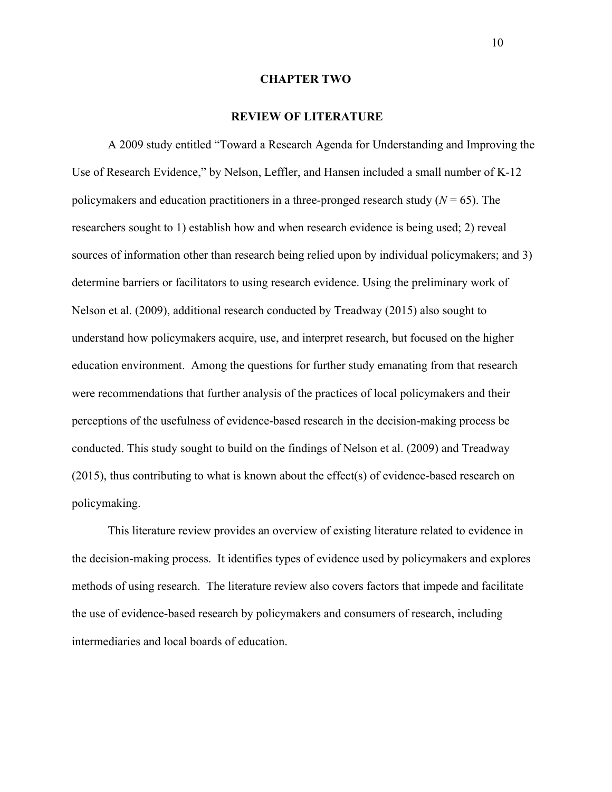#### **CHAPTER TWO**

#### **REVIEW OF LITERATURE**

A 2009 study entitled "Toward a Research Agenda for Understanding and Improving the Use of Research Evidence," by Nelson, Leffler, and Hansen included a small number of K-12 policymakers and education practitioners in a three-pronged research study  $(N = 65)$ . The researchers sought to 1) establish how and when research evidence is being used; 2) reveal sources of information other than research being relied upon by individual policymakers; and 3) determine barriers or facilitators to using research evidence. Using the preliminary work of Nelson et al. (2009), additional research conducted by Treadway (2015) also sought to understand how policymakers acquire, use, and interpret research, but focused on the higher education environment. Among the questions for further study emanating from that research were recommendations that further analysis of the practices of local policymakers and their perceptions of the usefulness of evidence-based research in the decision-making process be conducted. This study sought to build on the findings of Nelson et al. (2009) and Treadway (2015), thus contributing to what is known about the effect(s) of evidence-based research on policymaking.

This literature review provides an overview of existing literature related to evidence in the decision-making process. It identifies types of evidence used by policymakers and explores methods of using research. The literature review also covers factors that impede and facilitate the use of evidence-based research by policymakers and consumers of research, including intermediaries and local boards of education.

10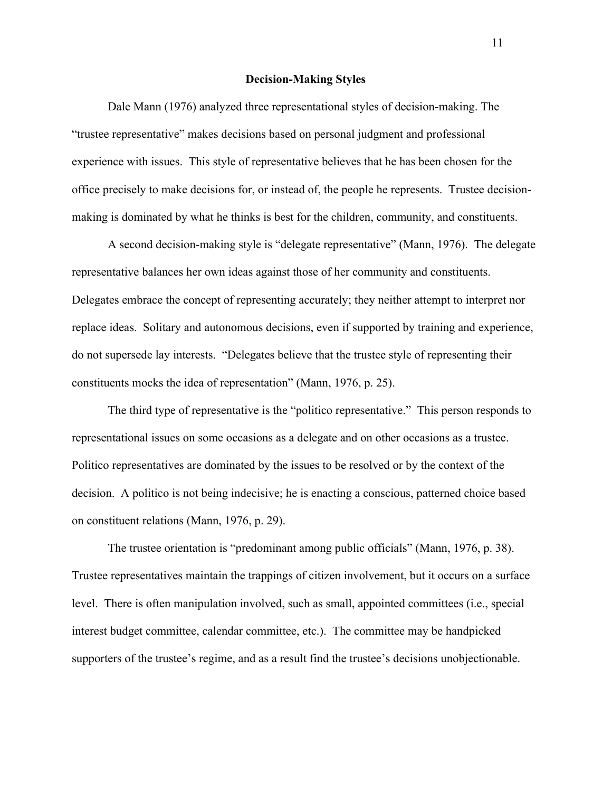#### **Decision-Making Styles**

Dale Mann (1976) analyzed three representational styles of decision-making. The "trustee representative" makes decisions based on personal judgment and professional experience with issues. This style of representative believes that he has been chosen for the office precisely to make decisions for, or instead of, the people he represents. Trustee decisionmaking is dominated by what he thinks is best for the children, community, and constituents.

A second decision-making style is "delegate representative" (Mann, 1976). The delegate representative balances her own ideas against those of her community and constituents. Delegates embrace the concept of representing accurately; they neither attempt to interpret nor replace ideas. Solitary and autonomous decisions, even if supported by training and experience, do not supersede lay interests. "Delegates believe that the trustee style of representing their constituents mocks the idea of representation" (Mann, 1976, p. 25).

The third type of representative is the "politico representative." This person responds to representational issues on some occasions as a delegate and on other occasions as a trustee. Politico representatives are dominated by the issues to be resolved or by the context of the decision. A politico is not being indecisive; he is enacting a conscious, patterned choice based on constituent relations (Mann, 1976, p. 29).

The trustee orientation is "predominant among public officials" (Mann, 1976, p. 38). Trustee representatives maintain the trappings of citizen involvement, but it occurs on a surface level. There is often manipulation involved, such as small, appointed committees (i.e., special interest budget committee, calendar committee, etc.). The committee may be handpicked supporters of the trustee's regime, and as a result find the trustee's decisions unobjectionable.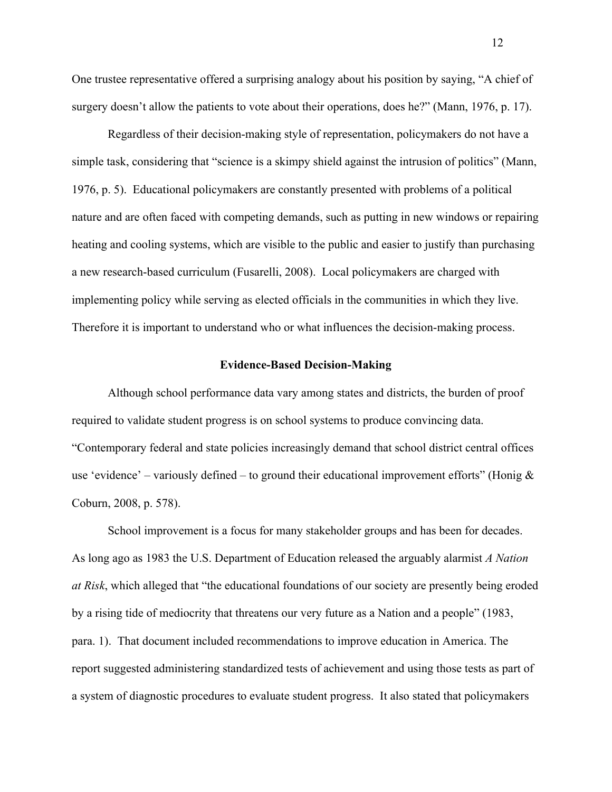One trustee representative offered a surprising analogy about his position by saying, "A chief of surgery doesn't allow the patients to vote about their operations, does he?" (Mann, 1976, p. 17).

Regardless of their decision-making style of representation, policymakers do not have a simple task, considering that "science is a skimpy shield against the intrusion of politics" (Mann, 1976, p. 5). Educational policymakers are constantly presented with problems of a political nature and are often faced with competing demands, such as putting in new windows or repairing heating and cooling systems, which are visible to the public and easier to justify than purchasing a new research-based curriculum (Fusarelli, 2008). Local policymakers are charged with implementing policy while serving as elected officials in the communities in which they live. Therefore it is important to understand who or what influences the decision-making process.

#### **Evidence-Based Decision-Making**

Although school performance data vary among states and districts, the burden of proof required to validate student progress is on school systems to produce convincing data. "Contemporary federal and state policies increasingly demand that school district central offices use 'evidence' – variously defined – to ground their educational improvement efforts'' (Honig  $\&$ Coburn, 2008, p. 578).

School improvement is a focus for many stakeholder groups and has been for decades. As long ago as 1983 the U.S. Department of Education released the arguably alarmist *A Nation at Risk*, which alleged that "the educational foundations of our society are presently being eroded by a rising tide of mediocrity that threatens our very future as a Nation and a people" (1983, para. 1). That document included recommendations to improve education in America. The report suggested administering standardized tests of achievement and using those tests as part of a system of diagnostic procedures to evaluate student progress. It also stated that policymakers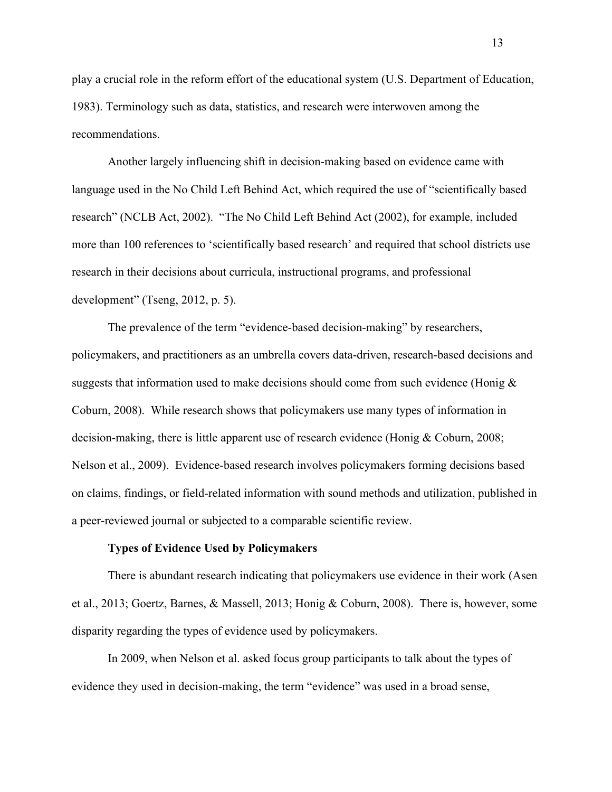play a crucial role in the reform effort of the educational system (U.S. Department of Education, 1983). Terminology such as data, statistics, and research were interwoven among the recommendations.

Another largely influencing shift in decision-making based on evidence came with language used in the No Child Left Behind Act, which required the use of "scientifically based research" (NCLB Act, 2002). "The No Child Left Behind Act (2002), for example, included more than 100 references to 'scientifically based research' and required that school districts use research in their decisions about curricula, instructional programs, and professional development" (Tseng, 2012, p. 5).

The prevalence of the term "evidence-based decision-making" by researchers, policymakers, and practitioners as an umbrella covers data-driven, research-based decisions and suggests that information used to make decisions should come from such evidence (Honig  $\&$ Coburn, 2008). While research shows that policymakers use many types of information in decision-making, there is little apparent use of research evidence (Honig & Coburn, 2008; Nelson et al., 2009). Evidence-based research involves policymakers forming decisions based on claims, findings, or field-related information with sound methods and utilization, published in a peer-reviewed journal or subjected to a comparable scientific review.

### **Types of Evidence Used by Policymakers**

There is abundant research indicating that policymakers use evidence in their work (Asen et al., 2013; Goertz, Barnes, & Massell, 2013; Honig & Coburn, 2008). There is, however, some disparity regarding the types of evidence used by policymakers.

In 2009, when Nelson et al. asked focus group participants to talk about the types of evidence they used in decision-making, the term "evidence" was used in a broad sense,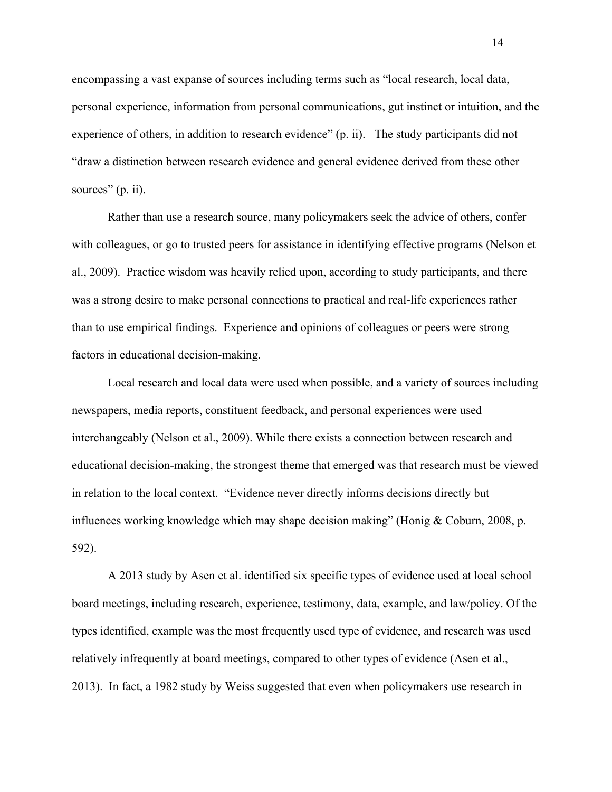encompassing a vast expanse of sources including terms such as "local research, local data, personal experience, information from personal communications, gut instinct or intuition, and the experience of others, in addition to research evidence" (p. ii). The study participants did not "draw a distinction between research evidence and general evidence derived from these other sources" (p. ii).

Rather than use a research source, many policymakers seek the advice of others, confer with colleagues, or go to trusted peers for assistance in identifying effective programs (Nelson et al., 2009). Practice wisdom was heavily relied upon, according to study participants, and there was a strong desire to make personal connections to practical and real-life experiences rather than to use empirical findings. Experience and opinions of colleagues or peers were strong factors in educational decision-making.

Local research and local data were used when possible, and a variety of sources including newspapers, media reports, constituent feedback, and personal experiences were used interchangeably (Nelson et al., 2009). While there exists a connection between research and educational decision-making, the strongest theme that emerged was that research must be viewed in relation to the local context. "Evidence never directly informs decisions directly but influences working knowledge which may shape decision making" (Honig & Coburn, 2008, p. 592).

A 2013 study by Asen et al. identified six specific types of evidence used at local school board meetings, including research, experience, testimony, data, example, and law/policy. Of the types identified, example was the most frequently used type of evidence, and research was used relatively infrequently at board meetings, compared to other types of evidence (Asen et al., 2013). In fact, a 1982 study by Weiss suggested that even when policymakers use research in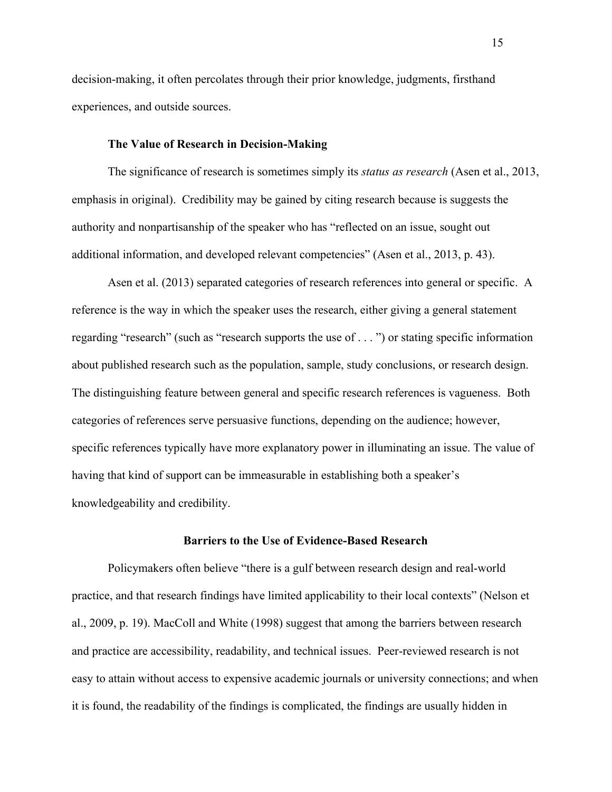decision-making, it often percolates through their prior knowledge, judgments, firsthand experiences, and outside sources.

#### **The Value of Research in Decision-Making**

The significance of research is sometimes simply its *status as research* (Asen et al., 2013, emphasis in original). Credibility may be gained by citing research because is suggests the authority and nonpartisanship of the speaker who has "reflected on an issue, sought out additional information, and developed relevant competencies" (Asen et al., 2013, p. 43).

Asen et al. (2013) separated categories of research references into general or specific. A reference is the way in which the speaker uses the research, either giving a general statement regarding "research" (such as "research supports the use of . . . ") or stating specific information about published research such as the population, sample, study conclusions, or research design. The distinguishing feature between general and specific research references is vagueness. Both categories of references serve persuasive functions, depending on the audience; however, specific references typically have more explanatory power in illuminating an issue. The value of having that kind of support can be immeasurable in establishing both a speaker's knowledgeability and credibility.

#### **Barriers to the Use of Evidence-Based Research**

Policymakers often believe "there is a gulf between research design and real-world practice, and that research findings have limited applicability to their local contexts" (Nelson et al., 2009, p. 19). MacColl and White (1998) suggest that among the barriers between research and practice are accessibility, readability, and technical issues. Peer-reviewed research is not easy to attain without access to expensive academic journals or university connections; and when it is found, the readability of the findings is complicated, the findings are usually hidden in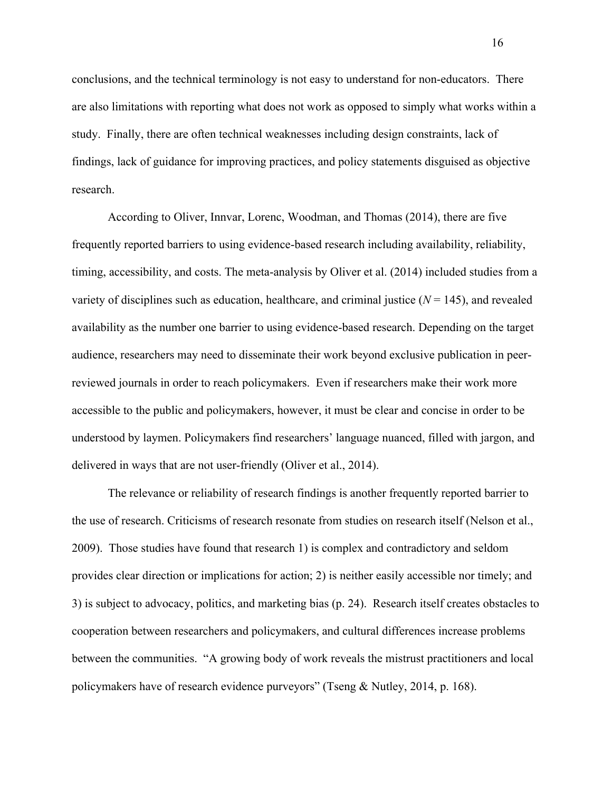conclusions, and the technical terminology is not easy to understand for non-educators. There are also limitations with reporting what does not work as opposed to simply what works within a study. Finally, there are often technical weaknesses including design constraints, lack of findings, lack of guidance for improving practices, and policy statements disguised as objective research.

According to Oliver, Innvar, Lorenc, Woodman, and Thomas (2014), there are five frequently reported barriers to using evidence-based research including availability, reliability, timing, accessibility, and costs. The meta-analysis by Oliver et al. (2014) included studies from a variety of disciplines such as education, healthcare, and criminal justice  $(N = 145)$ , and revealed availability as the number one barrier to using evidence-based research. Depending on the target audience, researchers may need to disseminate their work beyond exclusive publication in peerreviewed journals in order to reach policymakers. Even if researchers make their work more accessible to the public and policymakers, however, it must be clear and concise in order to be understood by laymen. Policymakers find researchers' language nuanced, filled with jargon, and delivered in ways that are not user-friendly (Oliver et al., 2014).

The relevance or reliability of research findings is another frequently reported barrier to the use of research. Criticisms of research resonate from studies on research itself (Nelson et al., 2009). Those studies have found that research 1) is complex and contradictory and seldom provides clear direction or implications for action; 2) is neither easily accessible nor timely; and 3) is subject to advocacy, politics, and marketing bias (p. 24). Research itself creates obstacles to cooperation between researchers and policymakers, and cultural differences increase problems between the communities. "A growing body of work reveals the mistrust practitioners and local policymakers have of research evidence purveyors" (Tseng & Nutley, 2014, p. 168).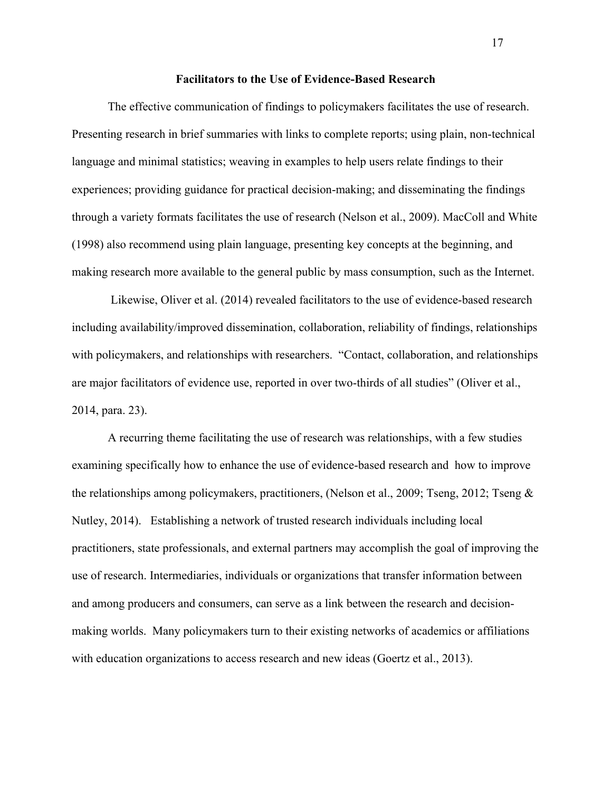#### **Facilitators to the Use of Evidence-Based Research**

The effective communication of findings to policymakers facilitates the use of research. Presenting research in brief summaries with links to complete reports; using plain, non-technical language and minimal statistics; weaving in examples to help users relate findings to their experiences; providing guidance for practical decision-making; and disseminating the findings through a variety formats facilitates the use of research (Nelson et al., 2009). MacColl and White (1998) also recommend using plain language, presenting key concepts at the beginning, and making research more available to the general public by mass consumption, such as the Internet.

Likewise, Oliver et al. (2014) revealed facilitators to the use of evidence-based research including availability/improved dissemination, collaboration, reliability of findings, relationships with policymakers, and relationships with researchers. "Contact, collaboration, and relationships are major facilitators of evidence use, reported in over two-thirds of all studies" (Oliver et al., 2014, para. 23).

A recurring theme facilitating the use of research was relationships, with a few studies examining specifically how to enhance the use of evidence-based research and how to improve the relationships among policymakers, practitioners, (Nelson et al., 2009; Tseng, 2012; Tseng & Nutley, 2014). Establishing a network of trusted research individuals including local practitioners, state professionals, and external partners may accomplish the goal of improving the use of research. Intermediaries, individuals or organizations that transfer information between and among producers and consumers, can serve as a link between the research and decisionmaking worlds. Many policymakers turn to their existing networks of academics or affiliations with education organizations to access research and new ideas (Goertz et al., 2013).

17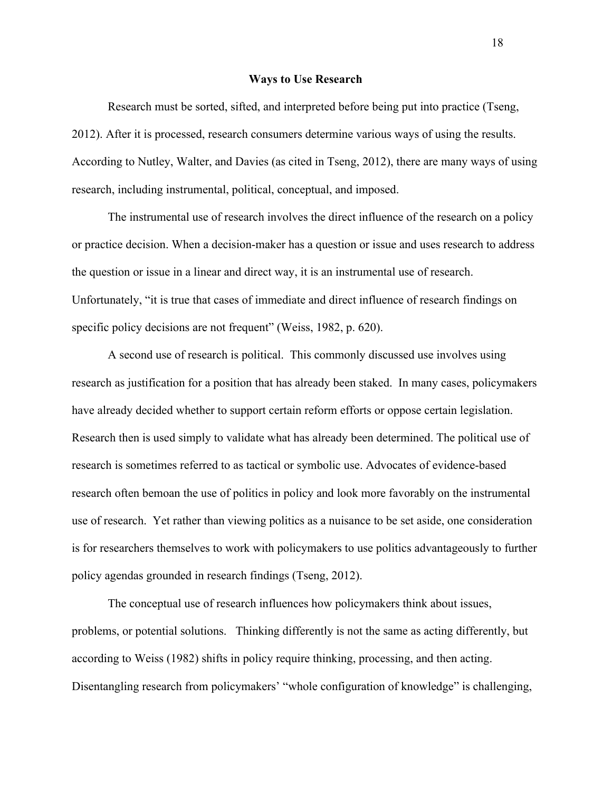#### **Ways to Use Research**

Research must be sorted, sifted, and interpreted before being put into practice (Tseng, 2012). After it is processed, research consumers determine various ways of using the results. According to Nutley, Walter, and Davies (as cited in Tseng, 2012), there are many ways of using research, including instrumental, political, conceptual, and imposed.

The instrumental use of research involves the direct influence of the research on a policy or practice decision. When a decision-maker has a question or issue and uses research to address the question or issue in a linear and direct way, it is an instrumental use of research. Unfortunately, "it is true that cases of immediate and direct influence of research findings on specific policy decisions are not frequent" (Weiss, 1982, p. 620).

A second use of research is political. This commonly discussed use involves using research as justification for a position that has already been staked. In many cases, policymakers have already decided whether to support certain reform efforts or oppose certain legislation. Research then is used simply to validate what has already been determined. The political use of research is sometimes referred to as tactical or symbolic use. Advocates of evidence-based research often bemoan the use of politics in policy and look more favorably on the instrumental use of research. Yet rather than viewing politics as a nuisance to be set aside, one consideration is for researchers themselves to work with policymakers to use politics advantageously to further policy agendas grounded in research findings (Tseng, 2012).

The conceptual use of research influences how policymakers think about issues, problems, or potential solutions. Thinking differently is not the same as acting differently, but according to Weiss (1982) shifts in policy require thinking, processing, and then acting. Disentangling research from policymakers' "whole configuration of knowledge" is challenging,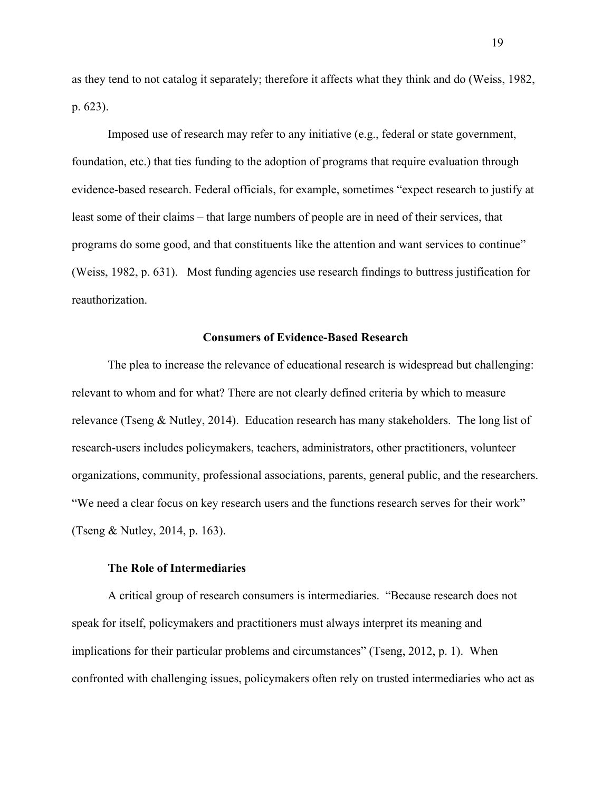as they tend to not catalog it separately; therefore it affects what they think and do (Weiss, 1982, p. 623).

Imposed use of research may refer to any initiative (e.g., federal or state government, foundation, etc.) that ties funding to the adoption of programs that require evaluation through evidence-based research. Federal officials, for example, sometimes "expect research to justify at least some of their claims – that large numbers of people are in need of their services, that programs do some good, and that constituents like the attention and want services to continue" (Weiss, 1982, p. 631). Most funding agencies use research findings to buttress justification for reauthorization.

#### **Consumers of Evidence-Based Research**

The plea to increase the relevance of educational research is widespread but challenging: relevant to whom and for what? There are not clearly defined criteria by which to measure relevance (Tseng & Nutley, 2014). Education research has many stakeholders. The long list of research-users includes policymakers, teachers, administrators, other practitioners, volunteer organizations, community, professional associations, parents, general public, and the researchers. "We need a clear focus on key research users and the functions research serves for their work" (Tseng & Nutley, 2014, p. 163).

#### **The Role of Intermediaries**

A critical group of research consumers is intermediaries. "Because research does not speak for itself, policymakers and practitioners must always interpret its meaning and implications for their particular problems and circumstances" (Tseng, 2012, p. 1). When confronted with challenging issues, policymakers often rely on trusted intermediaries who act as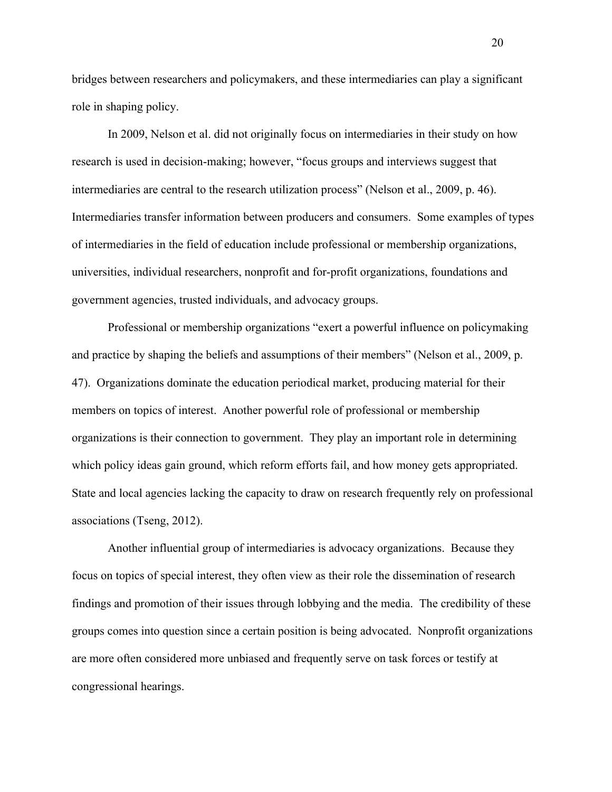bridges between researchers and policymakers, and these intermediaries can play a significant role in shaping policy.

In 2009, Nelson et al. did not originally focus on intermediaries in their study on how research is used in decision-making; however, "focus groups and interviews suggest that intermediaries are central to the research utilization process" (Nelson et al., 2009, p. 46). Intermediaries transfer information between producers and consumers. Some examples of types of intermediaries in the field of education include professional or membership organizations, universities, individual researchers, nonprofit and for-profit organizations, foundations and government agencies, trusted individuals, and advocacy groups.

Professional or membership organizations "exert a powerful influence on policymaking and practice by shaping the beliefs and assumptions of their members" (Nelson et al., 2009, p. 47). Organizations dominate the education periodical market, producing material for their members on topics of interest. Another powerful role of professional or membership organizations is their connection to government. They play an important role in determining which policy ideas gain ground, which reform efforts fail, and how money gets appropriated. State and local agencies lacking the capacity to draw on research frequently rely on professional associations (Tseng, 2012).

Another influential group of intermediaries is advocacy organizations. Because they focus on topics of special interest, they often view as their role the dissemination of research findings and promotion of their issues through lobbying and the media. The credibility of these groups comes into question since a certain position is being advocated. Nonprofit organizations are more often considered more unbiased and frequently serve on task forces or testify at congressional hearings.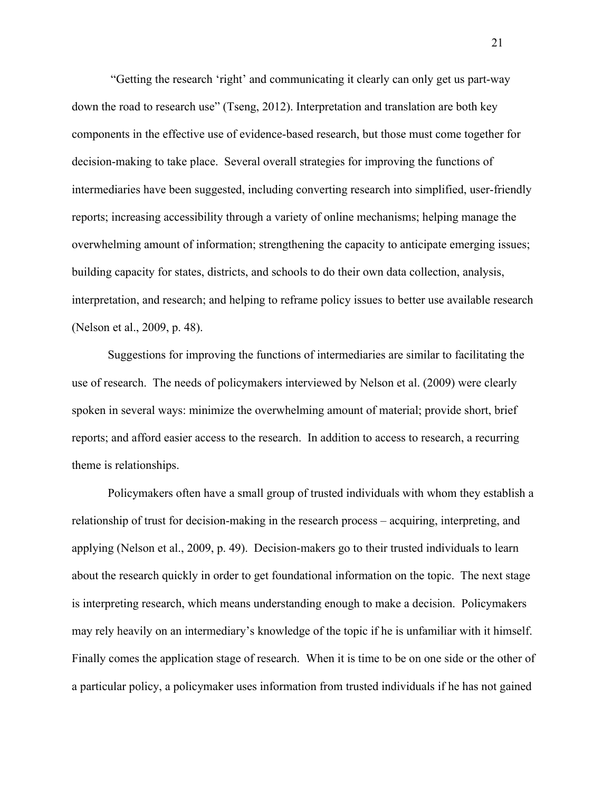"Getting the research 'right' and communicating it clearly can only get us part-way down the road to research use" (Tseng, 2012). Interpretation and translation are both key components in the effective use of evidence-based research, but those must come together for decision-making to take place. Several overall strategies for improving the functions of intermediaries have been suggested, including converting research into simplified, user-friendly reports; increasing accessibility through a variety of online mechanisms; helping manage the overwhelming amount of information; strengthening the capacity to anticipate emerging issues; building capacity for states, districts, and schools to do their own data collection, analysis, interpretation, and research; and helping to reframe policy issues to better use available research (Nelson et al., 2009, p. 48).

Suggestions for improving the functions of intermediaries are similar to facilitating the use of research. The needs of policymakers interviewed by Nelson et al. (2009) were clearly spoken in several ways: minimize the overwhelming amount of material; provide short, brief reports; and afford easier access to the research. In addition to access to research, a recurring theme is relationships.

Policymakers often have a small group of trusted individuals with whom they establish a relationship of trust for decision-making in the research process – acquiring, interpreting, and applying (Nelson et al., 2009, p. 49). Decision-makers go to their trusted individuals to learn about the research quickly in order to get foundational information on the topic. The next stage is interpreting research, which means understanding enough to make a decision. Policymakers may rely heavily on an intermediary's knowledge of the topic if he is unfamiliar with it himself. Finally comes the application stage of research. When it is time to be on one side or the other of a particular policy, a policymaker uses information from trusted individuals if he has not gained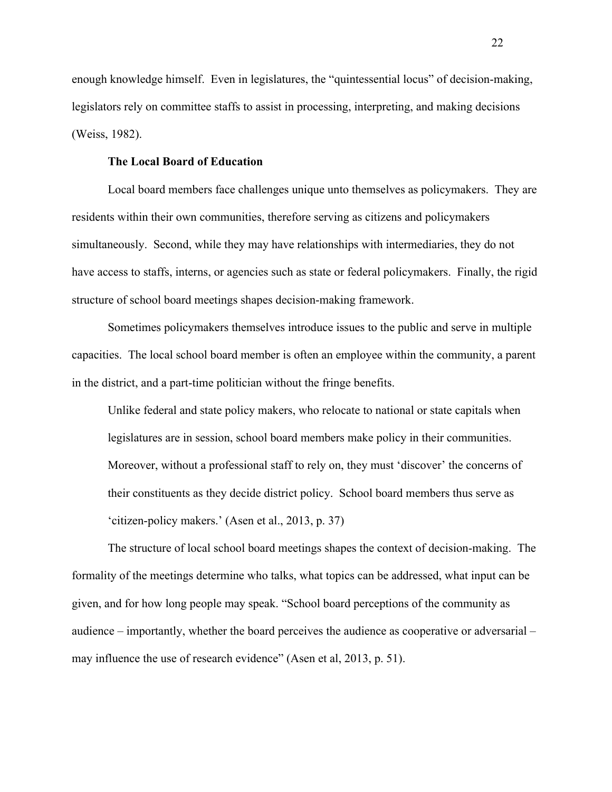enough knowledge himself. Even in legislatures, the "quintessential locus" of decision-making, legislators rely on committee staffs to assist in processing, interpreting, and making decisions (Weiss, 1982).

#### **The Local Board of Education**

Local board members face challenges unique unto themselves as policymakers. They are residents within their own communities, therefore serving as citizens and policymakers simultaneously. Second, while they may have relationships with intermediaries, they do not have access to staffs, interns, or agencies such as state or federal policymakers. Finally, the rigid structure of school board meetings shapes decision-making framework.

Sometimes policymakers themselves introduce issues to the public and serve in multiple capacities. The local school board member is often an employee within the community, a parent in the district, and a part-time politician without the fringe benefits.

Unlike federal and state policy makers, who relocate to national or state capitals when legislatures are in session, school board members make policy in their communities. Moreover, without a professional staff to rely on, they must 'discover' the concerns of their constituents as they decide district policy. School board members thus serve as 'citizen-policy makers.' (Asen et al., 2013, p. 37)

The structure of local school board meetings shapes the context of decision-making. The formality of the meetings determine who talks, what topics can be addressed, what input can be given, and for how long people may speak. "School board perceptions of the community as audience – importantly, whether the board perceives the audience as cooperative or adversarial – may influence the use of research evidence" (Asen et al, 2013, p. 51).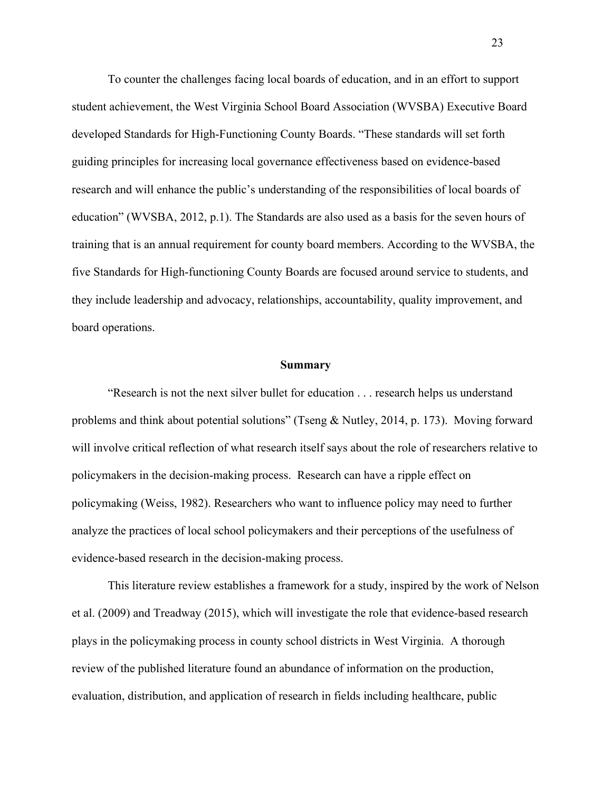To counter the challenges facing local boards of education, and in an effort to support student achievement, the West Virginia School Board Association (WVSBA) Executive Board developed Standards for High-Functioning County Boards. "These standards will set forth guiding principles for increasing local governance effectiveness based on evidence-based research and will enhance the public's understanding of the responsibilities of local boards of education" (WVSBA, 2012, p.1). The Standards are also used as a basis for the seven hours of training that is an annual requirement for county board members. According to the WVSBA, the five Standards for High-functioning County Boards are focused around service to students, and they include leadership and advocacy, relationships, accountability, quality improvement, and board operations.

#### **Summary**

"Research is not the next silver bullet for education . . . research helps us understand problems and think about potential solutions" (Tseng & Nutley, 2014, p. 173). Moving forward will involve critical reflection of what research itself says about the role of researchers relative to policymakers in the decision-making process. Research can have a ripple effect on policymaking (Weiss, 1982). Researchers who want to influence policy may need to further analyze the practices of local school policymakers and their perceptions of the usefulness of evidence-based research in the decision-making process.

This literature review establishes a framework for a study, inspired by the work of Nelson et al. (2009) and Treadway (2015), which will investigate the role that evidence-based research plays in the policymaking process in county school districts in West Virginia. A thorough review of the published literature found an abundance of information on the production, evaluation, distribution, and application of research in fields including healthcare, public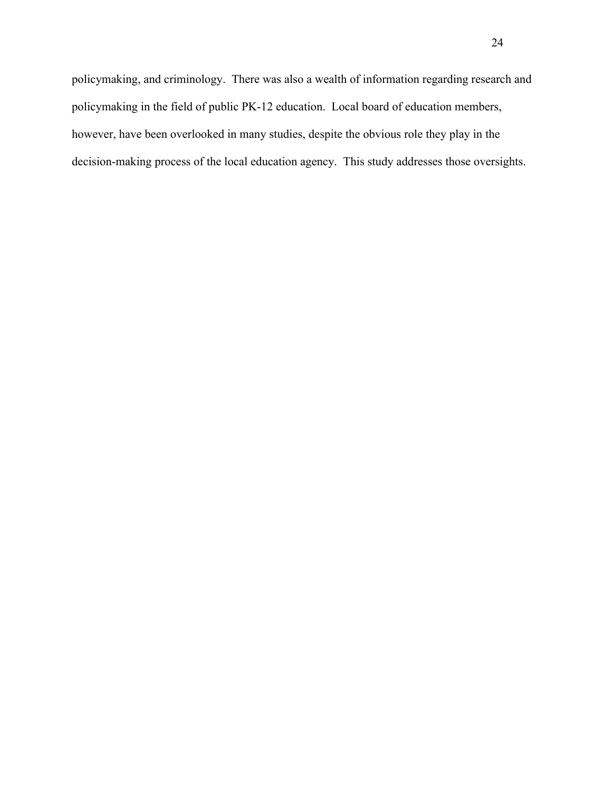policymaking, and criminology. There was also a wealth of information regarding research and policymaking in the field of public PK-12 education. Local board of education members, however, have been overlooked in many studies, despite the obvious role they play in the decision-making process of the local education agency. This study addresses those oversights.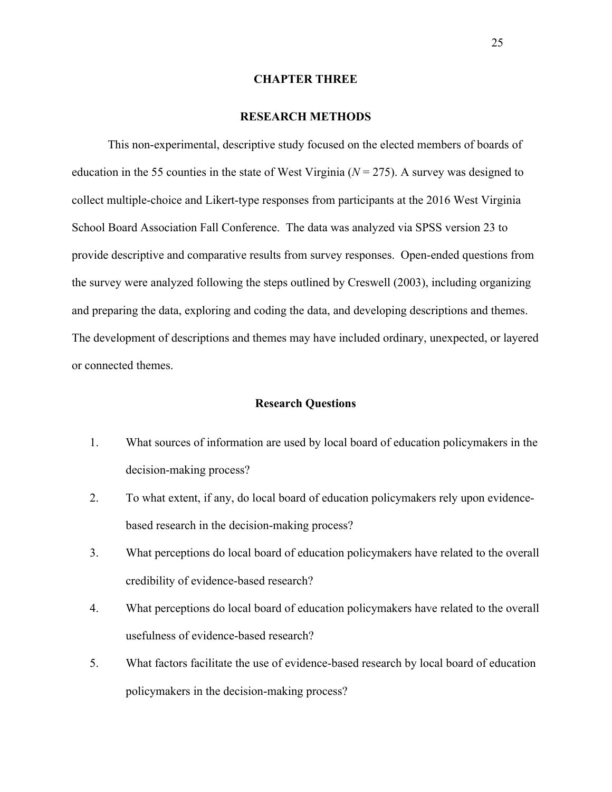#### **CHAPTER THREE**

#### **RESEARCH METHODS**

This non-experimental, descriptive study focused on the elected members of boards of education in the 55 counties in the state of West Virginia  $(N = 275)$ . A survey was designed to collect multiple-choice and Likert-type responses from participants at the 2016 West Virginia School Board Association Fall Conference. The data was analyzed via SPSS version 23 to provide descriptive and comparative results from survey responses. Open-ended questions from the survey were analyzed following the steps outlined by Creswell (2003), including organizing and preparing the data, exploring and coding the data, and developing descriptions and themes. The development of descriptions and themes may have included ordinary, unexpected, or layered or connected themes.

## **Research Questions**

- 1. What sources of information are used by local board of education policymakers in the decision-making process?
- 2. To what extent, if any, do local board of education policymakers rely upon evidencebased research in the decision-making process?
- 3. What perceptions do local board of education policymakers have related to the overall credibility of evidence-based research?
- 4. What perceptions do local board of education policymakers have related to the overall usefulness of evidence-based research?
- 5. What factors facilitate the use of evidence-based research by local board of education policymakers in the decision-making process?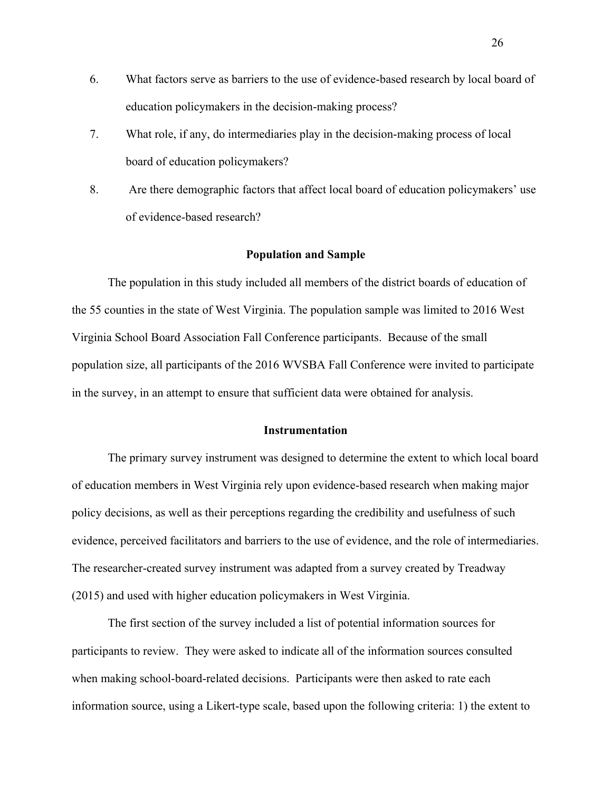- 6. What factors serve as barriers to the use of evidence-based research by local board of education policymakers in the decision-making process?
- 7. What role, if any, do intermediaries play in the decision-making process of local board of education policymakers?
- 8. Are there demographic factors that affect local board of education policymakers' use of evidence-based research?

### **Population and Sample**

The population in this study included all members of the district boards of education of the 55 counties in the state of West Virginia. The population sample was limited to 2016 West Virginia School Board Association Fall Conference participants. Because of the small population size, all participants of the 2016 WVSBA Fall Conference were invited to participate in the survey, in an attempt to ensure that sufficient data were obtained for analysis.

#### **Instrumentation**

The primary survey instrument was designed to determine the extent to which local board of education members in West Virginia rely upon evidence-based research when making major policy decisions, as well as their perceptions regarding the credibility and usefulness of such evidence, perceived facilitators and barriers to the use of evidence, and the role of intermediaries. The researcher-created survey instrument was adapted from a survey created by Treadway (2015) and used with higher education policymakers in West Virginia.

The first section of the survey included a list of potential information sources for participants to review. They were asked to indicate all of the information sources consulted when making school-board-related decisions. Participants were then asked to rate each information source, using a Likert-type scale, based upon the following criteria: 1) the extent to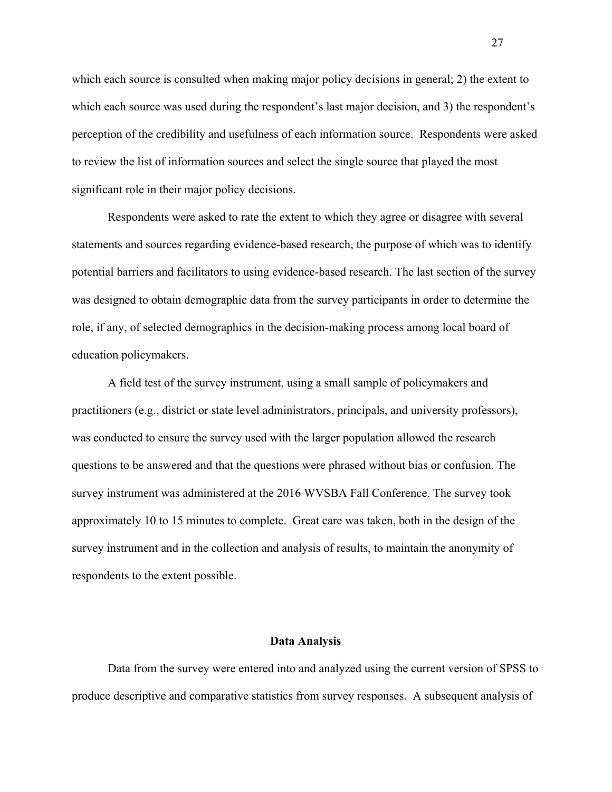which each source is consulted when making major policy decisions in general; 2) the extent to which each source was used during the respondent's last major decision, and 3) the respondent's perception of the credibility and usefulness of each information source. Respondents were asked to review the list of information sources and select the single source that played the most significant role in their major policy decisions.

Respondents were asked to rate the extent to which they agree or disagree with several statements and sources regarding evidence-based research, the purpose of which was to identify potential barriers and facilitators to using evidence-based research. The last section of the survey was designed to obtain demographic data from the survey participants in order to determine the role, if any, of selected demographics in the decision-making process among local board of education policymakers.

A field test of the survey instrument, using a small sample of policymakers and practitioners (e.g., district or state level administrators, principals, and university professors), was conducted to ensure the survey used with the larger population allowed the research questions to be answered and that the questions were phrased without bias or confusion. The survey instrument was administered at the 2016 WVSBA Fall Conference. The survey took approximately 10 to 15 minutes to complete. Great care was taken, both in the design of the survey instrument and in the collection and analysis of results, to maintain the anonymity of respondents to the extent possible.

#### **Data Analysis**

Data from the survey were entered into and analyzed using the current version of SPSS to produce descriptive and comparative statistics from survey responses. A subsequent analysis of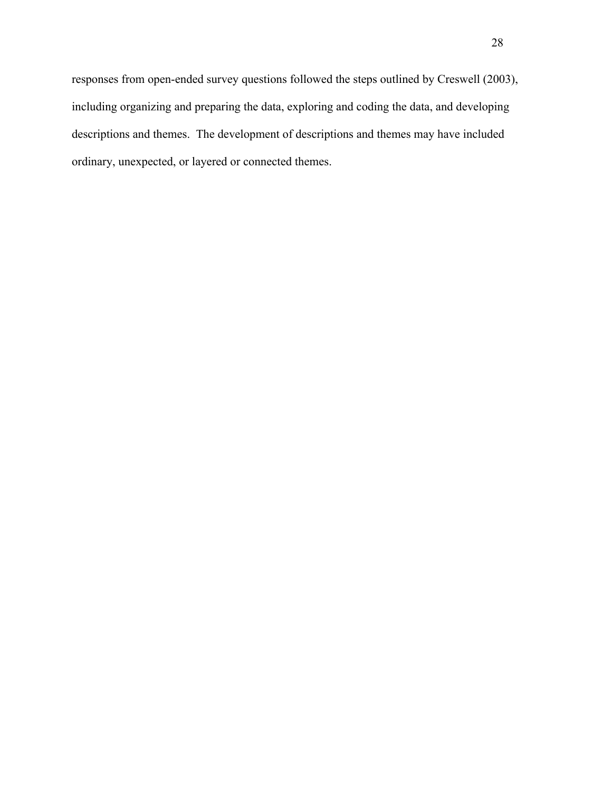responses from open-ended survey questions followed the steps outlined by Creswell (2003), including organizing and preparing the data, exploring and coding the data, and developing descriptions and themes. The development of descriptions and themes may have included ordinary, unexpected, or layered or connected themes.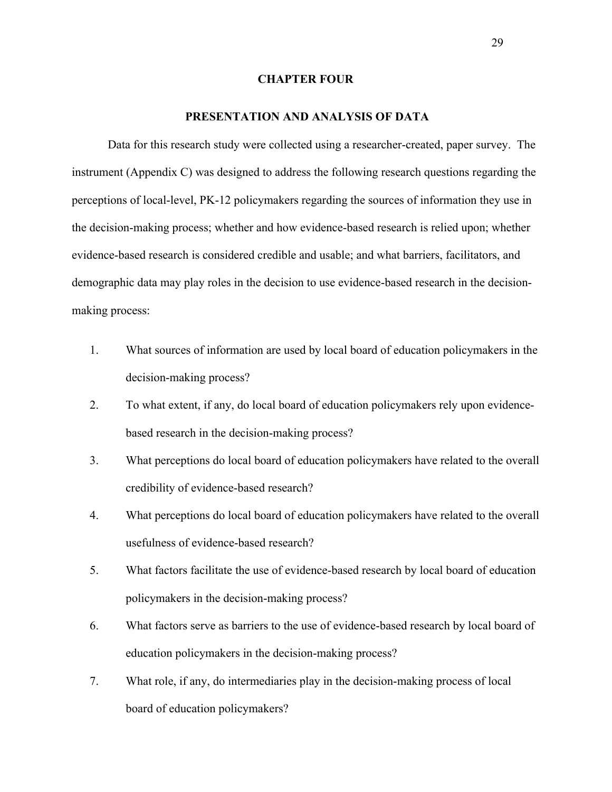### **CHAPTER FOUR**

### **PRESENTATION AND ANALYSIS OF DATA**

Data for this research study were collected using a researcher-created, paper survey. The instrument (Appendix C) was designed to address the following research questions regarding the perceptions of local-level, PK-12 policymakers regarding the sources of information they use in the decision-making process; whether and how evidence-based research is relied upon; whether evidence-based research is considered credible and usable; and what barriers, facilitators, and demographic data may play roles in the decision to use evidence-based research in the decisionmaking process:

- 1. What sources of information are used by local board of education policymakers in the decision-making process?
- 2. To what extent, if any, do local board of education policymakers rely upon evidencebased research in the decision-making process?
- 3. What perceptions do local board of education policymakers have related to the overall credibility of evidence-based research?
- 4. What perceptions do local board of education policymakers have related to the overall usefulness of evidence-based research?
- 5. What factors facilitate the use of evidence-based research by local board of education policymakers in the decision-making process?
- 6. What factors serve as barriers to the use of evidence-based research by local board of education policymakers in the decision-making process?
- 7. What role, if any, do intermediaries play in the decision-making process of local board of education policymakers?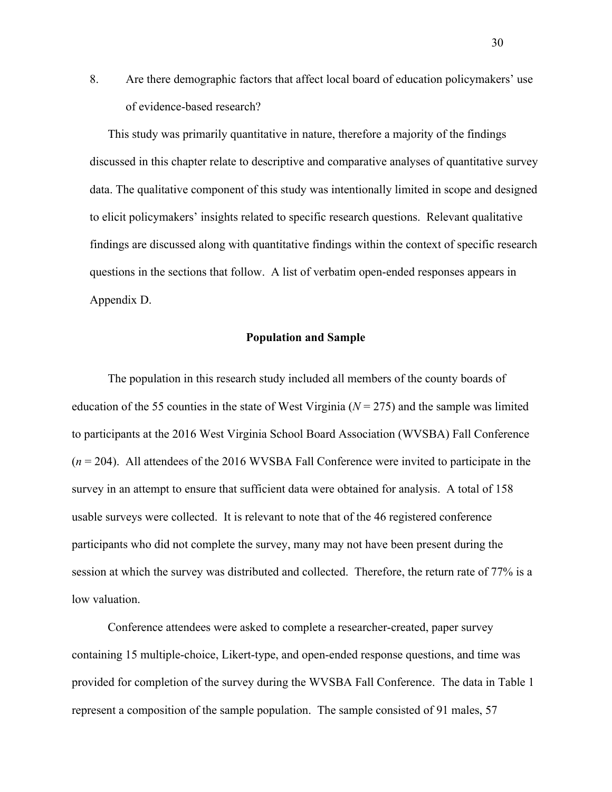8. Are there demographic factors that affect local board of education policymakers' use of evidence-based research?

This study was primarily quantitative in nature, therefore a majority of the findings discussed in this chapter relate to descriptive and comparative analyses of quantitative survey data. The qualitative component of this study was intentionally limited in scope and designed to elicit policymakers' insights related to specific research questions. Relevant qualitative findings are discussed along with quantitative findings within the context of specific research questions in the sections that follow. A list of verbatim open-ended responses appears in Appendix D.

### **Population and Sample**

The population in this research study included all members of the county boards of education of the 55 counties in the state of West Virginia ( $N = 275$ ) and the sample was limited to participants at the 2016 West Virginia School Board Association (WVSBA) Fall Conference (*n* = 204). All attendees of the 2016 WVSBA Fall Conference were invited to participate in the survey in an attempt to ensure that sufficient data were obtained for analysis. A total of 158 usable surveys were collected. It is relevant to note that of the 46 registered conference participants who did not complete the survey, many may not have been present during the session at which the survey was distributed and collected. Therefore, the return rate of 77% is a low valuation.

Conference attendees were asked to complete a researcher-created, paper survey containing 15 multiple-choice, Likert-type, and open-ended response questions, and time was provided for completion of the survey during the WVSBA Fall Conference. The data in Table 1 represent a composition of the sample population. The sample consisted of 91 males, 57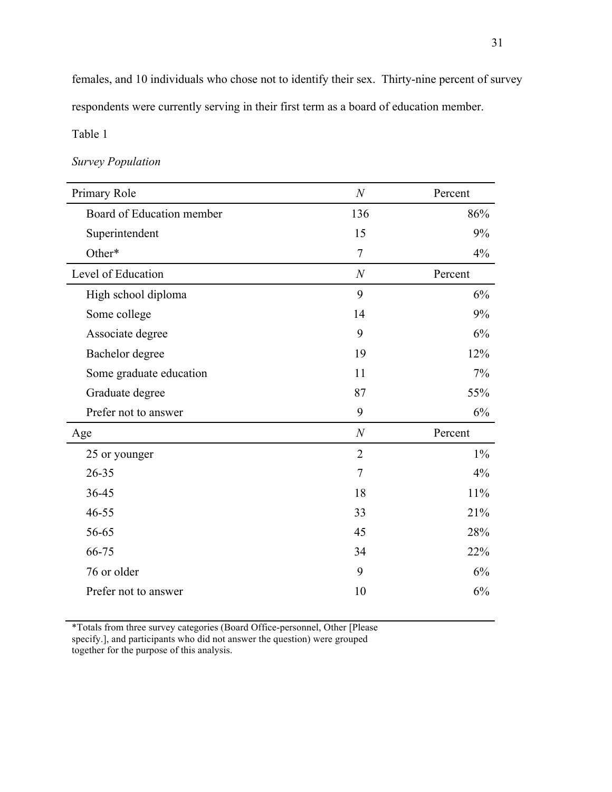females, and 10 individuals who chose not to identify their sex. Thirty-nine percent of survey respondents were currently serving in their first term as a board of education member.

Table 1

## *Survey Population*

| Board of Education member<br>136<br>86%<br>9%<br>Superintendent<br>15<br>$\overline{7}$<br>Other*<br>4%<br>Level of Education<br>$\boldsymbol{N}$<br>Percent<br>9<br>6%<br>High school diploma<br>14<br>9%<br>Some college<br>9<br>6%<br>Associate degree<br>12%<br>Bachelor degree<br>19<br>7%<br>11<br>Some graduate education<br>87<br>55%<br>Graduate degree<br>9<br>Prefer not to answer<br>6%<br>$\boldsymbol{N}$<br>Percent<br>Age<br>$\overline{2}$<br>$1\%$<br>25 or younger<br>$\tau$<br>4%<br>$26 - 35$<br>36-45<br>18<br>11%<br>33<br>21%<br>$46 - 55$<br>56-65<br>45<br>28%<br>66-75<br>22%<br>34<br>9<br>76 or older<br>6%<br>Prefer not to answer<br>10<br>6% | Primary Role | $\boldsymbol{N}$ | Percent |
|------------------------------------------------------------------------------------------------------------------------------------------------------------------------------------------------------------------------------------------------------------------------------------------------------------------------------------------------------------------------------------------------------------------------------------------------------------------------------------------------------------------------------------------------------------------------------------------------------------------------------------------------------------------------------|--------------|------------------|---------|
|                                                                                                                                                                                                                                                                                                                                                                                                                                                                                                                                                                                                                                                                              |              |                  |         |
|                                                                                                                                                                                                                                                                                                                                                                                                                                                                                                                                                                                                                                                                              |              |                  |         |
|                                                                                                                                                                                                                                                                                                                                                                                                                                                                                                                                                                                                                                                                              |              |                  |         |
|                                                                                                                                                                                                                                                                                                                                                                                                                                                                                                                                                                                                                                                                              |              |                  |         |
|                                                                                                                                                                                                                                                                                                                                                                                                                                                                                                                                                                                                                                                                              |              |                  |         |
|                                                                                                                                                                                                                                                                                                                                                                                                                                                                                                                                                                                                                                                                              |              |                  |         |
|                                                                                                                                                                                                                                                                                                                                                                                                                                                                                                                                                                                                                                                                              |              |                  |         |
|                                                                                                                                                                                                                                                                                                                                                                                                                                                                                                                                                                                                                                                                              |              |                  |         |
|                                                                                                                                                                                                                                                                                                                                                                                                                                                                                                                                                                                                                                                                              |              |                  |         |
|                                                                                                                                                                                                                                                                                                                                                                                                                                                                                                                                                                                                                                                                              |              |                  |         |
|                                                                                                                                                                                                                                                                                                                                                                                                                                                                                                                                                                                                                                                                              |              |                  |         |
|                                                                                                                                                                                                                                                                                                                                                                                                                                                                                                                                                                                                                                                                              |              |                  |         |
|                                                                                                                                                                                                                                                                                                                                                                                                                                                                                                                                                                                                                                                                              |              |                  |         |
|                                                                                                                                                                                                                                                                                                                                                                                                                                                                                                                                                                                                                                                                              |              |                  |         |
|                                                                                                                                                                                                                                                                                                                                                                                                                                                                                                                                                                                                                                                                              |              |                  |         |
|                                                                                                                                                                                                                                                                                                                                                                                                                                                                                                                                                                                                                                                                              |              |                  |         |
|                                                                                                                                                                                                                                                                                                                                                                                                                                                                                                                                                                                                                                                                              |              |                  |         |
|                                                                                                                                                                                                                                                                                                                                                                                                                                                                                                                                                                                                                                                                              |              |                  |         |
|                                                                                                                                                                                                                                                                                                                                                                                                                                                                                                                                                                                                                                                                              |              |                  |         |
|                                                                                                                                                                                                                                                                                                                                                                                                                                                                                                                                                                                                                                                                              |              |                  |         |

\*Totals from three survey categories (Board Office-personnel, Other [Please specify.], and participants who did not answer the question) were grouped together for the purpose of this analysis.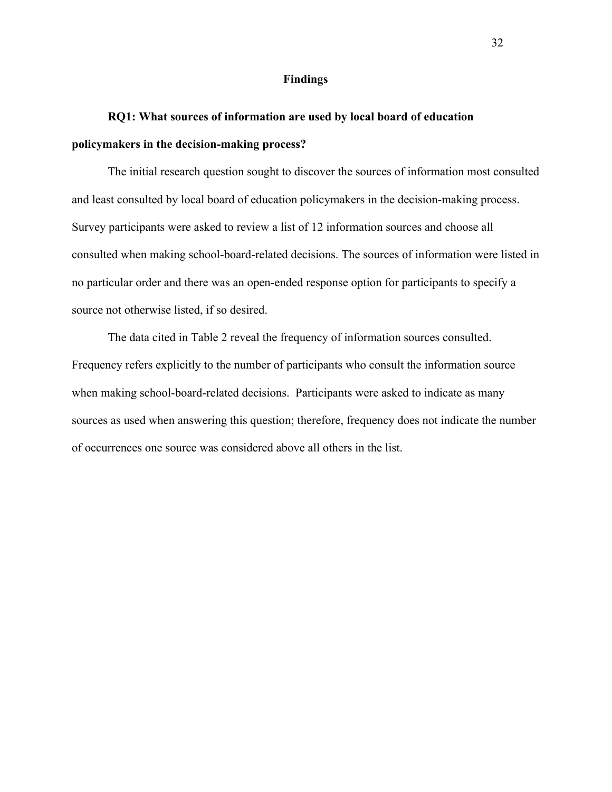### **Findings**

# **RQ1: What sources of information are used by local board of education policymakers in the decision-making process?**

The initial research question sought to discover the sources of information most consulted and least consulted by local board of education policymakers in the decision-making process. Survey participants were asked to review a list of 12 information sources and choose all consulted when making school-board-related decisions. The sources of information were listed in no particular order and there was an open-ended response option for participants to specify a source not otherwise listed, if so desired.

The data cited in Table 2 reveal the frequency of information sources consulted. Frequency refers explicitly to the number of participants who consult the information source when making school-board-related decisions. Participants were asked to indicate as many sources as used when answering this question; therefore, frequency does not indicate the number of occurrences one source was considered above all others in the list.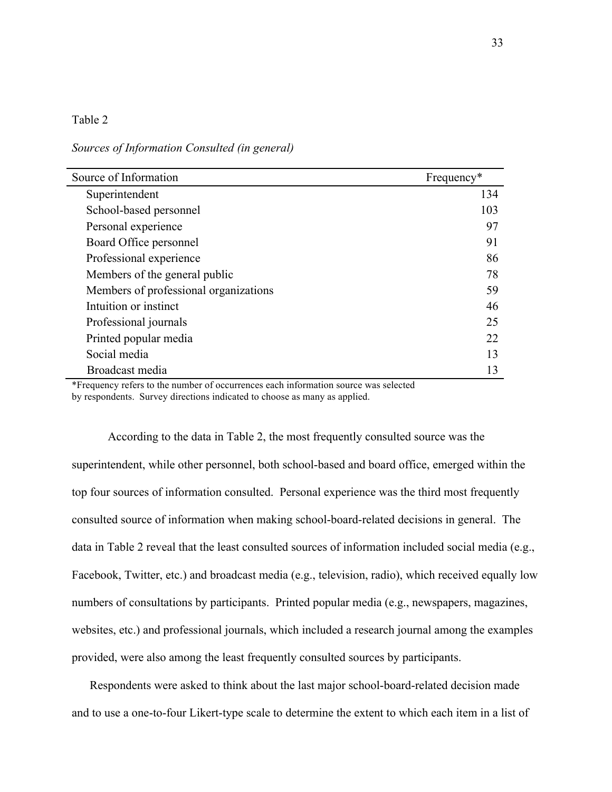*Sources of Information Consulted (in general)* 

| Source of Information                 | Frequency* |
|---------------------------------------|------------|
| Superintendent                        | 134        |
| School-based personnel                | 103        |
| Personal experience                   | 97         |
| Board Office personnel                | 91         |
| Professional experience               | 86         |
| Members of the general public         | 78         |
| Members of professional organizations | 59         |
| Intuition or instinct                 | 46         |
| Professional journals                 | 25         |
| Printed popular media                 | 22         |
| Social media                          | 13         |
| Broadcast media                       | 13         |

\*Frequency refers to the number of occurrences each information source was selected by respondents. Survey directions indicated to choose as many as applied.

According to the data in Table 2, the most frequently consulted source was the superintendent, while other personnel, both school-based and board office, emerged within the top four sources of information consulted. Personal experience was the third most frequently consulted source of information when making school-board-related decisions in general. The data in Table 2 reveal that the least consulted sources of information included social media (e.g., Facebook, Twitter, etc.) and broadcast media (e.g., television, radio), which received equally low numbers of consultations by participants. Printed popular media (e.g., newspapers, magazines, websites, etc.) and professional journals, which included a research journal among the examples provided, were also among the least frequently consulted sources by participants.

Respondents were asked to think about the last major school-board-related decision made and to use a one-to-four Likert-type scale to determine the extent to which each item in a list of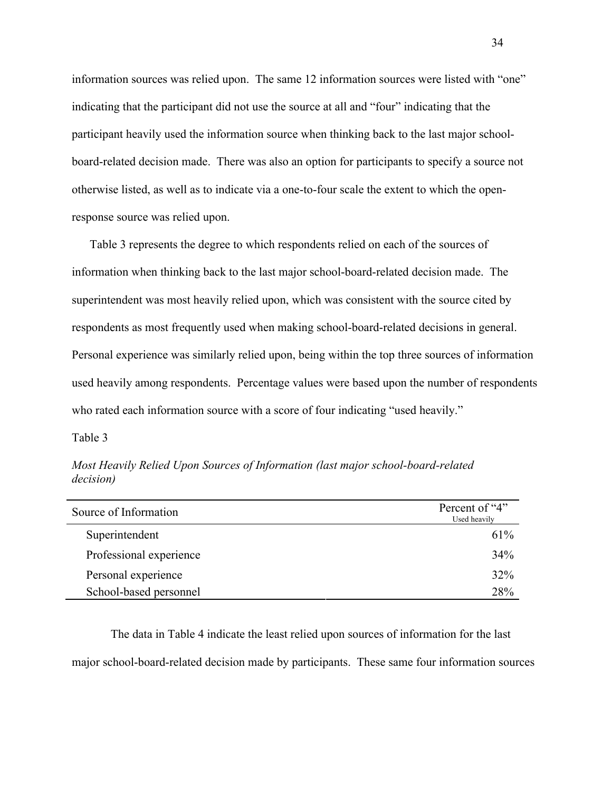information sources was relied upon. The same 12 information sources were listed with "one" indicating that the participant did not use the source at all and "four" indicating that the participant heavily used the information source when thinking back to the last major schoolboard-related decision made. There was also an option for participants to specify a source not otherwise listed, as well as to indicate via a one-to-four scale the extent to which the openresponse source was relied upon.

Table 3 represents the degree to which respondents relied on each of the sources of information when thinking back to the last major school-board-related decision made. The superintendent was most heavily relied upon, which was consistent with the source cited by respondents as most frequently used when making school-board-related decisions in general. Personal experience was similarly relied upon, being within the top three sources of information used heavily among respondents. Percentage values were based upon the number of respondents who rated each information source with a score of four indicating "used heavily."

Table 3

*Most Heavily Relied Upon Sources of Information (last major school-board-related decision)* 

| Source of Information   | Percent of "4"<br>Used heavily |
|-------------------------|--------------------------------|
| Superintendent          | 61%                            |
| Professional experience | 34%                            |
| Personal experience     | 32%                            |
| School-based personnel  | 28%                            |

The data in Table 4 indicate the least relied upon sources of information for the last major school-board-related decision made by participants. These same four information sources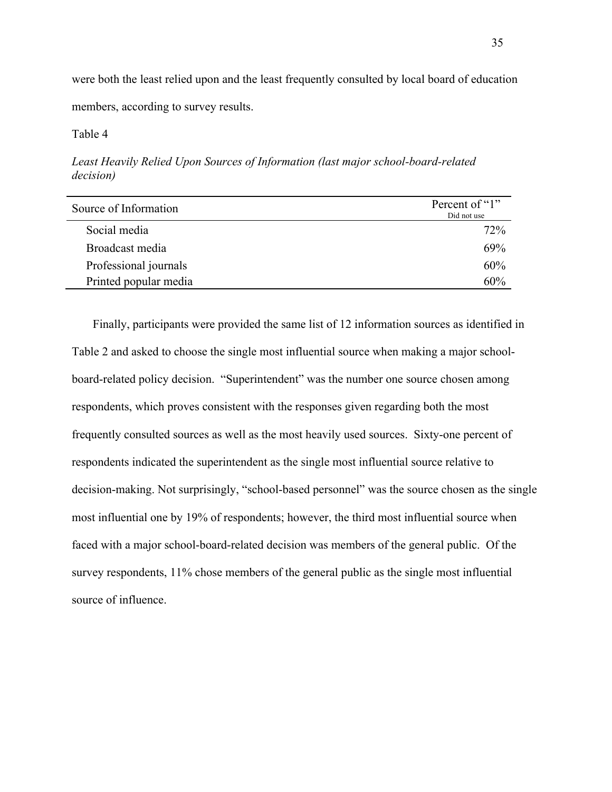were both the least relied upon and the least frequently consulted by local board of education members, according to survey results.

Table 4

*Least Heavily Relied Upon Sources of Information (last major school-board-related decision)* 

| Source of Information | Percent of "1"<br>Did not use |
|-----------------------|-------------------------------|
| Social media          | 72%                           |
| Broadcast media       | 69%                           |
| Professional journals | 60%                           |
| Printed popular media | 60%                           |

Finally, participants were provided the same list of 12 information sources as identified in Table 2 and asked to choose the single most influential source when making a major schoolboard-related policy decision. "Superintendent" was the number one source chosen among respondents, which proves consistent with the responses given regarding both the most frequently consulted sources as well as the most heavily used sources. Sixty-one percent of respondents indicated the superintendent as the single most influential source relative to decision-making. Not surprisingly, "school-based personnel" was the source chosen as the single most influential one by 19% of respondents; however, the third most influential source when faced with a major school-board-related decision was members of the general public. Of the survey respondents, 11% chose members of the general public as the single most influential source of influence.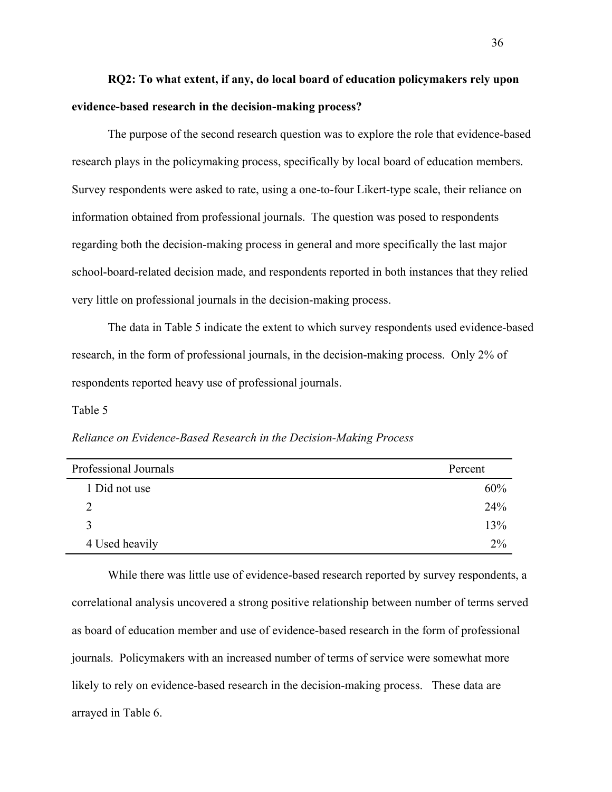# **RQ2: To what extent, if any, do local board of education policymakers rely upon evidence-based research in the decision-making process?**

The purpose of the second research question was to explore the role that evidence-based research plays in the policymaking process, specifically by local board of education members. Survey respondents were asked to rate, using a one-to-four Likert-type scale, their reliance on information obtained from professional journals. The question was posed to respondents regarding both the decision-making process in general and more specifically the last major school-board-related decision made, and respondents reported in both instances that they relied very little on professional journals in the decision-making process.

The data in Table 5 indicate the extent to which survey respondents used evidence-based research, in the form of professional journals, in the decision-making process. Only 2% of respondents reported heavy use of professional journals.

Table 5

| Reliance on Evidence-Based Research in the Decision-Making Process |  |  |  |  |  |  |  |
|--------------------------------------------------------------------|--|--|--|--|--|--|--|
|--------------------------------------------------------------------|--|--|--|--|--|--|--|

| Professional Journals | Percent |
|-----------------------|---------|
| 1 Did not use         | 60%     |
| າ                     | 24%     |
| $\mathbf 3$           | 13%     |
| 4 Used heavily        | 2%      |

While there was little use of evidence-based research reported by survey respondents, a correlational analysis uncovered a strong positive relationship between number of terms served as board of education member and use of evidence-based research in the form of professional journals. Policymakers with an increased number of terms of service were somewhat more likely to rely on evidence-based research in the decision-making process. These data are arrayed in Table 6.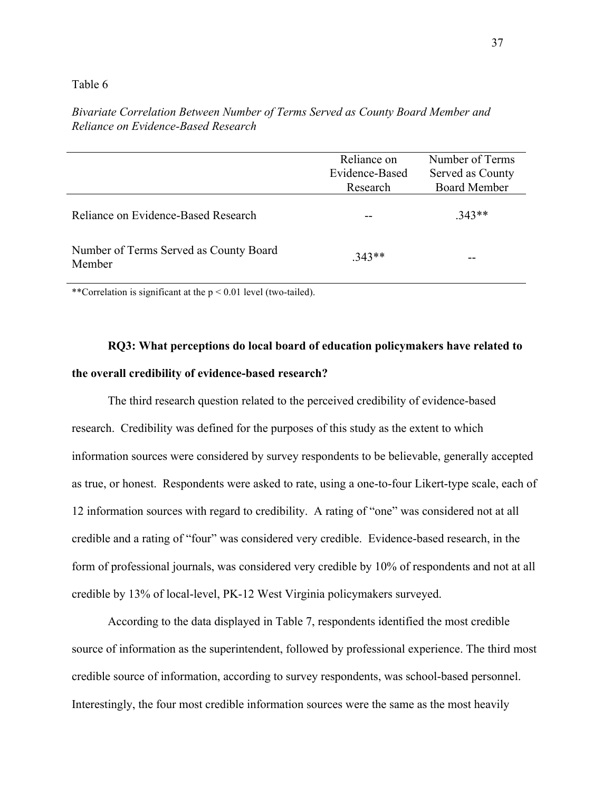|                                                  | Reliance on<br>Evidence-Based<br>Research | Number of Terms<br>Served as County<br><b>Board Member</b> |
|--------------------------------------------------|-------------------------------------------|------------------------------------------------------------|
| Reliance on Evidence-Based Research              |                                           | $.343**$                                                   |
| Number of Terms Served as County Board<br>Member | $343**$                                   |                                                            |

*Bivariate Correlation Between Number of Terms Served as County Board Member and Reliance on Evidence-Based Research* 

\*\*Correlation is significant at the  $p < 0.01$  level (two-tailed).

# **RQ3: What perceptions do local board of education policymakers have related to the overall credibility of evidence-based research?**

The third research question related to the perceived credibility of evidence-based research. Credibility was defined for the purposes of this study as the extent to which information sources were considered by survey respondents to be believable, generally accepted as true, or honest. Respondents were asked to rate, using a one-to-four Likert-type scale, each of 12 information sources with regard to credibility. A rating of "one" was considered not at all credible and a rating of "four" was considered very credible. Evidence-based research, in the form of professional journals, was considered very credible by 10% of respondents and not at all credible by 13% of local-level, PK-12 West Virginia policymakers surveyed.

According to the data displayed in Table 7, respondents identified the most credible source of information as the superintendent, followed by professional experience. The third most credible source of information, according to survey respondents, was school-based personnel. Interestingly, the four most credible information sources were the same as the most heavily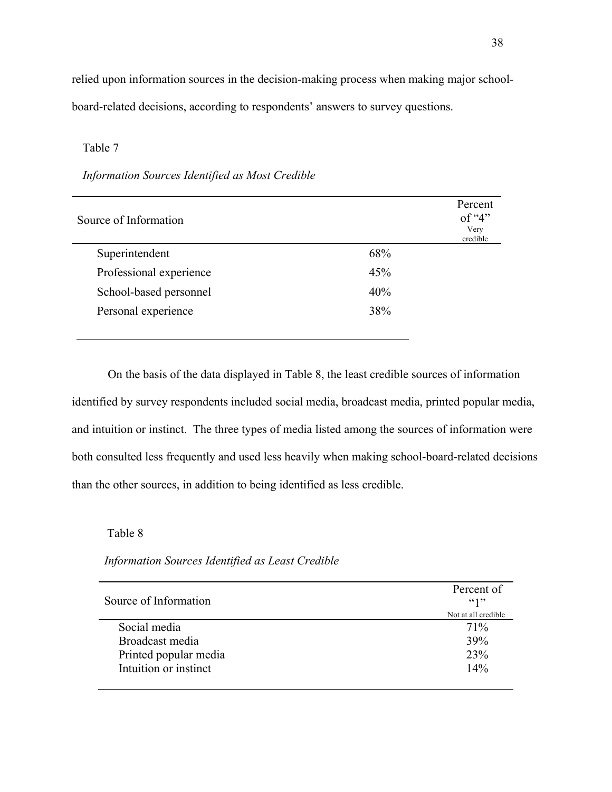relied upon information sources in the decision-making process when making major schoolboard-related decisions, according to respondents' answers to survey questions.

### Table 7

### *Information Sources Identified as Most Credible*

| Source of Information   |     | Percent<br>of " $4$ "<br>Very<br>credible |
|-------------------------|-----|-------------------------------------------|
| Superintendent          | 68% |                                           |
| Professional experience | 45% |                                           |
| School-based personnel  | 40% |                                           |
| Personal experience     | 38% |                                           |
|                         |     |                                           |

On the basis of the data displayed in Table 8, the least credible sources of information identified by survey respondents included social media, broadcast media, printed popular media, and intuition or instinct. The three types of media listed among the sources of information were both consulted less frequently and used less heavily when making school-board-related decisions than the other sources, in addition to being identified as less credible.

Table 8

*Information Sources Identified as Least Credible*

| Source of Information | Percent of<br>(41)  |
|-----------------------|---------------------|
|                       | Not at all credible |
| Social media          | 71%                 |
| Broadcast media       | 39%                 |
| Printed popular media | 23%                 |
| Intuition or instinct | 14%                 |
|                       |                     |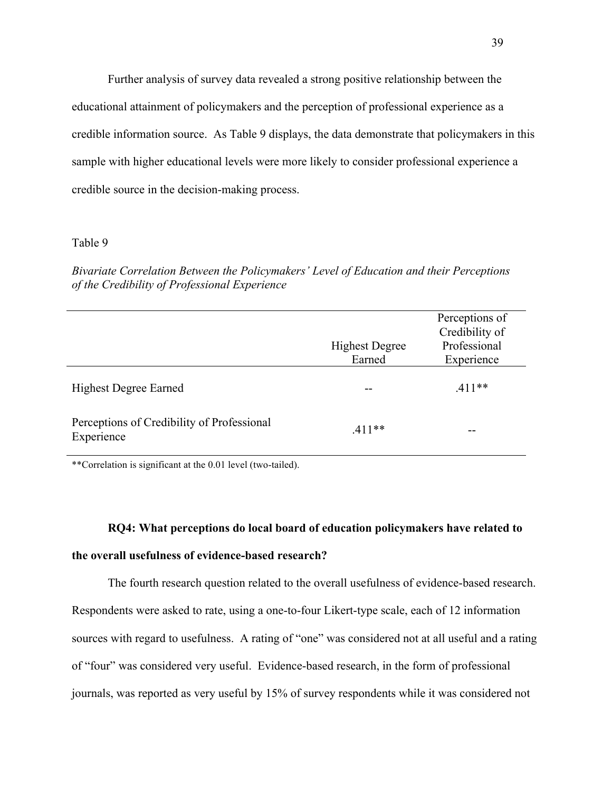Further analysis of survey data revealed a strong positive relationship between the educational attainment of policymakers and the perception of professional experience as a credible information source. As Table 9 displays, the data demonstrate that policymakers in this sample with higher educational levels were more likely to consider professional experience a credible source in the decision-making process.

### Table 9

*Bivariate Correlation Between the Policymakers' Level of Education and their Perceptions of the Credibility of Professional Experience* 

|                                                          | <b>Highest Degree</b><br>Earned | Perceptions of<br>Credibility of<br>Professional<br>Experience |
|----------------------------------------------------------|---------------------------------|----------------------------------------------------------------|
| <b>Highest Degree Earned</b>                             |                                 | $.411**$                                                       |
| Perceptions of Credibility of Professional<br>Experience | $.411**$                        |                                                                |

\*\*Correlation is significant at the 0.01 level (two-tailed).

### **RQ4: What perceptions do local board of education policymakers have related to**

### **the overall usefulness of evidence-based research?**

The fourth research question related to the overall usefulness of evidence-based research. Respondents were asked to rate, using a one-to-four Likert-type scale, each of 12 information sources with regard to usefulness. A rating of "one" was considered not at all useful and a rating of "four" was considered very useful. Evidence-based research, in the form of professional journals, was reported as very useful by 15% of survey respondents while it was considered not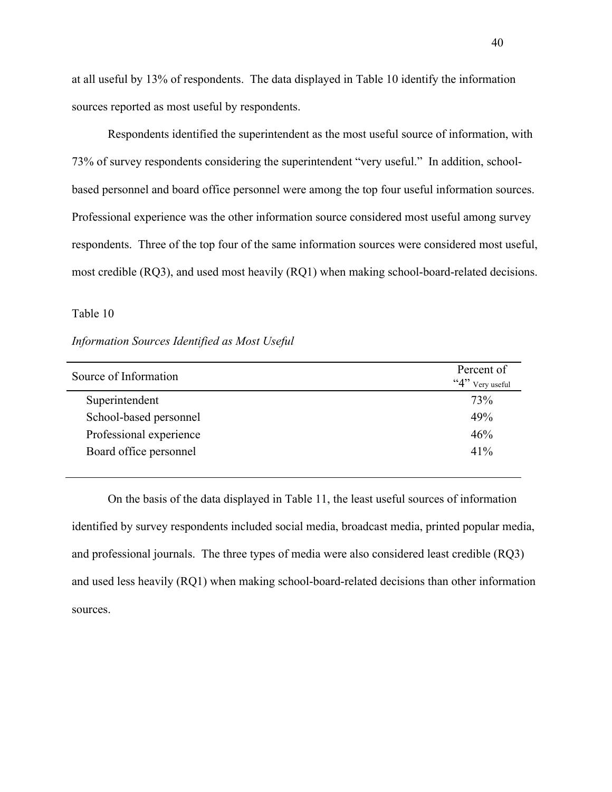at all useful by 13% of respondents. The data displayed in Table 10 identify the information sources reported as most useful by respondents.

Respondents identified the superintendent as the most useful source of information, with 73% of survey respondents considering the superintendent "very useful." In addition, schoolbased personnel and board office personnel were among the top four useful information sources. Professional experience was the other information source considered most useful among survey respondents. Three of the top four of the same information sources were considered most useful, most credible (RQ3), and used most heavily (RQ1) when making school-board-related decisions.

### Table 10

## *Information Sources Identified as Most Useful*

| Source of Information   | Percent of<br>" $4$ " Very useful |
|-------------------------|-----------------------------------|
| Superintendent          | 73%                               |
| School-based personnel  | 49%                               |
| Professional experience | 46%                               |
| Board office personnel  | 41%                               |
|                         |                                   |

On the basis of the data displayed in Table 11, the least useful sources of information identified by survey respondents included social media, broadcast media, printed popular media, and professional journals. The three types of media were also considered least credible (RQ3) and used less heavily (RQ1) when making school-board-related decisions than other information sources.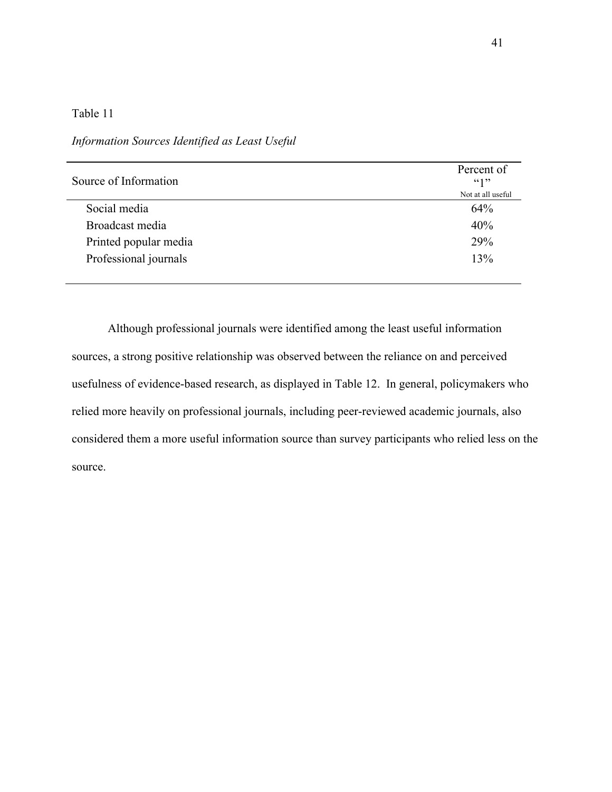## *Information Sources Identified as Least Useful*

| Source of Information | Percent of<br>66122<br>Not at all useful |
|-----------------------|------------------------------------------|
| Social media          | 64%                                      |
| Broadcast media       | 40%                                      |
| Printed popular media | 29%                                      |
| Professional journals | 13%                                      |
|                       |                                          |

Although professional journals were identified among the least useful information sources, a strong positive relationship was observed between the reliance on and perceived usefulness of evidence-based research, as displayed in Table 12. In general, policymakers who relied more heavily on professional journals, including peer-reviewed academic journals, also considered them a more useful information source than survey participants who relied less on the source.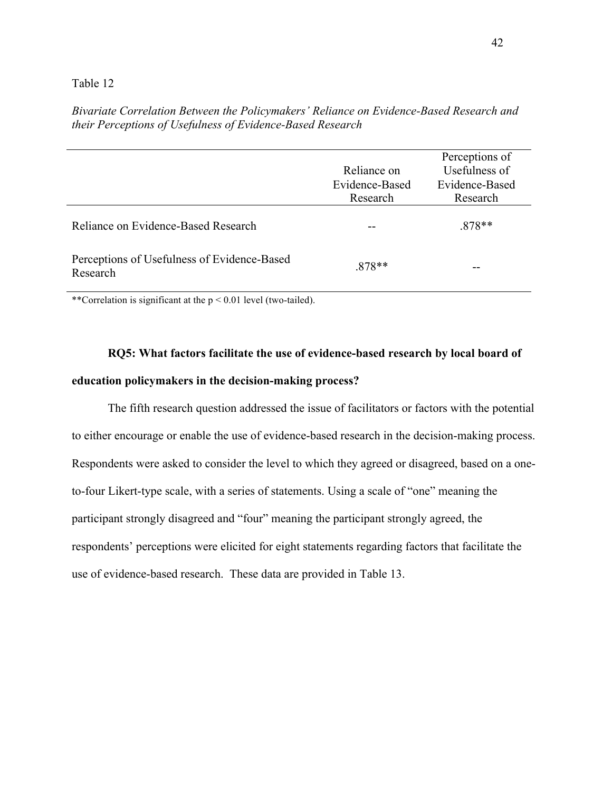*Bivariate Correlation Between the Policymakers' Reliance on Evidence-Based Research and their Perceptions of Usefulness of Evidence-Based Research*

|                                                         | Reliance on    | Perceptions of<br>Usefulness of |
|---------------------------------------------------------|----------------|---------------------------------|
|                                                         | Evidence-Based | Evidence-Based                  |
|                                                         | Research       | Research                        |
| Reliance on Evidence-Based Research                     |                | $.878**$                        |
| Perceptions of Usefulness of Evidence-Based<br>Research | $.878**$       |                                 |

\*\*Correlation is significant at the p < 0.01 level (two-tailed).

# **RQ5: What factors facilitate the use of evidence-based research by local board of education policymakers in the decision-making process?**

The fifth research question addressed the issue of facilitators or factors with the potential to either encourage or enable the use of evidence-based research in the decision-making process. Respondents were asked to consider the level to which they agreed or disagreed, based on a oneto-four Likert-type scale, with a series of statements. Using a scale of "one" meaning the participant strongly disagreed and "four" meaning the participant strongly agreed, the respondents' perceptions were elicited for eight statements regarding factors that facilitate the use of evidence-based research. These data are provided in Table 13.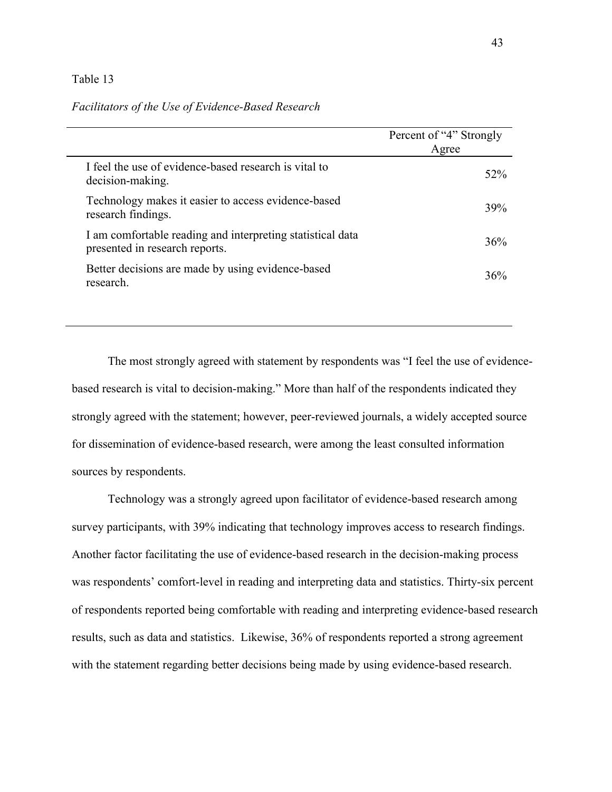### *Facilitators of the Use of Evidence-Based Research*

|                                                                                              | Percent of "4" Strongly<br>Agree |
|----------------------------------------------------------------------------------------------|----------------------------------|
| I feel the use of evidence-based research is vital to<br>decision-making.                    | 52%                              |
| Technology makes it easier to access evidence-based<br>research findings.                    | 39%                              |
| I am comfortable reading and interpreting statistical data<br>presented in research reports. | 36%                              |
| Better decisions are made by using evidence-based<br>research.                               | 36%                              |

The most strongly agreed with statement by respondents was "I feel the use of evidencebased research is vital to decision-making." More than half of the respondents indicated they strongly agreed with the statement; however, peer-reviewed journals, a widely accepted source for dissemination of evidence-based research, were among the least consulted information sources by respondents.

Technology was a strongly agreed upon facilitator of evidence-based research among survey participants, with 39% indicating that technology improves access to research findings. Another factor facilitating the use of evidence-based research in the decision-making process was respondents' comfort-level in reading and interpreting data and statistics. Thirty-six percent of respondents reported being comfortable with reading and interpreting evidence-based research results, such as data and statistics. Likewise, 36% of respondents reported a strong agreement with the statement regarding better decisions being made by using evidence-based research.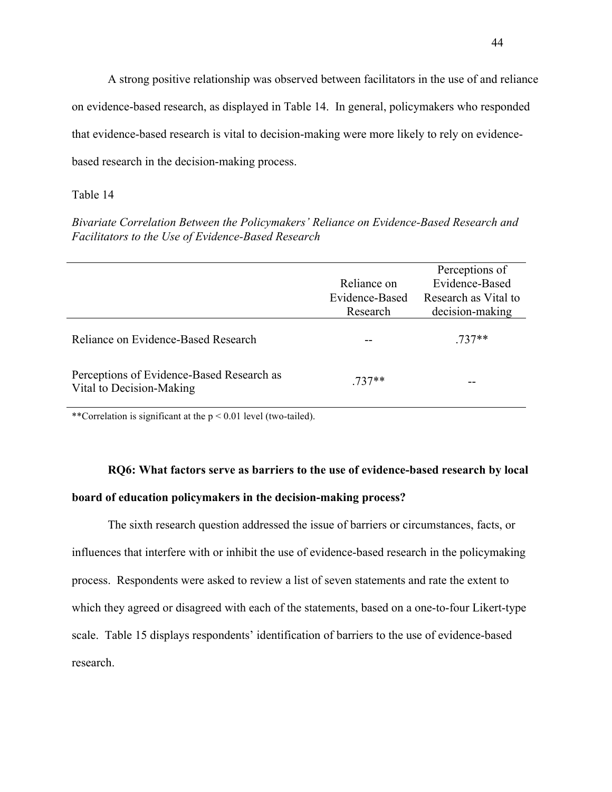A strong positive relationship was observed between facilitators in the use of and reliance on evidence-based research, as displayed in Table 14. In general, policymakers who responded that evidence-based research is vital to decision-making were more likely to rely on evidencebased research in the decision-making process.

## Table 14

*Bivariate Correlation Between the Policymakers' Reliance on Evidence-Based Research and Facilitators to the Use of Evidence-Based Research*

|                                                                       | Reliance on<br>Evidence-Based<br>Research | Perceptions of<br>Evidence-Based<br>Research as Vital to<br>decision-making |
|-----------------------------------------------------------------------|-------------------------------------------|-----------------------------------------------------------------------------|
| Reliance on Evidence-Based Research                                   |                                           | 737**                                                                       |
| Perceptions of Evidence-Based Research as<br>Vital to Decision-Making | 737**                                     |                                                                             |

\*\*Correlation is significant at the p < 0.01 level (two-tailed).

# **RQ6: What factors serve as barriers to the use of evidence-based research by local board of education policymakers in the decision-making process?**

The sixth research question addressed the issue of barriers or circumstances, facts, or influences that interfere with or inhibit the use of evidence-based research in the policymaking process. Respondents were asked to review a list of seven statements and rate the extent to which they agreed or disagreed with each of the statements, based on a one-to-four Likert-type scale. Table 15 displays respondents' identification of barriers to the use of evidence-based research.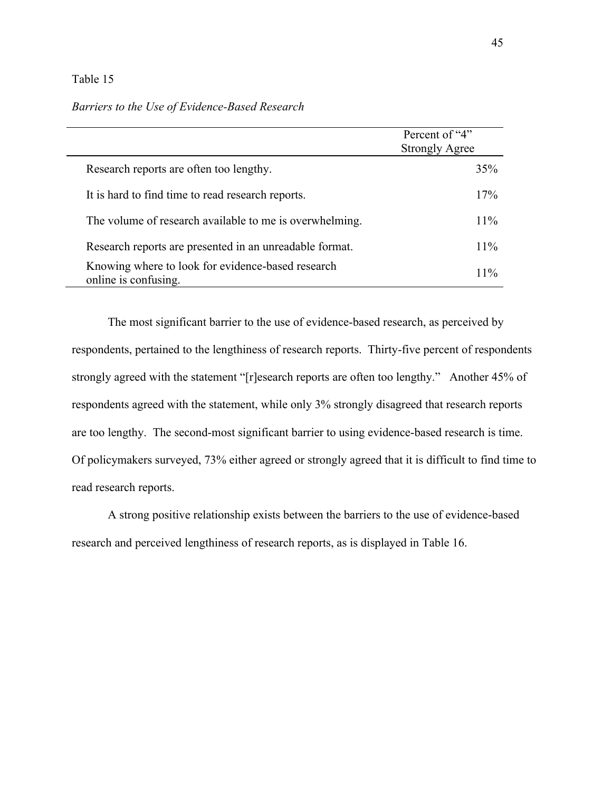# Percent of "4" Strongly Agree Research reports are often too lengthy. 35% It is hard to find time to read research reports. 17% The volume of research available to me is overwhelming. 11% Research reports are presented in an unreadable format. 11% Knowing where to look for evidence-based research online is confusing. 11% and the contract of cylinder-based research that the state of the state of the state of the state of the state of the state of the state of the state of the state of the state of the state of the s

*Barriers to the Use of Evidence-Based Research* 

The most significant barrier to the use of evidence-based research, as perceived by respondents, pertained to the lengthiness of research reports. Thirty-five percent of respondents strongly agreed with the statement "[r]esearch reports are often too lengthy." Another 45% of respondents agreed with the statement, while only 3% strongly disagreed that research reports are too lengthy. The second-most significant barrier to using evidence-based research is time. Of policymakers surveyed, 73% either agreed or strongly agreed that it is difficult to find time to read research reports.

A strong positive relationship exists between the barriers to the use of evidence-based research and perceived lengthiness of research reports, as is displayed in Table 16.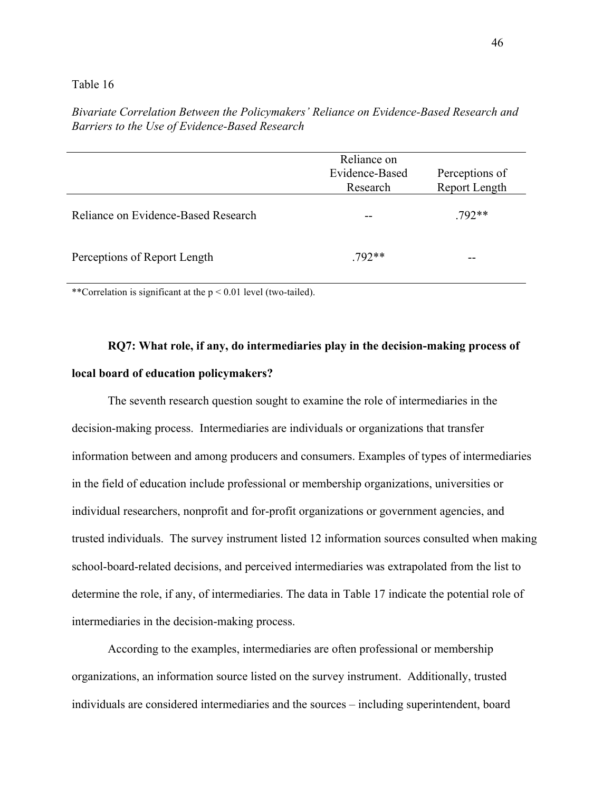*Bivariate Correlation Between the Policymakers' Reliance on Evidence-Based Research and Barriers to the Use of Evidence-Based Research*

|                                     | Reliance on<br>Evidence-Based<br>Research | Perceptions of<br>Report Length |
|-------------------------------------|-------------------------------------------|---------------------------------|
| Reliance on Evidence-Based Research | --                                        | $.792**$                        |
| Perceptions of Report Length        | $.792**$                                  | --                              |

\*\*Correlation is significant at the  $p < 0.01$  level (two-tailed).

# **RQ7: What role, if any, do intermediaries play in the decision-making process of local board of education policymakers?**

The seventh research question sought to examine the role of intermediaries in the decision-making process. Intermediaries are individuals or organizations that transfer information between and among producers and consumers. Examples of types of intermediaries in the field of education include professional or membership organizations, universities or individual researchers, nonprofit and for-profit organizations or government agencies, and trusted individuals. The survey instrument listed 12 information sources consulted when making school-board-related decisions, and perceived intermediaries was extrapolated from the list to determine the role, if any, of intermediaries. The data in Table 17 indicate the potential role of intermediaries in the decision-making process.

According to the examples, intermediaries are often professional or membership organizations, an information source listed on the survey instrument. Additionally, trusted individuals are considered intermediaries and the sources – including superintendent, board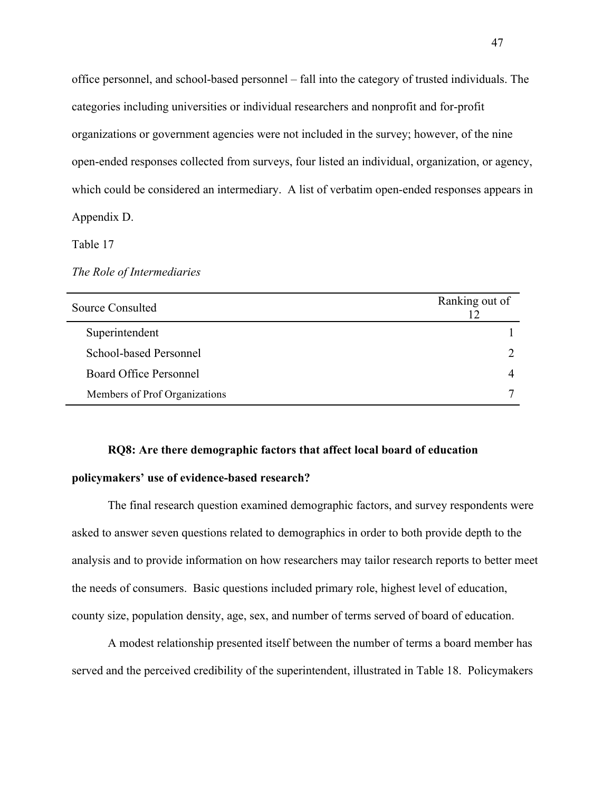office personnel, and school-based personnel – fall into the category of trusted individuals. The categories including universities or individual researchers and nonprofit and for-profit organizations or government agencies were not included in the survey; however, of the nine open-ended responses collected from surveys, four listed an individual, organization, or agency, which could be considered an intermediary. A list of verbatim open-ended responses appears in Appendix D.

Table 17

*The Role of Intermediaries* 

| Source Consulted              | Ranking out of<br>12 |
|-------------------------------|----------------------|
| Superintendent                |                      |
| School-based Personnel        |                      |
| <b>Board Office Personnel</b> |                      |
| Members of Prof Organizations | ⇁                    |

# **RQ8: Are there demographic factors that affect local board of education**

## **policymakers' use of evidence-based research?**

The final research question examined demographic factors, and survey respondents were asked to answer seven questions related to demographics in order to both provide depth to the analysis and to provide information on how researchers may tailor research reports to better meet the needs of consumers. Basic questions included primary role, highest level of education, county size, population density, age, sex, and number of terms served of board of education.

A modest relationship presented itself between the number of terms a board member has served and the perceived credibility of the superintendent, illustrated in Table 18. Policymakers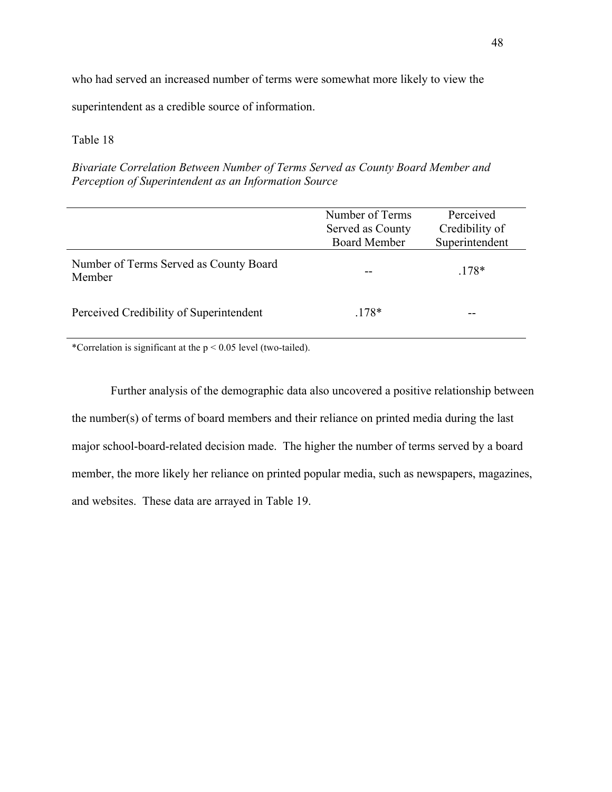who had served an increased number of terms were somewhat more likely to view the

superintendent as a credible source of information.

## Table 18

*Bivariate Correlation Between Number of Terms Served as County Board Member and Perception of Superintendent as an Information Source* 

|                                                  | Number of Terms     | Perceived      |
|--------------------------------------------------|---------------------|----------------|
|                                                  | Served as County    | Credibility of |
|                                                  | <b>Board Member</b> | Superintendent |
| Number of Terms Served as County Board<br>Member |                     | $.178*$        |
| Perceived Credibility of Superintendent          | $.178*$             |                |

\*Correlation is significant at the p < 0.05 level (two-tailed).

Further analysis of the demographic data also uncovered a positive relationship between the number(s) of terms of board members and their reliance on printed media during the last major school-board-related decision made. The higher the number of terms served by a board member, the more likely her reliance on printed popular media, such as newspapers, magazines, and websites. These data are arrayed in Table 19.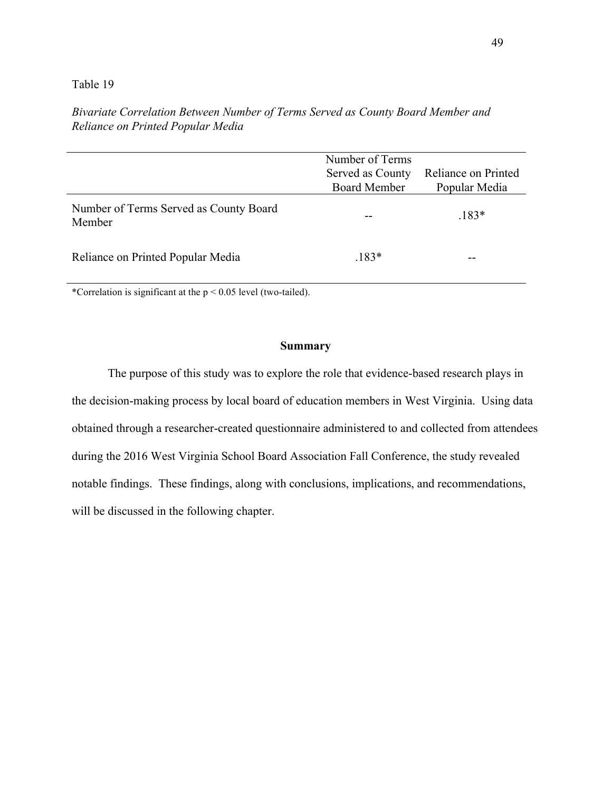|                                                  | Number of Terms<br>Served as County<br><b>Board Member</b> | Reliance on Printed<br>Popular Media |
|--------------------------------------------------|------------------------------------------------------------|--------------------------------------|
| Number of Terms Served as County Board<br>Member |                                                            | $.183*$                              |
| Reliance on Printed Popular Media                | $.183*$                                                    |                                      |

*Bivariate Correlation Between Number of Terms Served as County Board Member and Reliance on Printed Popular Media* 

\*Correlation is significant at the p < 0.05 level (two-tailed).

### **Summary**

The purpose of this study was to explore the role that evidence-based research plays in the decision-making process by local board of education members in West Virginia. Using data obtained through a researcher-created questionnaire administered to and collected from attendees during the 2016 West Virginia School Board Association Fall Conference, the study revealed notable findings. These findings, along with conclusions, implications, and recommendations, will be discussed in the following chapter.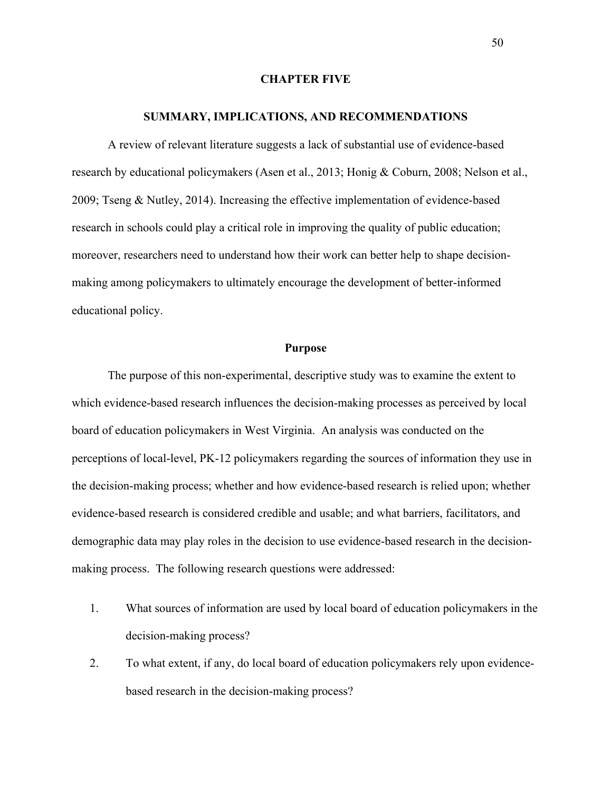### **CHAPTER FIVE**

#### **SUMMARY, IMPLICATIONS, AND RECOMMENDATIONS**

A review of relevant literature suggests a lack of substantial use of evidence-based research by educational policymakers (Asen et al., 2013; Honig & Coburn, 2008; Nelson et al., 2009; Tseng & Nutley, 2014). Increasing the effective implementation of evidence-based research in schools could play a critical role in improving the quality of public education; moreover, researchers need to understand how their work can better help to shape decisionmaking among policymakers to ultimately encourage the development of better-informed educational policy.

### **Purpose**

The purpose of this non-experimental, descriptive study was to examine the extent to which evidence-based research influences the decision-making processes as perceived by local board of education policymakers in West Virginia. An analysis was conducted on the perceptions of local-level, PK-12 policymakers regarding the sources of information they use in the decision-making process; whether and how evidence-based research is relied upon; whether evidence-based research is considered credible and usable; and what barriers, facilitators, and demographic data may play roles in the decision to use evidence-based research in the decisionmaking process. The following research questions were addressed:

- 1. What sources of information are used by local board of education policymakers in the decision-making process?
- 2. To what extent, if any, do local board of education policymakers rely upon evidencebased research in the decision-making process?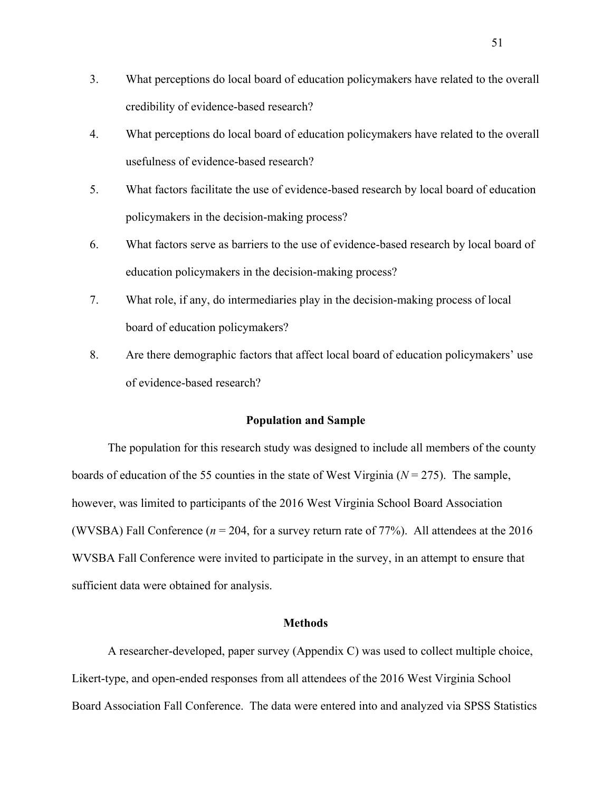- 3. What perceptions do local board of education policymakers have related to the overall credibility of evidence-based research?
- 4. What perceptions do local board of education policymakers have related to the overall usefulness of evidence-based research?
- 5. What factors facilitate the use of evidence-based research by local board of education policymakers in the decision-making process?
- 6. What factors serve as barriers to the use of evidence-based research by local board of education policymakers in the decision-making process?
- 7. What role, if any, do intermediaries play in the decision-making process of local board of education policymakers?
- 8. Are there demographic factors that affect local board of education policymakers' use of evidence-based research?

### **Population and Sample**

The population for this research study was designed to include all members of the county boards of education of the 55 counties in the state of West Virginia (*N* = 275). The sample, however, was limited to participants of the 2016 West Virginia School Board Association (WVSBA) Fall Conference (*n* = 204, for a survey return rate of 77%). All attendees at the 2016 WVSBA Fall Conference were invited to participate in the survey, in an attempt to ensure that sufficient data were obtained for analysis.

### **Methods**

A researcher-developed, paper survey (Appendix C) was used to collect multiple choice, Likert-type, and open-ended responses from all attendees of the 2016 West Virginia School Board Association Fall Conference. The data were entered into and analyzed via SPSS Statistics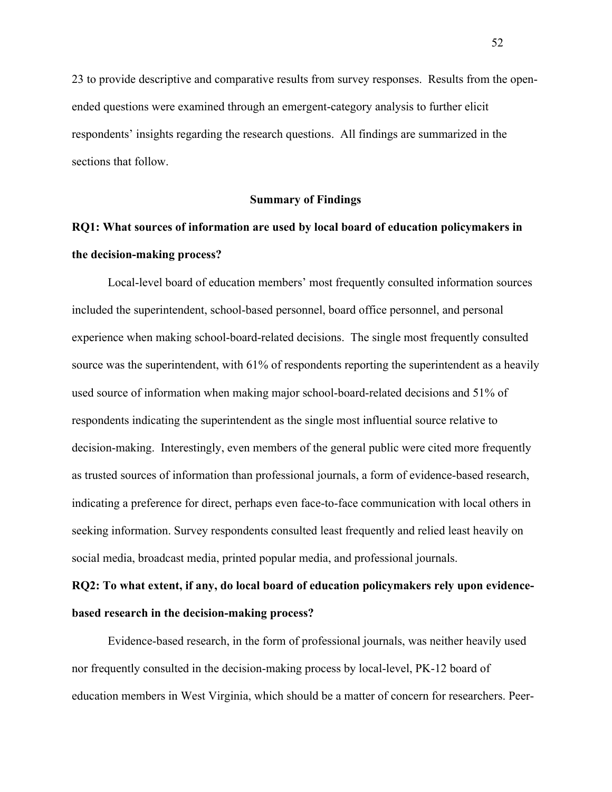23 to provide descriptive and comparative results from survey responses. Results from the openended questions were examined through an emergent-category analysis to further elicit respondents' insights regarding the research questions. All findings are summarized in the sections that follow.

### **Summary of Findings**

# **RQ1: What sources of information are used by local board of education policymakers in the decision-making process?**

Local-level board of education members' most frequently consulted information sources included the superintendent, school-based personnel, board office personnel, and personal experience when making school-board-related decisions. The single most frequently consulted source was the superintendent, with 61% of respondents reporting the superintendent as a heavily used source of information when making major school-board-related decisions and 51% of respondents indicating the superintendent as the single most influential source relative to decision-making. Interestingly, even members of the general public were cited more frequently as trusted sources of information than professional journals, a form of evidence-based research, indicating a preference for direct, perhaps even face-to-face communication with local others in seeking information. Survey respondents consulted least frequently and relied least heavily on social media, broadcast media, printed popular media, and professional journals.

# **RQ2: To what extent, if any, do local board of education policymakers rely upon evidencebased research in the decision-making process?**

Evidence-based research, in the form of professional journals, was neither heavily used nor frequently consulted in the decision-making process by local-level, PK-12 board of education members in West Virginia, which should be a matter of concern for researchers. Peer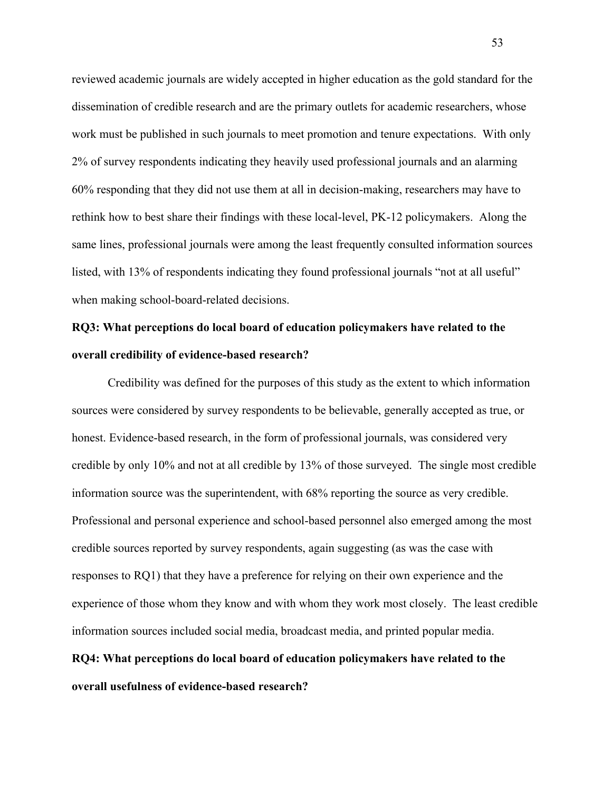reviewed academic journals are widely accepted in higher education as the gold standard for the dissemination of credible research and are the primary outlets for academic researchers, whose work must be published in such journals to meet promotion and tenure expectations. With only 2% of survey respondents indicating they heavily used professional journals and an alarming 60% responding that they did not use them at all in decision-making, researchers may have to rethink how to best share their findings with these local-level, PK-12 policymakers. Along the same lines, professional journals were among the least frequently consulted information sources listed, with 13% of respondents indicating they found professional journals "not at all useful" when making school-board-related decisions.

# **RQ3: What perceptions do local board of education policymakers have related to the overall credibility of evidence-based research?**

Credibility was defined for the purposes of this study as the extent to which information sources were considered by survey respondents to be believable, generally accepted as true, or honest. Evidence-based research, in the form of professional journals, was considered very credible by only 10% and not at all credible by 13% of those surveyed. The single most credible information source was the superintendent, with 68% reporting the source as very credible. Professional and personal experience and school-based personnel also emerged among the most credible sources reported by survey respondents, again suggesting (as was the case with responses to RQ1) that they have a preference for relying on their own experience and the experience of those whom they know and with whom they work most closely. The least credible information sources included social media, broadcast media, and printed popular media. **RQ4: What perceptions do local board of education policymakers have related to the** 

### **overall usefulness of evidence-based research?**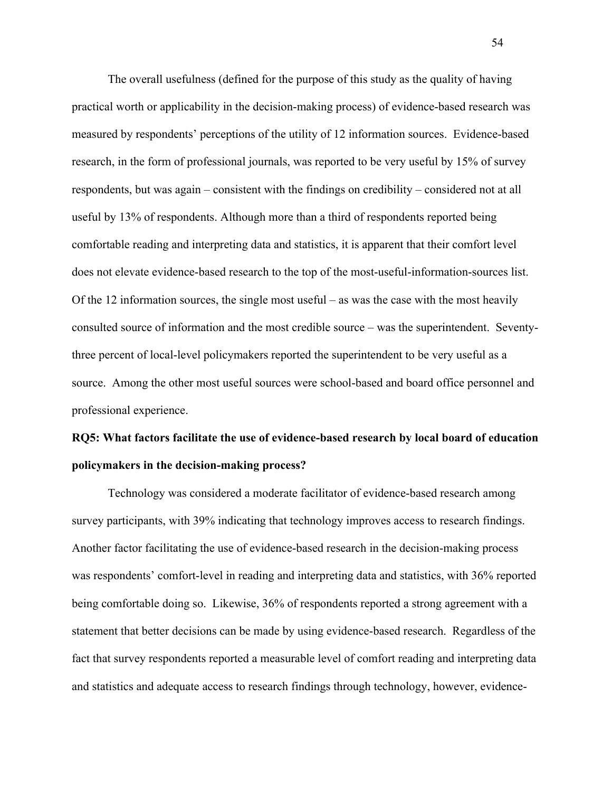The overall usefulness (defined for the purpose of this study as the quality of having practical worth or applicability in the decision-making process) of evidence-based research was measured by respondents' perceptions of the utility of 12 information sources. Evidence-based research, in the form of professional journals, was reported to be very useful by 15% of survey respondents, but was again – consistent with the findings on credibility – considered not at all useful by 13% of respondents. Although more than a third of respondents reported being comfortable reading and interpreting data and statistics, it is apparent that their comfort level does not elevate evidence-based research to the top of the most-useful-information-sources list. Of the 12 information sources, the single most useful – as was the case with the most heavily consulted source of information and the most credible source – was the superintendent. Seventythree percent of local-level policymakers reported the superintendent to be very useful as a source. Among the other most useful sources were school-based and board office personnel and professional experience.

# **RQ5: What factors facilitate the use of evidence-based research by local board of education policymakers in the decision-making process?**

Technology was considered a moderate facilitator of evidence-based research among survey participants, with 39% indicating that technology improves access to research findings. Another factor facilitating the use of evidence-based research in the decision-making process was respondents' comfort-level in reading and interpreting data and statistics, with 36% reported being comfortable doing so. Likewise, 36% of respondents reported a strong agreement with a statement that better decisions can be made by using evidence-based research. Regardless of the fact that survey respondents reported a measurable level of comfort reading and interpreting data and statistics and adequate access to research findings through technology, however, evidence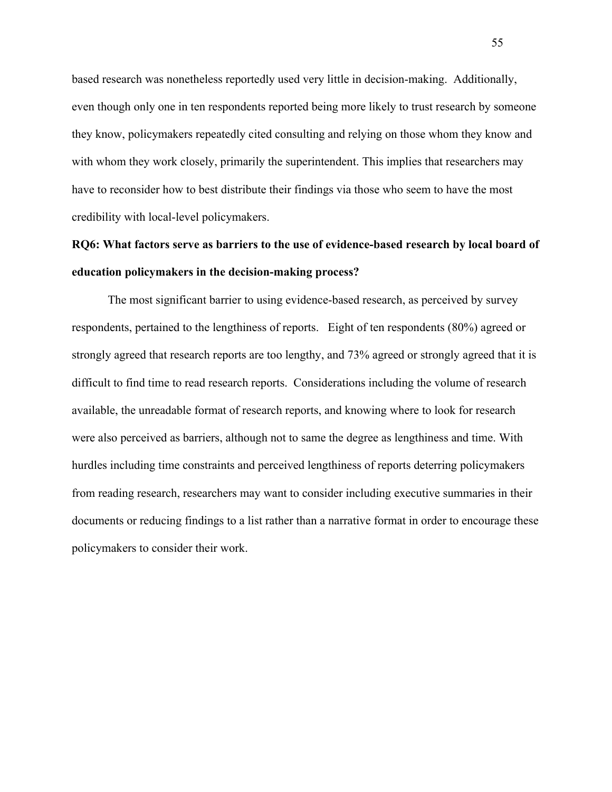based research was nonetheless reportedly used very little in decision-making. Additionally, even though only one in ten respondents reported being more likely to trust research by someone they know, policymakers repeatedly cited consulting and relying on those whom they know and with whom they work closely, primarily the superintendent. This implies that researchers may have to reconsider how to best distribute their findings via those who seem to have the most credibility with local-level policymakers.

# **RQ6: What factors serve as barriers to the use of evidence-based research by local board of education policymakers in the decision-making process?**

The most significant barrier to using evidence-based research, as perceived by survey respondents, pertained to the lengthiness of reports. Eight of ten respondents (80%) agreed or strongly agreed that research reports are too lengthy, and 73% agreed or strongly agreed that it is difficult to find time to read research reports. Considerations including the volume of research available, the unreadable format of research reports, and knowing where to look for research were also perceived as barriers, although not to same the degree as lengthiness and time. With hurdles including time constraints and perceived lengthiness of reports deterring policymakers from reading research, researchers may want to consider including executive summaries in their documents or reducing findings to a list rather than a narrative format in order to encourage these policymakers to consider their work.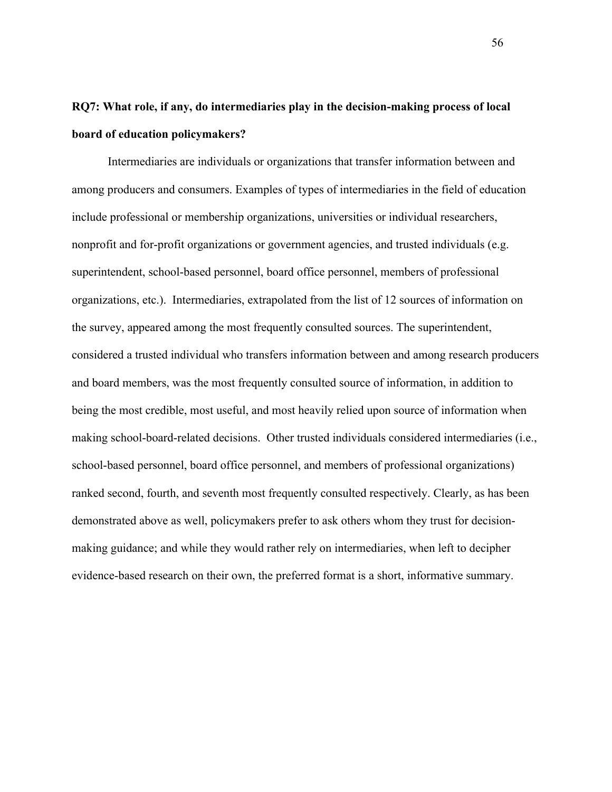# **RQ7: What role, if any, do intermediaries play in the decision-making process of local board of education policymakers?**

Intermediaries are individuals or organizations that transfer information between and among producers and consumers. Examples of types of intermediaries in the field of education include professional or membership organizations, universities or individual researchers, nonprofit and for-profit organizations or government agencies, and trusted individuals (e.g. superintendent, school-based personnel, board office personnel, members of professional organizations, etc.). Intermediaries, extrapolated from the list of 12 sources of information on the survey, appeared among the most frequently consulted sources. The superintendent, considered a trusted individual who transfers information between and among research producers and board members, was the most frequently consulted source of information, in addition to being the most credible, most useful, and most heavily relied upon source of information when making school-board-related decisions. Other trusted individuals considered intermediaries (i.e., school-based personnel, board office personnel, and members of professional organizations) ranked second, fourth, and seventh most frequently consulted respectively. Clearly, as has been demonstrated above as well, policymakers prefer to ask others whom they trust for decisionmaking guidance; and while they would rather rely on intermediaries, when left to decipher evidence-based research on their own, the preferred format is a short, informative summary.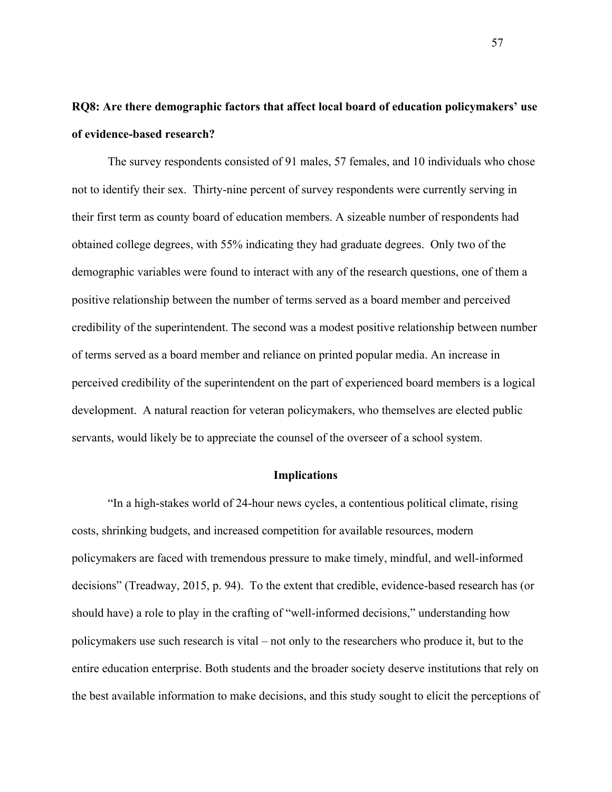# **RQ8: Are there demographic factors that affect local board of education policymakers' use of evidence-based research?**

The survey respondents consisted of 91 males, 57 females, and 10 individuals who chose not to identify their sex. Thirty-nine percent of survey respondents were currently serving in their first term as county board of education members. A sizeable number of respondents had obtained college degrees, with 55% indicating they had graduate degrees. Only two of the demographic variables were found to interact with any of the research questions, one of them a positive relationship between the number of terms served as a board member and perceived credibility of the superintendent. The second was a modest positive relationship between number of terms served as a board member and reliance on printed popular media. An increase in perceived credibility of the superintendent on the part of experienced board members is a logical development. A natural reaction for veteran policymakers, who themselves are elected public servants, would likely be to appreciate the counsel of the overseer of a school system.

### **Implications**

"In a high-stakes world of 24-hour news cycles, a contentious political climate, rising costs, shrinking budgets, and increased competition for available resources, modern policymakers are faced with tremendous pressure to make timely, mindful, and well-informed decisions" (Treadway, 2015, p. 94). To the extent that credible, evidence-based research has (or should have) a role to play in the crafting of "well-informed decisions," understanding how policymakers use such research is vital – not only to the researchers who produce it, but to the entire education enterprise. Both students and the broader society deserve institutions that rely on the best available information to make decisions, and this study sought to elicit the perceptions of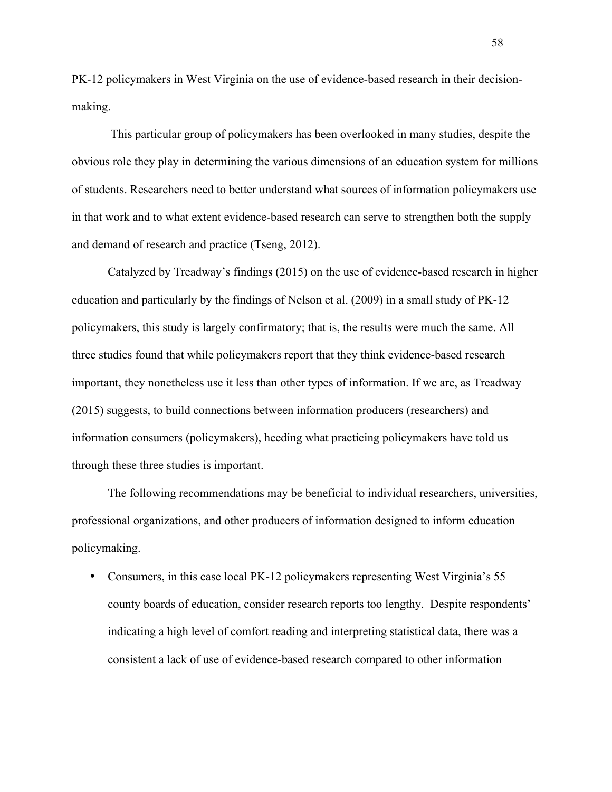PK-12 policymakers in West Virginia on the use of evidence-based research in their decisionmaking.

This particular group of policymakers has been overlooked in many studies, despite the obvious role they play in determining the various dimensions of an education system for millions of students. Researchers need to better understand what sources of information policymakers use in that work and to what extent evidence-based research can serve to strengthen both the supply and demand of research and practice (Tseng, 2012).

Catalyzed by Treadway's findings (2015) on the use of evidence-based research in higher education and particularly by the findings of Nelson et al. (2009) in a small study of PK-12 policymakers, this study is largely confirmatory; that is, the results were much the same. All three studies found that while policymakers report that they think evidence-based research important, they nonetheless use it less than other types of information. If we are, as Treadway (2015) suggests, to build connections between information producers (researchers) and information consumers (policymakers), heeding what practicing policymakers have told us through these three studies is important.

The following recommendations may be beneficial to individual researchers, universities, professional organizations, and other producers of information designed to inform education policymaking.

• Consumers, in this case local PK-12 policymakers representing West Virginia's 55 county boards of education, consider research reports too lengthy. Despite respondents' indicating a high level of comfort reading and interpreting statistical data, there was a consistent a lack of use of evidence-based research compared to other information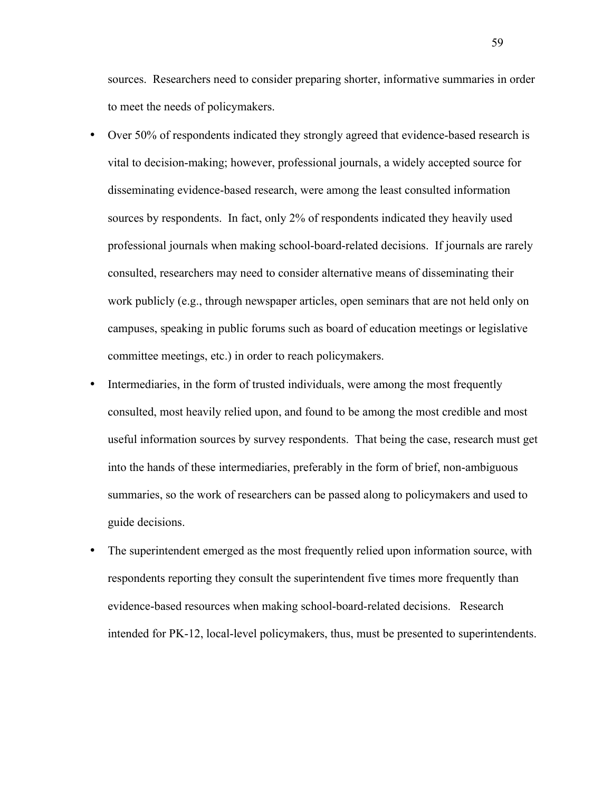sources. Researchers need to consider preparing shorter, informative summaries in order to meet the needs of policymakers.

- Over 50% of respondents indicated they strongly agreed that evidence-based research is vital to decision-making; however, professional journals, a widely accepted source for disseminating evidence-based research, were among the least consulted information sources by respondents. In fact, only 2% of respondents indicated they heavily used professional journals when making school-board-related decisions. If journals are rarely consulted, researchers may need to consider alternative means of disseminating their work publicly (e.g., through newspaper articles, open seminars that are not held only on campuses, speaking in public forums such as board of education meetings or legislative committee meetings, etc.) in order to reach policymakers.
- Intermediaries, in the form of trusted individuals, were among the most frequently consulted, most heavily relied upon, and found to be among the most credible and most useful information sources by survey respondents. That being the case, research must get into the hands of these intermediaries, preferably in the form of brief, non-ambiguous summaries, so the work of researchers can be passed along to policymakers and used to guide decisions.
- The superintendent emerged as the most frequently relied upon information source, with respondents reporting they consult the superintendent five times more frequently than evidence-based resources when making school-board-related decisions. Research intended for PK-12, local-level policymakers, thus, must be presented to superintendents.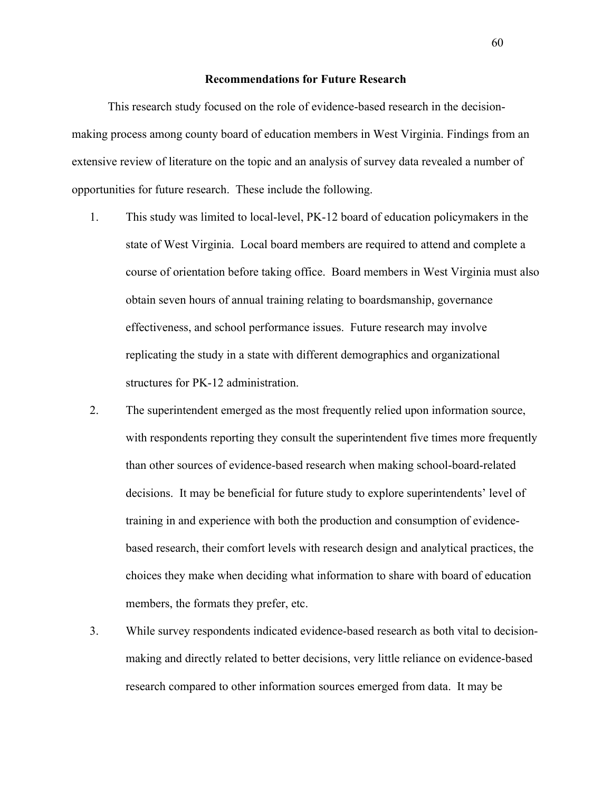### **Recommendations for Future Research**

This research study focused on the role of evidence-based research in the decisionmaking process among county board of education members in West Virginia. Findings from an extensive review of literature on the topic and an analysis of survey data revealed a number of opportunities for future research. These include the following.

- 1. This study was limited to local-level, PK-12 board of education policymakers in the state of West Virginia. Local board members are required to attend and complete a course of orientation before taking office. Board members in West Virginia must also obtain seven hours of annual training relating to boardsmanship, governance effectiveness, and school performance issues. Future research may involve replicating the study in a state with different demographics and organizational structures for PK-12 administration.
- 2. The superintendent emerged as the most frequently relied upon information source, with respondents reporting they consult the superintendent five times more frequently than other sources of evidence-based research when making school-board-related decisions. It may be beneficial for future study to explore superintendents' level of training in and experience with both the production and consumption of evidencebased research, their comfort levels with research design and analytical practices, the choices they make when deciding what information to share with board of education members, the formats they prefer, etc.
- 3. While survey respondents indicated evidence-based research as both vital to decisionmaking and directly related to better decisions, very little reliance on evidence-based research compared to other information sources emerged from data. It may be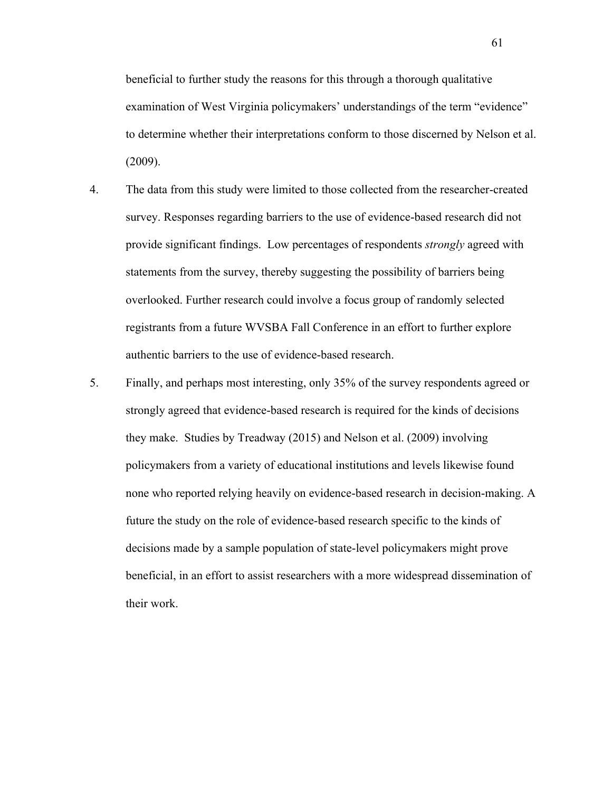beneficial to further study the reasons for this through a thorough qualitative examination of West Virginia policymakers' understandings of the term "evidence" to determine whether their interpretations conform to those discerned by Nelson et al. (2009).

- 4. The data from this study were limited to those collected from the researcher-created survey. Responses regarding barriers to the use of evidence-based research did not provide significant findings. Low percentages of respondents *strongly* agreed with statements from the survey, thereby suggesting the possibility of barriers being overlooked. Further research could involve a focus group of randomly selected registrants from a future WVSBA Fall Conference in an effort to further explore authentic barriers to the use of evidence-based research.
- 5. Finally, and perhaps most interesting, only 35% of the survey respondents agreed or strongly agreed that evidence-based research is required for the kinds of decisions they make. Studies by Treadway (2015) and Nelson et al. (2009) involving policymakers from a variety of educational institutions and levels likewise found none who reported relying heavily on evidence-based research in decision-making. A future the study on the role of evidence-based research specific to the kinds of decisions made by a sample population of state-level policymakers might prove beneficial, in an effort to assist researchers with a more widespread dissemination of their work.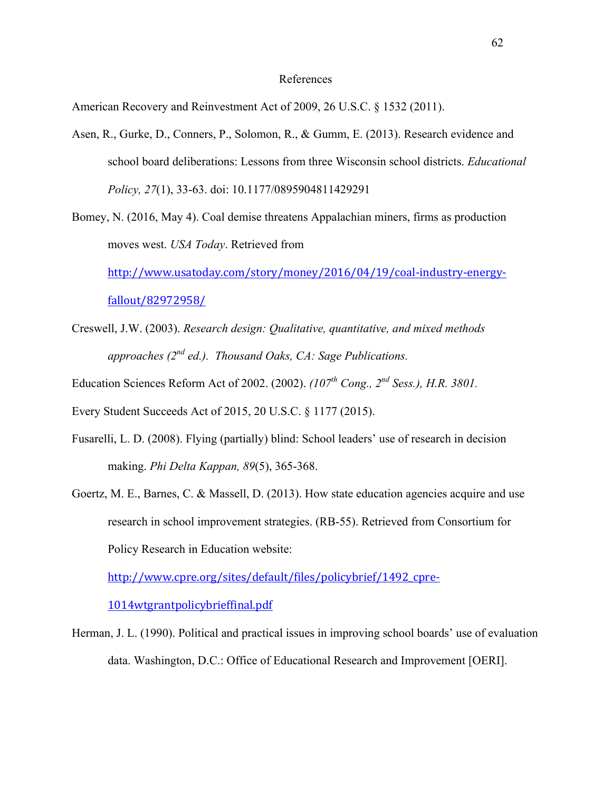#### References

American Recovery and Reinvestment Act of 2009, 26 U.S.C. § 1532 (2011).

Asen, R., Gurke, D., Conners, P., Solomon, R., & Gumm, E. (2013). Research evidence and school board deliberations: Lessons from three Wisconsin school districts. *Educational Policy, 27*(1), 33-63. doi: 10.1177/0895904811429291

Bomey, N. (2016, May 4). Coal demise threatens Appalachian miners, firms as production moves west. *USA Today*. Retrieved from http://www.usatoday.com/story/money/2016/04/19/coal-industry-energyfallout/82972958/

- Creswell, J.W. (2003). *Research design: Qualitative, quantitative, and mixed methods approaches (2nd ed.). Thousand Oaks, CA: Sage Publications.*
- Education Sciences Reform Act of 2002. (2002). *(107th Cong., 2nd Sess.), H.R. 3801.*

Every Student Succeeds Act of 2015, 20 U.S.C. § 1177 (2015).

- Fusarelli, L. D. (2008). Flying (partially) blind: School leaders' use of research in decision making. *Phi Delta Kappan, 89*(5), 365-368.
- Goertz, M. E., Barnes, C. & Massell, D. (2013). How state education agencies acquire and use research in school improvement strategies. (RB-55). Retrieved from Consortium for Policy Research in Education website:

http://www.cpre.org/sites/default/files/policybrief/1492\_cpre-

1014wtgrantpolicybrieffinal.pdf

Herman, J. L. (1990). Political and practical issues in improving school boards' use of evaluation data. Washington, D.C.: Office of Educational Research and Improvement [OERI].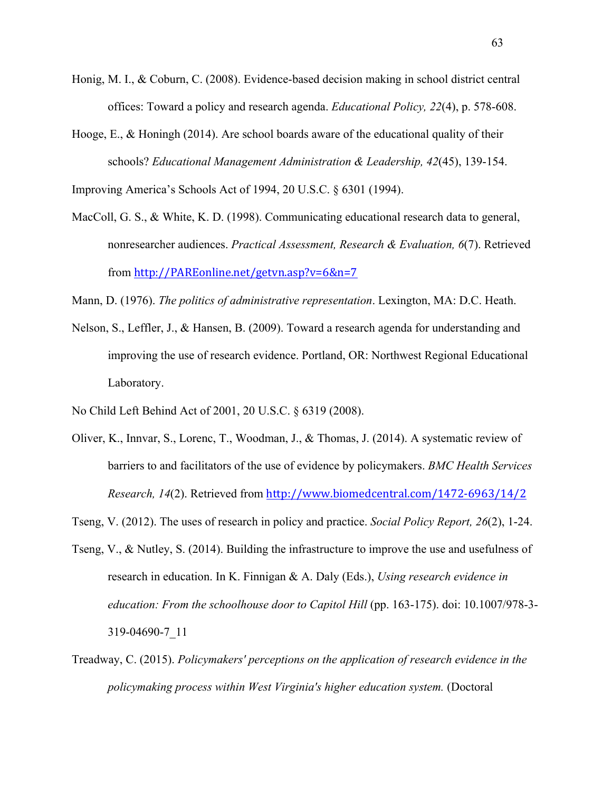- Honig, M. I., & Coburn, C. (2008). Evidence-based decision making in school district central offices: Toward a policy and research agenda. *Educational Policy, 22*(4), p. 578-608.
- Hooge, E., & Honingh (2014). Are school boards aware of the educational quality of their schools? *Educational Management Administration & Leadership, 42*(45), 139-154.

Improving America's Schools Act of 1994, 20 U.S.C. § 6301 (1994).

- MacColl, G. S., & White, K. D. (1998). Communicating educational research data to general, nonresearcher audiences. *Practical Assessment, Research & Evaluation, 6*(7). Retrieved from http://PAREonline.net/getvn.asp?v=6&n=7
- Mann, D. (1976). *The politics of administrative representation*. Lexington, MA: D.C. Heath.
- Nelson, S., Leffler, J., & Hansen, B. (2009). Toward a research agenda for understanding and improving the use of research evidence. Portland, OR: Northwest Regional Educational Laboratory.
- No Child Left Behind Act of 2001, 20 U.S.C. § 6319 (2008).
- Oliver, K., Innvar, S., Lorenc, T., Woodman, J., & Thomas, J. (2014). A systematic review of barriers to and facilitators of the use of evidence by policymakers. *BMC Health Services Research, 14*(2). Retrieved from http://www.biomedcentral.com/1472-6963/14/2
- Tseng, V. (2012). The uses of research in policy and practice. *Social Policy Report, 26*(2), 1-24.
- Tseng, V., & Nutley, S. (2014). Building the infrastructure to improve the use and usefulness of research in education. In K. Finnigan & A. Daly (Eds.), *Using research evidence in education: From the schoolhouse door to Capitol Hill* (pp. 163-175). doi: 10.1007/978-3-319-04690-7\_11
- Treadway, C. (2015). *Policymakers' perceptions on the application of research evidence in the policymaking process within West Virginia's higher education system.* (Doctoral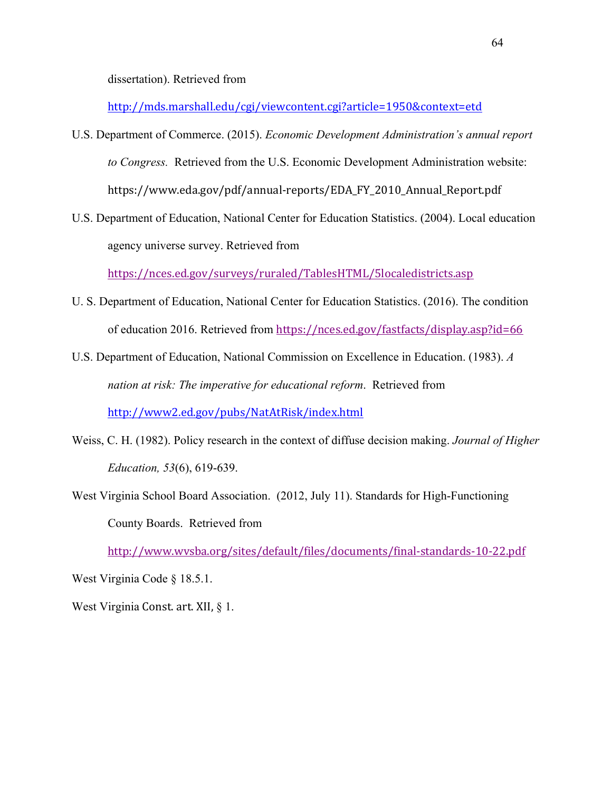dissertation). Retrieved from

http://mds.marshall.edu/cgi/viewcontent.cgi?article=1950&context=etd

- U.S. Department of Commerce. (2015). *Economic Development Administration's annual report to Congress.* Retrieved from the U.S. Economic Development Administration website: https://www.eda.gov/pdf/annual-reports/EDA\_FY\_2010\_Annual\_Report.pdf
- U.S. Department of Education, National Center for Education Statistics. (2004). Local education agency universe survey. Retrieved from

https://nces.ed.gov/surveys/ruraled/TablesHTML/5localedistricts.asp

- U. S. Department of Education, National Center for Education Statistics. (2016). The condition of education 2016. Retrieved from https://nces.ed.gov/fastfacts/display.asp?id=66
- U.S. Department of Education, National Commission on Excellence in Education. (1983). *A nation at risk: The imperative for educational reform*. Retrieved from http://www2.ed.gov/pubs/NatAtRisk/index.html
- Weiss, C. H. (1982). Policy research in the context of diffuse decision making. *Journal of Higher Education, 53*(6), 619-639.
- West Virginia School Board Association. (2012, July 11). Standards for High-Functioning County Boards. Retrieved from

http://www.wvsba.org/sites/default/files/documents/final-standards-10-22.pdf

West Virginia Code § 18.5.1.

West Virginia Const. art. XII,  $\S$  1.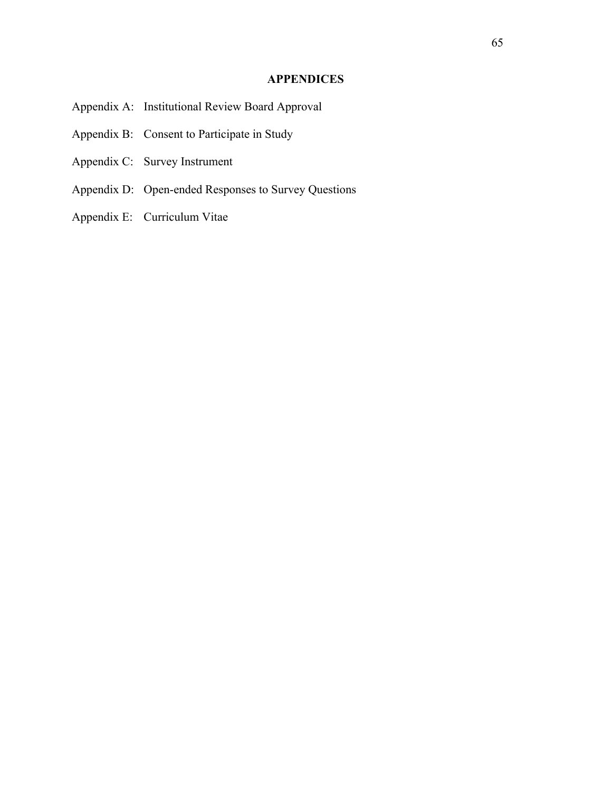# **APPENDICES**

- Appendix A: Institutional Review Board Approval
- Appendix B: Consent to Participate in Study
- Appendix C: Survey Instrument
- Appendix D: Open-ended Responses to Survey Questions
- Appendix E: Curriculum Vitae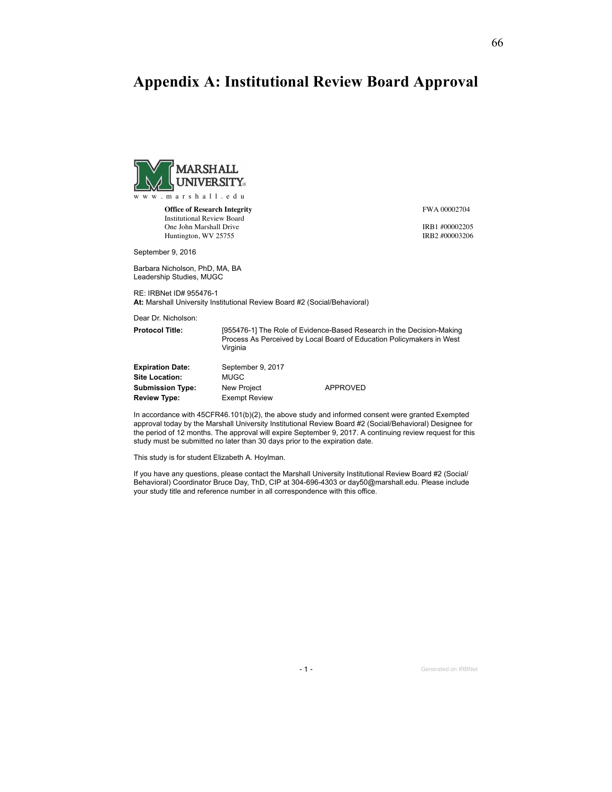# **Appendix A: Institutional Review Board Approval**



**Office of Research Integrity** Institutional Review Board One John Marshall Drive Huntington, WV 25755

FWA 00002704

IRB1 #00002205 IRB2 #00003206

September 9, 2016

Barbara Nicholson, PhD, MA, BA Leadership Studies, MUGC

RE: IRBNet ID# 955476-1 At: Marshall University Institutional Review Board #2 (Social/Behavioral)

Dear Dr. Nicholson:

Protocol Title: [955476-1] The Role of Evidence-Based Research in the Decision-Making Process As Perceived by Local Board of Education Policymakers in West Virginia Expiration Date: September 9, 2017 Site Location: MUGC Submission Type: New Project APPROVED

In accordance with 45CFR46.101(b)(2), the above study and informed consent were granted Exempted approval today by the Marshall University Institutional Review Board #2 (Social/Behavioral) Designee for the period of 12 months. The approval will expire September 9, 2017. A continuing review request for this study must be submitted no later than 30 days prior to the expiration date.

This study is for student Elizabeth A. Hoylman.

Review Type: Exempt Review

If you have any questions, please contact the Marshall University Institutional Review Board #2 (Social/ Behavioral) Coordinator Bruce Day, ThD, CIP at 304-696-4303 or day50@marshall.edu. Please include your study title and reference number in all correspondence with this office.

- 1 - Generated on IRBNet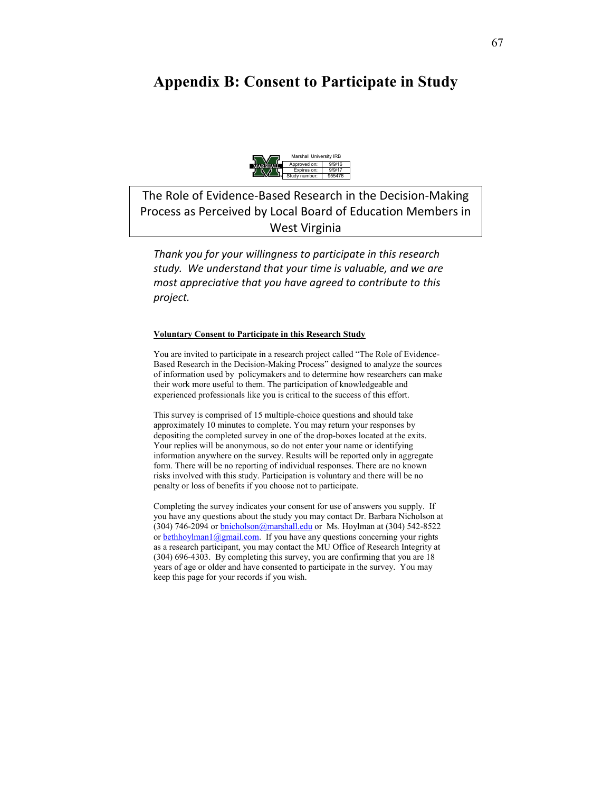# **Appendix B: Consent to Participate in Study**



The Role of Evidence-Based Research in the Decision-Making Process as Perceived by Local Board of Education Members in West Virginia

*Thank you for your willingness to participate in this research study. We understand that your time is valuable, and we are most appreciative that you have agreed to contribute to this project.* 

#### **Voluntary Consent to Participate in this Research Study**

You are invited to participate in a research project called "The Role of Evidence-Based Research in the Decision-Making Process" designed to analyze the sources of information used by policymakers and to determine how researchers can make their work more useful to them. The participation of knowledgeable and experienced professionals like you is critical to the success of this effort.

This survey is comprised of 15 multiple-choice questions and should take approximately 10 minutes to complete. You may return your responses by depositing the completed survey in one of the drop-boxes located at the exits. Your replies will be anonymous, so do not enter your name or identifying information anywhere on the survey. Results will be reported only in aggregate form. There will be no reporting of individual responses. There are no known risks involved with this study. Participation is voluntary and there will be no penalty or loss of benefits if you choose not to participate.

Completing the survey indicates your consent for use of answers you supply. If you have any questions about the study you may contact Dr. Barbara Nicholson at (304) 746-2094 or bnicholson@marshall.edu or Ms. Hoylman at (304) 542-8522 or bethhoylman1@gmail.com. If you have any questions concerning your rights as a research participant, you may contact the MU Office of Research Integrity at (304) 696-4303. By completing this survey, you are confirming that you are 18 years of age or older and have consented to participate in the survey. You may keep this page for your records if you wish.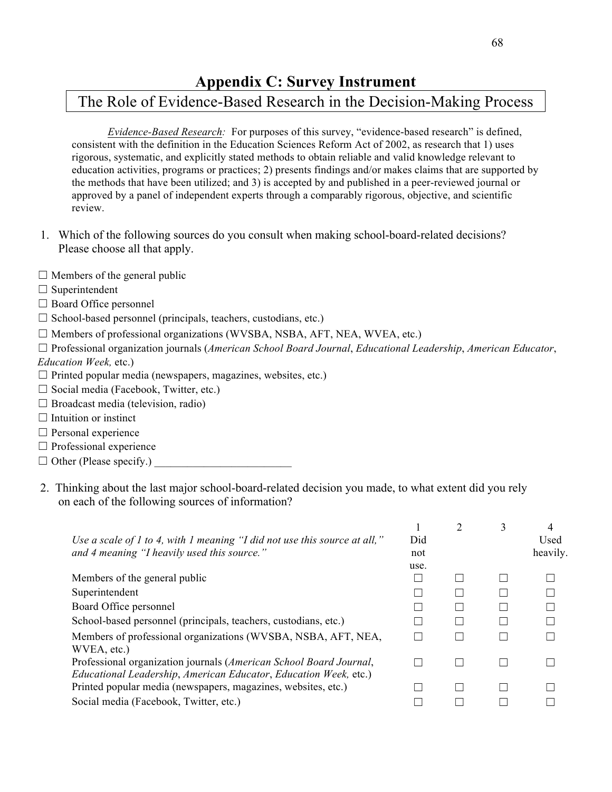# **Appendix C: Survey Instrument**

# The Role of Evidence-Based Research in the Decision-Making Process

*Evidence-Based Research:* For purposes of this survey, "evidence-based research" is defined, consistent with the definition in the Education Sciences Reform Act of 2002, as research that 1) uses rigorous, systematic, and explicitly stated methods to obtain reliable and valid knowledge relevant to education activities, programs or practices; 2) presents findings and/or makes claims that are supported by the methods that have been utilized; and 3) is accepted by and published in a peer-reviewed journal or approved by a panel of independent experts through a comparably rigorous, objective, and scientific review.

- 1. Which of the following sources do you consult when making school-board-related decisions? Please choose all that apply.
- $\Box$  Members of the general public
- $\Box$  Superintendent
- □ Board Office personnel
- $\Box$  School-based personnel (principals, teachers, custodians, etc.)
- $\Box$  Members of professional organizations (WVSBA, NSBA, AFT, NEA, WVEA, etc.)

☐ Professional organization journals (*American School Board Journal*, *Educational Leadership*, *American Educator*, *Education Week,* etc.)

- $\Box$  Printed popular media (newspapers, magazines, websites, etc.)
- $\Box$  Social media (Facebook, Twitter, etc.)
- $\Box$  Broadcast media (television, radio)
- $\Box$  Intuition or instinct
- $\Box$  Personal experience
- $\Box$  Professional experience
- $\Box$  Other (Please specify.)
- 2. Thinking about the last major school-board-related decision you made, to what extent did you rely on each of the following sources of information?

| Use a scale of 1 to 4, with 1 meaning "I did not use this source at all,"<br>and 4 meaning "I heavily used this source."               | Did<br>not | $\overline{2}$ | 3 | 4<br>Used<br>heavily. |
|----------------------------------------------------------------------------------------------------------------------------------------|------------|----------------|---|-----------------------|
|                                                                                                                                        | use.       |                |   |                       |
| Members of the general public                                                                                                          |            |                |   |                       |
| Superintendent                                                                                                                         |            |                |   |                       |
| Board Office personnel                                                                                                                 |            |                |   |                       |
| School-based personnel (principals, teachers, custodians, etc.)                                                                        |            |                |   |                       |
| Members of professional organizations (WVSBA, NSBA, AFT, NEA,<br>WVEA, etc.)                                                           |            |                |   |                       |
| Professional organization journals (American School Board Journal,<br>Educational Leadership, American Educator, Education Week, etc.) |            |                |   |                       |
| Printed popular media (newspapers, magazines, websites, etc.)                                                                          |            |                |   |                       |
| Social media (Facebook, Twitter, etc.)                                                                                                 |            |                |   |                       |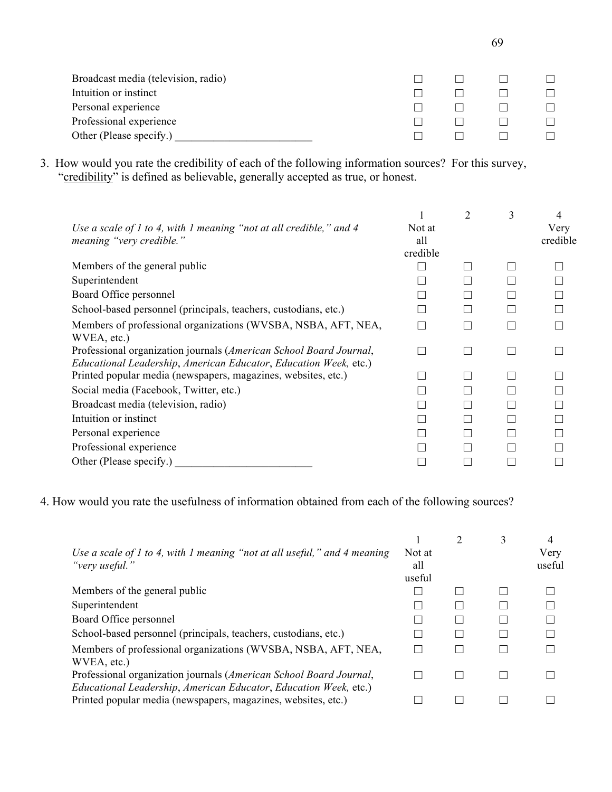| Broadcast media (television, radio) |  |  |
|-------------------------------------|--|--|
| Intuition or instinct               |  |  |
| Personal experience                 |  |  |
| Professional experience             |  |  |
| Other (Please specify.)             |  |  |

3. How would you rate the credibility of each of the following information sources? For this survey, "credibility" is defined as believable, generally accepted as true, or honest.

| Use a scale of 1 to 4, with 1 meaning "not at all credible," and 4<br>meaning "very credible."                                         | Not at<br>all<br>credible | 2 | 3 | 4<br>Very<br>credible |
|----------------------------------------------------------------------------------------------------------------------------------------|---------------------------|---|---|-----------------------|
| Members of the general public                                                                                                          |                           |   |   |                       |
| Superintendent                                                                                                                         |                           |   |   |                       |
| Board Office personnel                                                                                                                 |                           |   |   |                       |
| School-based personnel (principals, teachers, custodians, etc.)                                                                        |                           |   |   |                       |
| Members of professional organizations (WVSBA, NSBA, AFT, NEA,<br>WVEA, etc.)                                                           |                           |   |   |                       |
| Professional organization journals (American School Board Journal,<br>Educational Leadership, American Educator, Education Week, etc.) |                           |   |   |                       |
| Printed popular media (newspapers, magazines, websites, etc.)                                                                          |                           |   |   |                       |
| Social media (Facebook, Twitter, etc.)                                                                                                 |                           |   |   |                       |
| Broadcast media (television, radio)                                                                                                    |                           |   |   |                       |
| Intuition or instinct                                                                                                                  |                           |   |   |                       |
| Personal experience                                                                                                                    |                           |   |   |                       |
| Professional experience                                                                                                                |                           |   |   |                       |
| Other (Please specify.)                                                                                                                |                           |   |   |                       |

4. How would you rate the usefulness of information obtained from each of the following sources?

| Use a scale of 1 to 4, with 1 meaning "not at all useful," and 4 meaning<br>"very useful."                                             | Not at<br>all<br>useful | 3 | 4<br>Very<br>useful |
|----------------------------------------------------------------------------------------------------------------------------------------|-------------------------|---|---------------------|
| Members of the general public                                                                                                          |                         |   |                     |
| Superintendent                                                                                                                         |                         |   |                     |
| Board Office personnel                                                                                                                 |                         |   |                     |
| School-based personnel (principals, teachers, custodians, etc.)                                                                        |                         |   |                     |
| Members of professional organizations (WVSBA, NSBA, AFT, NEA,<br>WVEA, etc.)                                                           |                         |   |                     |
| Professional organization journals (American School Board Journal,<br>Educational Leadership, American Educator, Education Week, etc.) |                         |   |                     |
| Printed popular media (newspapers, magazines, websites, etc.)                                                                          |                         |   |                     |

69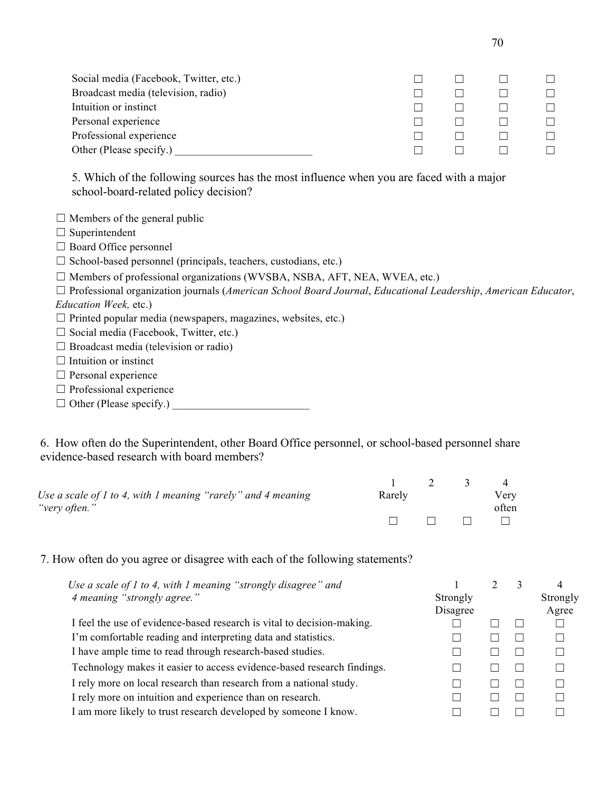| Social media (Facebook, Twitter, etc.) |  |  |
|----------------------------------------|--|--|
| Broadcast media (television, radio)    |  |  |
| Intuition or instinct                  |  |  |
| Personal experience                    |  |  |
| Professional experience                |  |  |
| Other (Please specify.)                |  |  |

5. Which of the following sources has the most influence when you are faced with a major school-board-related policy decision?

 $\Box$  Members of the general public

- □ Superintendent
- □ Board Office personnel
- $\Box$  School-based personnel (principals, teachers, custodians, etc.)
- $\Box$  Members of professional organizations (WVSBA, NSBA, AFT, NEA, WVEA, etc.)

☐ Professional organization journals (*American School Board Journal*, *Educational Leadership*, *American Educator*, *Education Week,* etc.)

- $\Box$  Printed popular media (newspapers, magazines, websites, etc.)
- ☐ Social media (Facebook, Twitter, etc.)
- $\Box$  Broadcast media (television or radio)
- $\Box$  Intuition or instinct
- $\Box$  Personal experience
- $\Box$  Professional experience
- ☐ Other (Please specify.) \_\_\_\_\_\_\_\_\_\_\_\_\_\_\_\_\_\_\_\_\_\_\_\_\_

6. How often do the Superintendent, other Board Office personnel, or school-based personnel share evidence-based research with board members?

|                                                                    |        | $\overline{\phantom{a}}$ |       |
|--------------------------------------------------------------------|--------|--------------------------|-------|
| Use a scale of $1$ to 4, with $1$ meaning "rarely" and $4$ meaning | Rarely |                          | Very  |
| "very often."                                                      |        |                          | often |
|                                                                    |        | $\blacksquare$           |       |

7. How often do you agree or disagree with each of the following statements?

| Use a scale of $1$ to 4, with $1$ meaning "strongly disagree" and      |                      |  | 4                 |
|------------------------------------------------------------------------|----------------------|--|-------------------|
| 4 meaning "strongly agree."                                            | Strongly<br>Disagree |  | Strongly<br>Agree |
| I feel the use of evidence-based research is vital to decision-making. |                      |  |                   |
| I'm comfortable reading and interpreting data and statistics.          |                      |  |                   |
| I have ample time to read through research-based studies.              |                      |  |                   |
| Technology makes it easier to access evidence-based research findings. |                      |  |                   |
| I rely more on local research than research from a national study.     |                      |  |                   |
| I rely more on intuition and experience than on research.              |                      |  |                   |
| I am more likely to trust research developed by someone I know.        |                      |  |                   |
|                                                                        |                      |  |                   |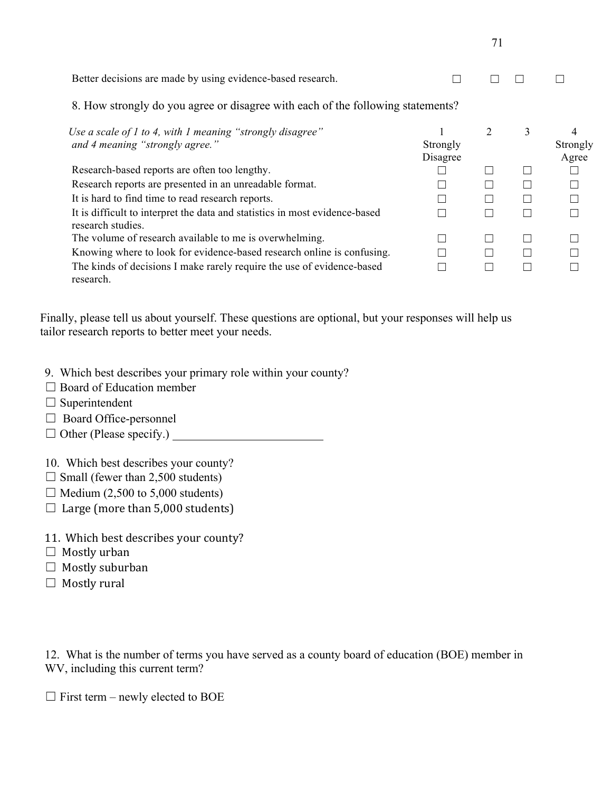|                                                                                                  |                      | 71 |        |                   |
|--------------------------------------------------------------------------------------------------|----------------------|----|--------|-------------------|
| Better decisions are made by using evidence-based research.                                      |                      |    |        |                   |
| 8. How strongly do you agree or disagree with each of the following statements?                  |                      |    |        |                   |
| Use a scale of 1 to 4, with 1 meaning "strongly disagree"<br>and 4 meaning "strongly agree."     | Strongly<br>Disagree | 2  | 3      | Strongly<br>Agree |
| Research-based reports are often too lengthy.                                                    |                      |    |        |                   |
| Research reports are presented in an unreadable format.                                          |                      |    |        |                   |
| It is hard to find time to read research reports.                                                |                      |    |        |                   |
| It is difficult to interpret the data and statistics in most evidence-based<br>research studies. | <b>I</b>             |    | $\Box$ |                   |
| The volume of research available to me is overwhelming.                                          |                      |    |        |                   |
| Knowing where to look for evidence-based research online is confusing.                           |                      |    | $\Box$ |                   |
| The kinds of decisions I make rarely require the use of evidence-based<br>research.              |                      |    |        |                   |

Finally, please tell us about yourself. These questions are optional, but your responses will help us tailor research reports to better meet your needs.

- 9. Which best describes your primary role within your county?
- □ Board of Education member
- $\Box$  Superintendent
- □ Board Office-personnel
- $\Box$  Other (Please specify.)
- 10. Which best describes your county?
- $\Box$  Small (fewer than 2,500 students)
- $\Box$  Medium (2,500 to 5,000 students)
- $\Box$  Large (more than 5,000 students)
- 11. Which best describes your county?
- $\Box$  Mostly urban
- $\Box$  Mostly suburban
- $\Box$  Mostly rural

12. What is the number of terms you have served as a county board of education (BOE) member in WV, including this current term?

 $\Box$  First term – newly elected to BOE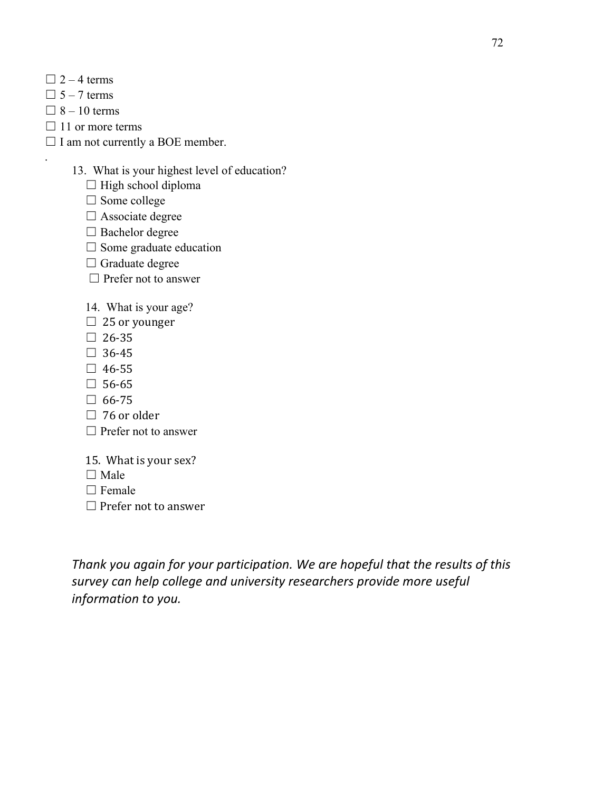- $\Box$  2 4 terms
- $\Box$  5 7 terms
- $\Box$  8 10 terms

.

- $\Box$  11 or more terms
- $\Box$  I am not currently a BOE member.

# 13. What is your highest level of education?

- $\Box$  High school diploma
- ☐ Some college
- $\Box$  Associate degree
- □ Bachelor degree
- $\Box$  Some graduate education
- $\Box$  Graduate degree
- □ Prefer not to answer

14. What is your age?

- $\Box$  25 or younger
- $\square$  26-35
- $\Box$  36-45
- $\square$  46-55
- $\square$  56-65
- $\Box$  66-75
- $\Box$  76 or older
- $\Box$  Prefer not to answer
- 15. What is your sex?
- □ Male
- □ Female
- $\Box$  Prefer not to answer

Thank you again for your participation. We are hopeful that the results of this survey can help college and university researchers provide more useful *information to you.*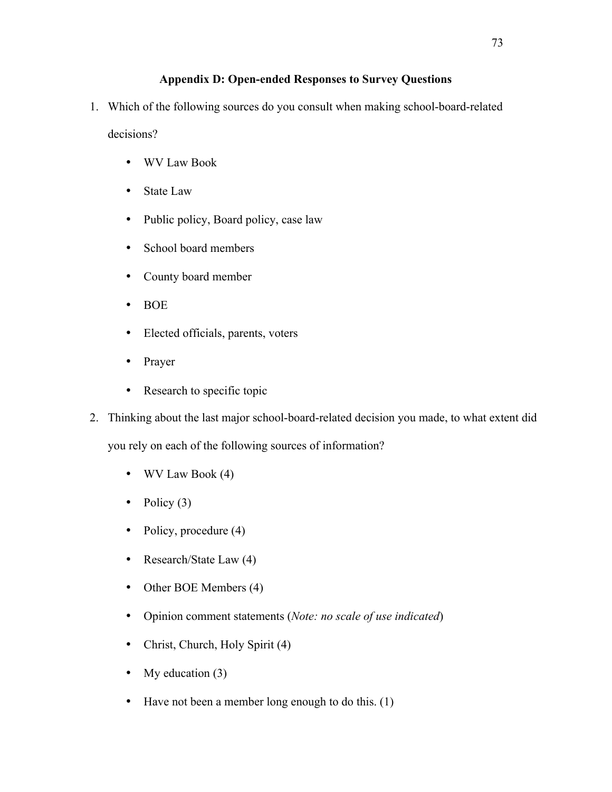## **Appendix D: Open-ended Responses to Survey Questions**

1. Which of the following sources do you consult when making school-board-related

decisions?

- WV Law Book
- State Law
- Public policy, Board policy, case law
- School board members
- County board member
- BOE
- Elected officials, parents, voters
- Prayer
- Research to specific topic
- 2. Thinking about the last major school-board-related decision you made, to what extent did you rely on each of the following sources of information?
	- WV Law Book (4)
	- Policy  $(3)$
	- Policy, procedure (4)
	- Research/State Law (4)
	- Other BOE Members (4)
	- Opinion comment statements (*Note: no scale of use indicated*)
	- Christ, Church, Holy Spirit (4)
	- My education (3)
	- Have not been a member long enough to do this. (1)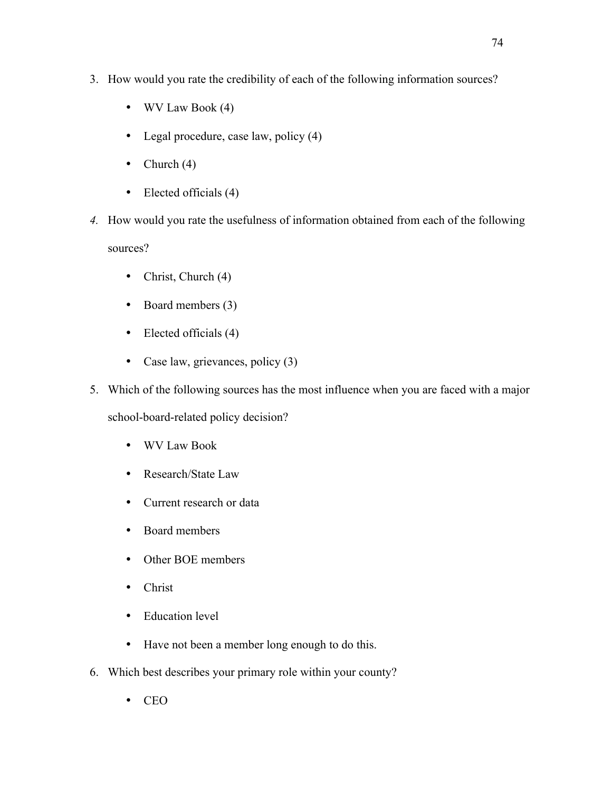- 3. How would you rate the credibility of each of the following information sources?
	- WV Law Book (4)
	- Legal procedure, case law, policy (4)
	- Church  $(4)$
	- Elected officials (4)
- *4.* How would you rate the usefulness of information obtained from each of the following sources?
	- Christ, Church (4)
	- Board members (3)
	- Elected officials (4)
	- Case law, grievances, policy (3)
- 5. Which of the following sources has the most influence when you are faced with a major

school-board-related policy decision?

- WV Law Book
- Research/State Law
- Current research or data
- Board members
- Other BOE members
- Christ
- Education level
- Have not been a member long enough to do this.
- 6. Which best describes your primary role within your county?
	- CEO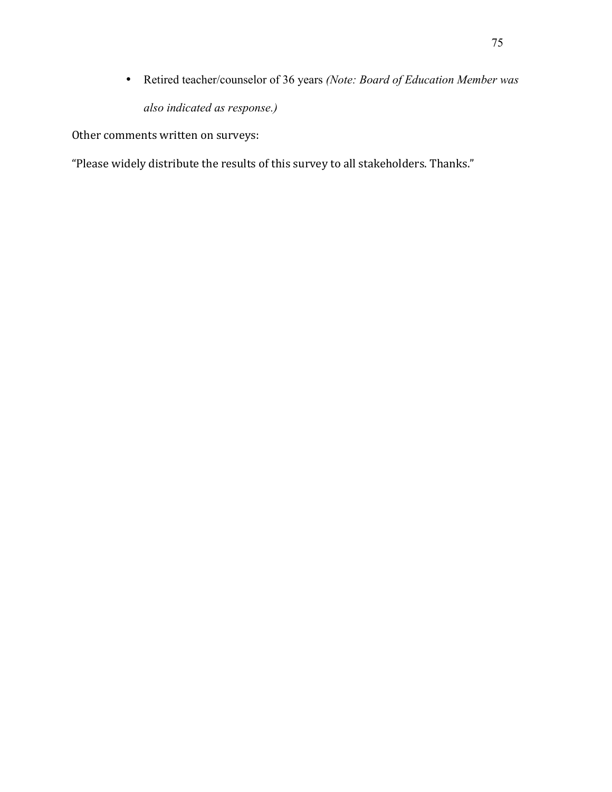• Retired teacher/counselor of 36 years *(Note: Board of Education Member was also indicated as response.)*

Other comments written on surveys:

"Please widely distribute the results of this survey to all stakeholders. Thanks."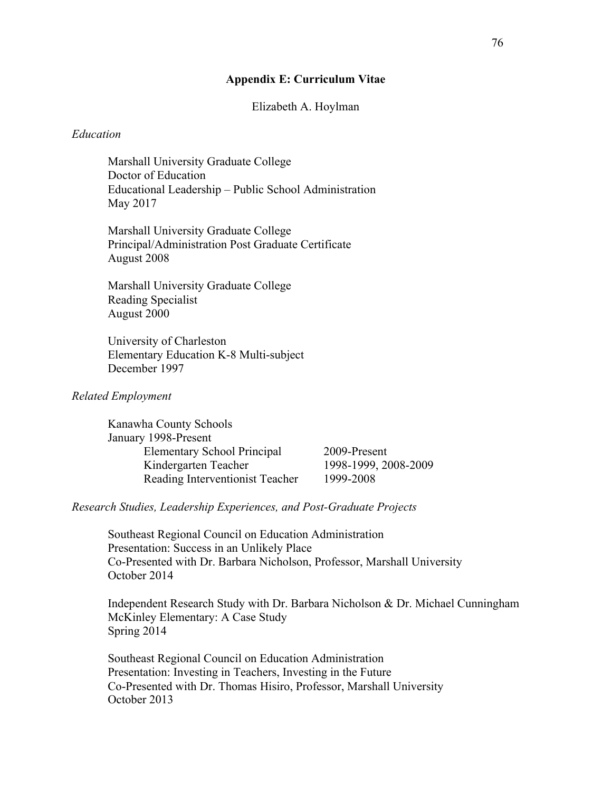### **Appendix E: Curriculum Vitae**

### Elizabeth A. Hoylman

#### *Education*

Marshall University Graduate College Doctor of Education Educational Leadership – Public School Administration May 2017

Marshall University Graduate College Principal/Administration Post Graduate Certificate August 2008

Marshall University Graduate College Reading Specialist August 2000

University of Charleston Elementary Education K-8 Multi-subject December 1997

### *Related Employment*

Kanawha County Schools January 1998-Present Elementary School Principal 2009-Present Kindergarten Teacher 1998-1999, 2008-2009 Reading Interventionist Teacher 1999-2008

### *Research Studies, Leadership Experiences, and Post-Graduate Projects*

Southeast Regional Council on Education Administration Presentation: Success in an Unlikely Place Co-Presented with Dr. Barbara Nicholson, Professor, Marshall University October 2014

Independent Research Study with Dr. Barbara Nicholson & Dr. Michael Cunningham McKinley Elementary: A Case Study Spring 2014

Southeast Regional Council on Education Administration Presentation: Investing in Teachers, Investing in the Future Co-Presented with Dr. Thomas Hisiro, Professor, Marshall University October 2013